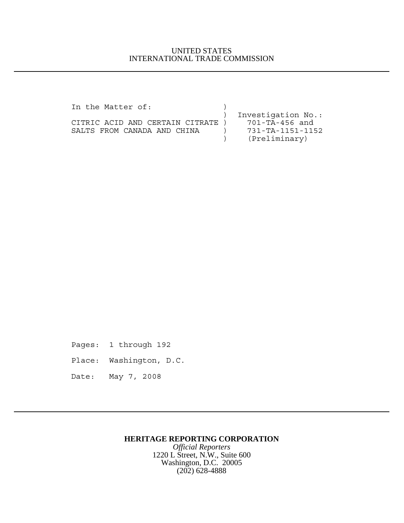## UNITED STATES INTERNATIONAL TRADE COMMISSION

| In the Matter of:                 |                    |
|-----------------------------------|--------------------|
|                                   | Investigation No.: |
| CITRIC ACID AND CERTAIN CITRATE ) | 701-TA-456 and     |
| SALTS FROM CANADA AND CHINA       | 731-TA-1151-1152   |
|                                   | (Preliminary)      |

Pages: 1 through 192

- Place: Washington, D.C.
- Date: May 7, 2008

## **HERITAGE REPORTING CORPORATION**

*Official Reporters* 1220 L Street, N.W., Suite 600 Washington, D.C. 20005 (202) 628-4888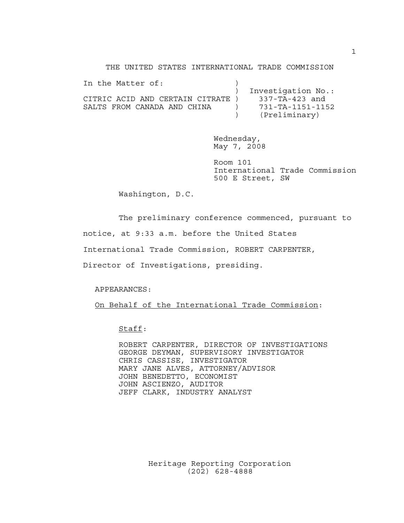THE UNITED STATES INTERNATIONAL TRADE COMMISSION

| In the Matter of:                |                    |
|----------------------------------|--------------------|
|                                  | Investigation No.: |
| CITRIC ACID AND CERTAIN CITRATE) | 337-TA-423 and     |
| SALTS FROM CANADA AND CHINA      | 731-TA-1151-1152   |
|                                  | (Preliminary)      |

Wednesday, May 7, 2008

Room 101 International Trade Commission 500 E Street, SW

Washington, D.C.

The preliminary conference commenced, pursuant to

notice, at 9:33 a.m. before the United States

International Trade Commission, ROBERT CARPENTER,

Director of Investigations, presiding.

APPEARANCES:

On Behalf of the International Trade Commission:

Staff:

ROBERT CARPENTER, DIRECTOR OF INVESTIGATIONS GEORGE DEYMAN, SUPERVISORY INVESTIGATOR CHRIS CASSISE, INVESTIGATOR MARY JANE ALVES, ATTORNEY/ADVISOR JOHN BENEDETTO, ECONOMIST JOHN ASCIENZO, AUDITOR JEFF CLARK, INDUSTRY ANALYST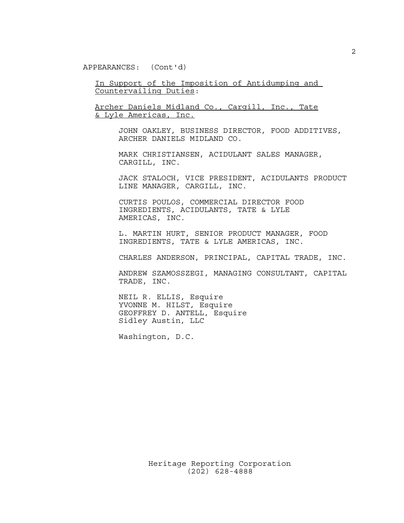APPEARANCES: (Cont'd)

In Support of the Imposition of Antidumping and Countervailing Duties:

Archer Daniels Midland Co., Cargill, Inc., Tate & Lyle Americas, Inc.

> JOHN OAKLEY, BUSINESS DIRECTOR, FOOD ADDITIVES, ARCHER DANIELS MIDLAND CO.

MARK CHRISTIANSEN, ACIDULANT SALES MANAGER, CARGILL, INC.

JACK STALOCH, VICE PRESIDENT, ACIDULANTS PRODUCT LINE MANAGER, CARGILL, INC.

CURTIS POULOS, COMMERCIAL DIRECTOR FOOD INGREDIENTS, ACIDULANTS, TATE & LYLE AMERICAS, INC.

L. MARTIN HURT, SENIOR PRODUCT MANAGER, FOOD INGREDIENTS, TATE & LYLE AMERICAS, INC.

CHARLES ANDERSON, PRINCIPAL, CAPITAL TRADE, INC.

ANDREW SZAMOSSZEGI, MANAGING CONSULTANT, CAPITAL TRADE, INC.

NEIL R. ELLIS, Esquire YVONNE M. HILST, Esquire GEOFFREY D. ANTELL, Esquire Sidley Austin, LLC

Washington, D.C.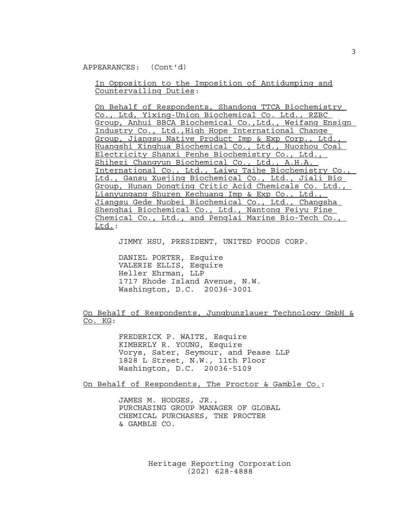APPEARANCES: (Cont'd)

In Opposition to the Imposition of Antidumping and Countervailing Duties:

On Behalf of Respondents, Shandong TTCA Biochemistry Co., Ltd, Yixing-Union Biochemical Co. Ltd., RZBC Group, Anhui BBCA Biochemical Co.,Ltd., Weifang Ensign Industry Co., Ltd.,High Hope International Change Group, Jiangsu Native Product Imp & Exp Corp., Ltd., Huangshi Xinghua Biochemical Co., Ltd., Huozhou Coal Electricity Shanxi Fenhe Biochemistry Co., Ltd., Shihezi Changyun Biochemical Co., Ltd., A.H.A. International Co., Ltd., Laiwu Taihe Biochemistry Co., Ltd., Gansu Xuejing Biochemical Co., Ltd., Jiali Bio Group, Hunan Dongting Critic Acid Chemicals Co. Ltd., Lianyungang Shuren Kechuang Imp & Exp Co., Ltd., Jiangsu Gede Nuobei Biochemical Co., Ltd., Changsha Shenghai Biochemical Co., Ltd., Nantong Feiyu Fine Chemical Co., Ltd., and Penglai Marine Bio-Tech Co., Ltd.:

JIMMY HSU, PRESIDENT, UNITED FOODS CORP.

DANIEL PORTER, Esquire VALERIE ELLIS, Esquire Heller Ehrman, LLP 1717 Rhode Island Avenue, N.W. Washington, D.C. 20036-3001

On Behalf of Respondents, Jungbunzlauer Technology GmbH & Co. KG:

> FREDERICK P. WAITE, Esquire KIMBERLY R. YOUNG, Esquire Vorys, Sater, Seymour, and Pease LLP 1828 L Street, N.W., 11th Floor Washington, D.C. 20036-5109

On Behalf of Respondents, The Proctor & Gamble Co.:

JAMES M. HODGES, JR., PURCHASING GROUP MANAGER OF GLOBAL CHEMICAL PURCHASES, THE PROCTER & GAMBLE CO.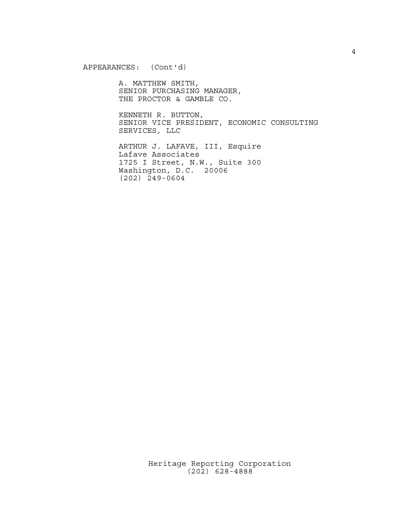APPEARANCES: (Cont'd)

A. MATTHEW SMITH, SENIOR PURCHASING MANAGER, THE PROCTOR & GAMBLE CO.

KENNETH R. BUTTON, SENIOR VICE PRESIDENT, ECONOMIC CONSULTING SERVICES, LLC

ARTHUR J. LAFAVE, III, Esquire Lafave Associates 1725 I Street, N.W., Suite 300 Washington, D.C. 20006 (202) 249-0604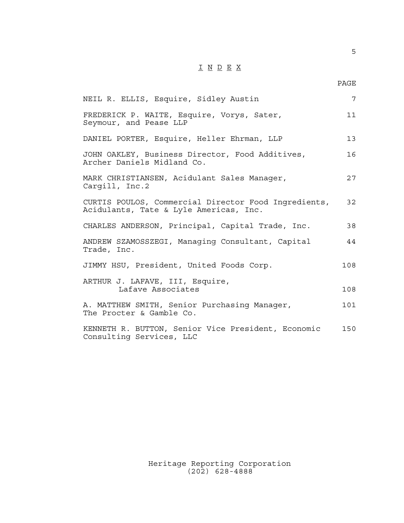## $\underline{\texttt{I}} \underline{\texttt{N}} \underline{\texttt{D}} \underline{\texttt{E}} \underline{\texttt{X}}$

5

| NEIL R. ELLIS, Esquire, Sidley Austin                                                          | $\overline{7}$ |
|------------------------------------------------------------------------------------------------|----------------|
| FREDERICK P. WAITE, Esquire, Vorys, Sater,<br>Seymour, and Pease LLP                           | 11             |
| DANIEL PORTER, Esquire, Heller Ehrman, LLP                                                     | 13             |
| JOHN OAKLEY, Business Director, Food Additives,<br>Archer Daniels Midland Co.                  | 16             |
| MARK CHRISTIANSEN, Acidulant Sales Manager,<br>Cargill, Inc.2                                  | 27             |
| CURTIS POULOS, Commercial Director Food Ingredients,<br>Acidulants, Tate & Lyle Americas, Inc. | 32             |
| CHARLES ANDERSON, Principal, Capital Trade, Inc.                                               | 38             |
| ANDREW SZAMOSSZEGI, Managing Consultant, Capital<br>Trade, Inc.                                | 44             |
| JIMMY HSU, President, United Foods Corp.                                                       | 108            |
| ARTHUR J. LAFAVE, III, Esquire,<br>Lafave Associates                                           | 108            |
| A. MATTHEW SMITH, Senior Purchasing Manager,<br>The Procter & Gamble Co.                       | 101            |
| KENNETH R. BUTTON, Senior Vice President, Economic<br>Consulting Services, LLC                 | 150            |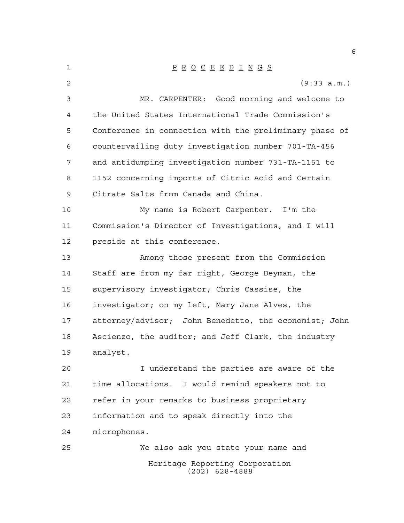| 1  | $\underline{P} \underline{R} \underline{O} \underline{C} \underline{E} \underline{E} \underline{D} \underline{I} \underline{N} \underline{G} \underline{S}$ |
|----|-------------------------------------------------------------------------------------------------------------------------------------------------------------|
| 2  | (9:33 a.m.)                                                                                                                                                 |
| 3  | MR. CARPENTER: Good morning and welcome to                                                                                                                  |
| 4  | the United States International Trade Commission's                                                                                                          |
| 5  | Conference in connection with the preliminary phase of                                                                                                      |
| 6  | countervailing duty investigation number 701-TA-456                                                                                                         |
| 7  | and antidumping investigation number 731-TA-1151 to                                                                                                         |
| 8  | 1152 concerning imports of Citric Acid and Certain                                                                                                          |
| 9  | Citrate Salts from Canada and China.                                                                                                                        |
| 10 | My name is Robert Carpenter. I'm the                                                                                                                        |
| 11 | Commission's Director of Investigations, and I will                                                                                                         |
| 12 | preside at this conference.                                                                                                                                 |
| 13 | Among those present from the Commission                                                                                                                     |
| 14 | Staff are from my far right, George Deyman, the                                                                                                             |
| 15 | supervisory investigator; Chris Cassise, the                                                                                                                |
| 16 | investigator; on my left, Mary Jane Alves, the                                                                                                              |
| 17 | attorney/advisor; John Benedetto, the economist; John                                                                                                       |
| 18 | Ascienzo, the auditor; and Jeff Clark, the industry                                                                                                         |
| 19 | analyst.                                                                                                                                                    |
| 20 | I understand the parties are aware of the                                                                                                                   |
| 21 | time allocations. I would remind speakers not to                                                                                                            |
| 22 | refer in your remarks to business proprietary                                                                                                               |
| 23 | information and to speak directly into the                                                                                                                  |
| 24 | microphones.                                                                                                                                                |
| 25 | We also ask you state your name and                                                                                                                         |
|    | Heritage Reporting Corporation                                                                                                                              |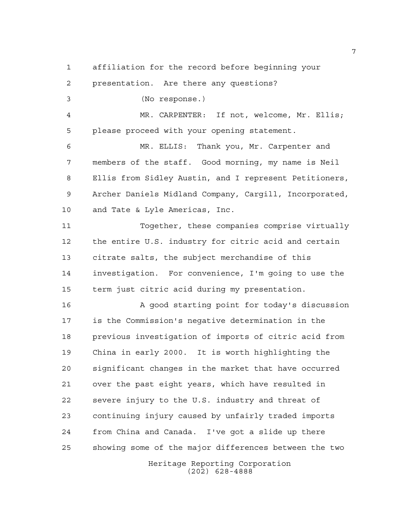affiliation for the record before beginning your

 presentation. Are there any questions? (No response.) MR. CARPENTER: If not, welcome, Mr. Ellis; please proceed with your opening statement. MR. ELLIS: Thank you, Mr. Carpenter and members of the staff. Good morning, my name is Neil Ellis from Sidley Austin, and I represent Petitioners, Archer Daniels Midland Company, Cargill, Incorporated, and Tate & Lyle Americas, Inc. Together, these companies comprise virtually the entire U.S. industry for citric acid and certain citrate salts, the subject merchandise of this investigation. For convenience, I'm going to use the term just citric acid during my presentation. A good starting point for today's discussion is the Commission's negative determination in the previous investigation of imports of citric acid from

 China in early 2000. It is worth highlighting the significant changes in the market that have occurred over the past eight years, which have resulted in severe injury to the U.S. industry and threat of continuing injury caused by unfairly traded imports from China and Canada. I've got a slide up there showing some of the major differences between the two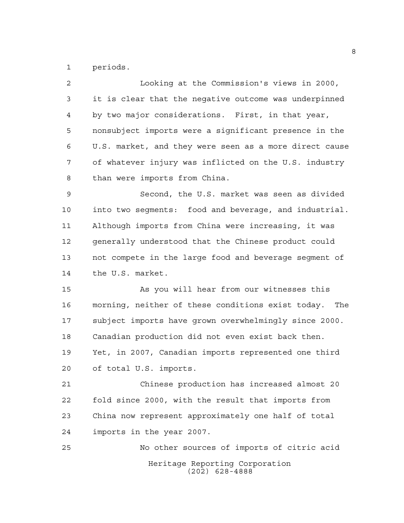periods.

| 2              | Looking at the Commission's views in 2000,             |
|----------------|--------------------------------------------------------|
| 3              | it is clear that the negative outcome was underpinned  |
| $\overline{4}$ | by two major considerations. First, in that year,      |
| 5              | nonsubject imports were a significant presence in the  |
| 6              | U.S. market, and they were seen as a more direct cause |
| 7              | of whatever injury was inflicted on the U.S. industry  |
| 8              | than were imports from China.                          |
| 9              | Second, the U.S. market was seen as divided            |
| 10             | into two seqments: food and beverage, and industrial.  |
| 11             | Although imports from China were increasing, it was    |
| 12             | generally understood that the Chinese product could    |
| 13             | not compete in the large food and beverage segment of  |
| 14             | the U.S. market.                                       |
| 15             | As you will hear from our witnesses this               |
| 16             | morning, neither of these conditions exist today. The  |
| 17             | subject imports have grown overwhelmingly since 2000.  |
| 18             | Canadian production did not even exist back then.      |
| 19             | Yet, in 2007, Canadian imports represented one third   |
| 20             | of total U.S. imports.                                 |
| 21             | Chinese production has increased almost 20             |
| 22             | fold since 2000, with the result that imports from     |
| 23             | China now represent approximately one half of total    |
| 24             | imports in the year 2007.                              |
| 25             | No other sources of imports of citric acid             |
|                | Heritage Reporting Corporation<br>$(202)$ 628-4888     |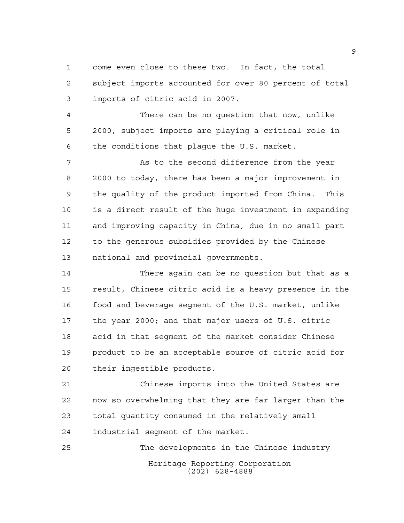come even close to these two. In fact, the total subject imports accounted for over 80 percent of total imports of citric acid in 2007.

 There can be no question that now, unlike 2000, subject imports are playing a critical role in the conditions that plague the U.S. market.

7 As to the second difference from the year 2000 to today, there has been a major improvement in the quality of the product imported from China. This is a direct result of the huge investment in expanding and improving capacity in China, due in no small part to the generous subsidies provided by the Chinese national and provincial governments.

 There again can be no question but that as a result, Chinese citric acid is a heavy presence in the food and beverage segment of the U.S. market, unlike the year 2000; and that major users of U.S. citric acid in that segment of the market consider Chinese product to be an acceptable source of citric acid for their ingestible products.

 Chinese imports into the United States are now so overwhelming that they are far larger than the total quantity consumed in the relatively small industrial segment of the market.

Heritage Reporting Corporation (202) 628-4888 The developments in the Chinese industry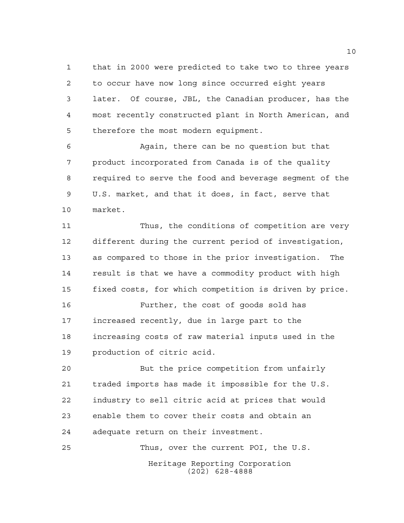that in 2000 were predicted to take two to three years to occur have now long since occurred eight years later. Of course, JBL, the Canadian producer, has the most recently constructed plant in North American, and therefore the most modern equipment.

 Again, there can be no question but that product incorporated from Canada is of the quality required to serve the food and beverage segment of the U.S. market, and that it does, in fact, serve that market.

 Thus, the conditions of competition are very different during the current period of investigation, as compared to those in the prior investigation. The result is that we have a commodity product with high fixed costs, for which competition is driven by price.

 Further, the cost of goods sold has increased recently, due in large part to the increasing costs of raw material inputs used in the production of citric acid.

 But the price competition from unfairly traded imports has made it impossible for the U.S. industry to sell citric acid at prices that would enable them to cover their costs and obtain an adequate return on their investment.

Heritage Reporting Corporation (202) 628-4888 Thus, over the current POI, the U.S.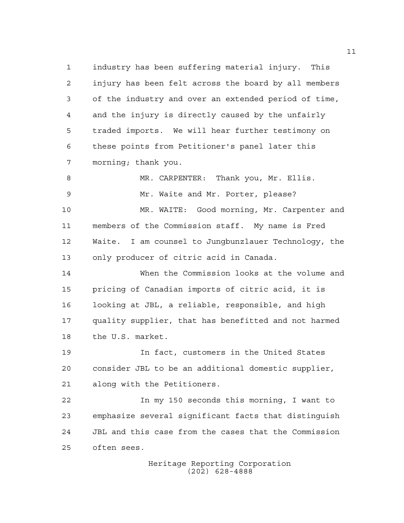industry has been suffering material injury. This injury has been felt across the board by all members of the industry and over an extended period of time, and the injury is directly caused by the unfairly traded imports. We will hear further testimony on these points from Petitioner's panel later this morning; thank you.

 MR. CARPENTER: Thank you, Mr. Ellis. Mr. Waite and Mr. Porter, please? MR. WAITE: Good morning, Mr. Carpenter and members of the Commission staff. My name is Fred Waite. I am counsel to Jungbunzlauer Technology, the only producer of citric acid in Canada.

 When the Commission looks at the volume and pricing of Canadian imports of citric acid, it is looking at JBL, a reliable, responsible, and high quality supplier, that has benefitted and not harmed the U.S. market.

 In fact, customers in the United States consider JBL to be an additional domestic supplier, along with the Petitioners.

 In my 150 seconds this morning, I want to emphasize several significant facts that distinguish JBL and this case from the cases that the Commission often sees.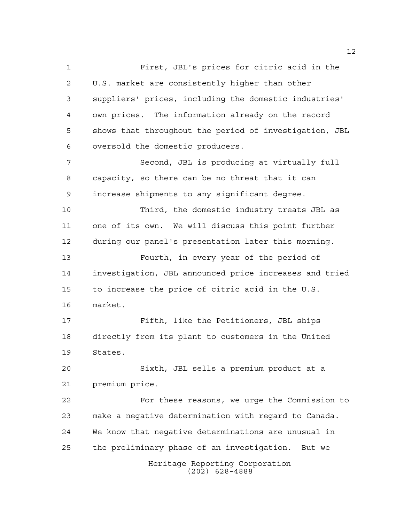Heritage Reporting Corporation First, JBL's prices for citric acid in the U.S. market are consistently higher than other suppliers' prices, including the domestic industries' own prices. The information already on the record shows that throughout the period of investigation, JBL oversold the domestic producers. Second, JBL is producing at virtually full capacity, so there can be no threat that it can increase shipments to any significant degree. Third, the domestic industry treats JBL as one of its own. We will discuss this point further during our panel's presentation later this morning. Fourth, in every year of the period of investigation, JBL announced price increases and tried to increase the price of citric acid in the U.S. market. Fifth, like the Petitioners, JBL ships directly from its plant to customers in the United States. Sixth, JBL sells a premium product at a premium price. For these reasons, we urge the Commission to make a negative determination with regard to Canada. We know that negative determinations are unusual in the preliminary phase of an investigation. But we

(202) 628-4888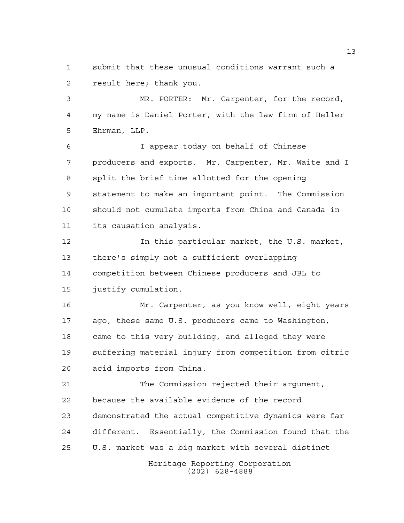submit that these unusual conditions warrant such a result here; thank you.

 MR. PORTER: Mr. Carpenter, for the record, my name is Daniel Porter, with the law firm of Heller Ehrman, LLP.

 I appear today on behalf of Chinese producers and exports. Mr. Carpenter, Mr. Waite and I split the brief time allotted for the opening statement to make an important point. The Commission should not cumulate imports from China and Canada in its causation analysis.

 In this particular market, the U.S. market, there's simply not a sufficient overlapping competition between Chinese producers and JBL to justify cumulation.

 Mr. Carpenter, as you know well, eight years ago, these same U.S. producers came to Washington, came to this very building, and alleged they were suffering material injury from competition from citric acid imports from China.

 The Commission rejected their argument, because the available evidence of the record demonstrated the actual competitive dynamics were far different. Essentially, the Commission found that the U.S. market was a big market with several distinct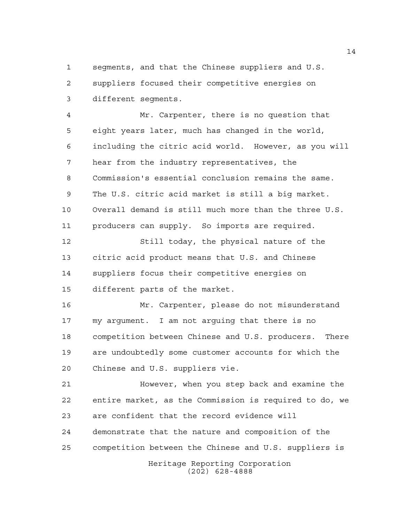segments, and that the Chinese suppliers and U.S. suppliers focused their competitive energies on different segments.

 Mr. Carpenter, there is no question that eight years later, much has changed in the world, including the citric acid world. However, as you will hear from the industry representatives, the Commission's essential conclusion remains the same. The U.S. citric acid market is still a big market. Overall demand is still much more than the three U.S. producers can supply. So imports are required.

 Still today, the physical nature of the citric acid product means that U.S. and Chinese suppliers focus their competitive energies on different parts of the market.

 Mr. Carpenter, please do not misunderstand my argument. I am not arguing that there is no competition between Chinese and U.S. producers. There are undoubtedly some customer accounts for which the Chinese and U.S. suppliers vie.

 However, when you step back and examine the entire market, as the Commission is required to do, we are confident that the record evidence will demonstrate that the nature and composition of the competition between the Chinese and U.S. suppliers is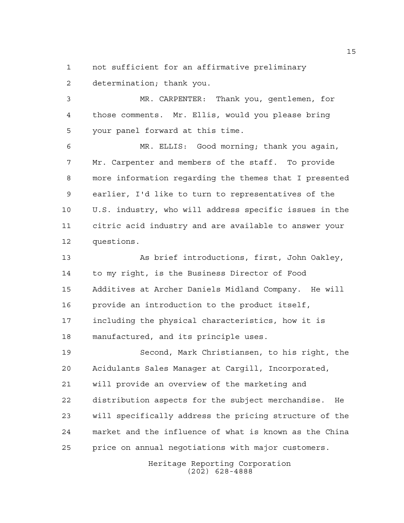not sufficient for an affirmative preliminary

determination; thank you.

 MR. CARPENTER: Thank you, gentlemen, for those comments. Mr. Ellis, would you please bring your panel forward at this time.

 MR. ELLIS: Good morning; thank you again, Mr. Carpenter and members of the staff. To provide more information regarding the themes that I presented earlier, I'd like to turn to representatives of the U.S. industry, who will address specific issues in the citric acid industry and are available to answer your questions.

 As brief introductions, first, John Oakley, to my right, is the Business Director of Food Additives at Archer Daniels Midland Company. He will provide an introduction to the product itself, including the physical characteristics, how it is manufactured, and its principle uses.

 Second, Mark Christiansen, to his right, the Acidulants Sales Manager at Cargill, Incorporated, will provide an overview of the marketing and distribution aspects for the subject merchandise. He will specifically address the pricing structure of the market and the influence of what is known as the China price on annual negotiations with major customers.

> Heritage Reporting Corporation (202) 628-4888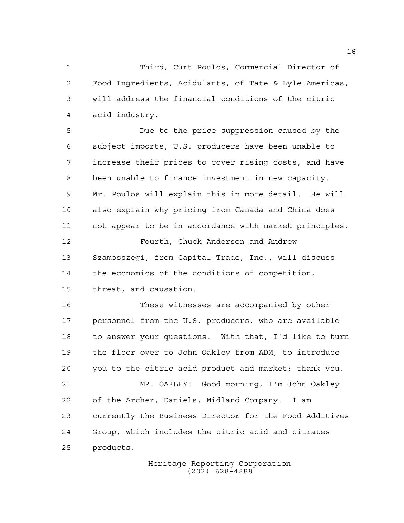Third, Curt Poulos, Commercial Director of Food Ingredients, Acidulants, of Tate & Lyle Americas, will address the financial conditions of the citric acid industry.

 Due to the price suppression caused by the subject imports, U.S. producers have been unable to increase their prices to cover rising costs, and have been unable to finance investment in new capacity. Mr. Poulos will explain this in more detail. He will also explain why pricing from Canada and China does not appear to be in accordance with market principles.

 Fourth, Chuck Anderson and Andrew Szamosszegi, from Capital Trade, Inc., will discuss the economics of the conditions of competition, threat, and causation.

 These witnesses are accompanied by other personnel from the U.S. producers, who are available to answer your questions. With that, I'd like to turn the floor over to John Oakley from ADM, to introduce you to the citric acid product and market; thank you. MR. OAKLEY: Good morning, I'm John Oakley of the Archer, Daniels, Midland Company. I am currently the Business Director for the Food Additives Group, which includes the citric acid and citrates products.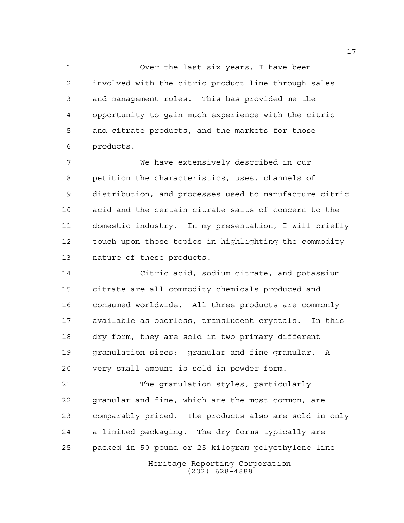Over the last six years, I have been involved with the citric product line through sales and management roles. This has provided me the opportunity to gain much experience with the citric and citrate products, and the markets for those products.

 We have extensively described in our petition the characteristics, uses, channels of distribution, and processes used to manufacture citric acid and the certain citrate salts of concern to the domestic industry. In my presentation, I will briefly touch upon those topics in highlighting the commodity nature of these products.

 Citric acid, sodium citrate, and potassium citrate are all commodity chemicals produced and consumed worldwide. All three products are commonly available as odorless, translucent crystals. In this dry form, they are sold in two primary different granulation sizes: granular and fine granular. A very small amount is sold in powder form.

 The granulation styles, particularly granular and fine, which are the most common, are comparably priced. The products also are sold in only a limited packaging. The dry forms typically are packed in 50 pound or 25 kilogram polyethylene line

Heritage Reporting Corporation (202) 628-4888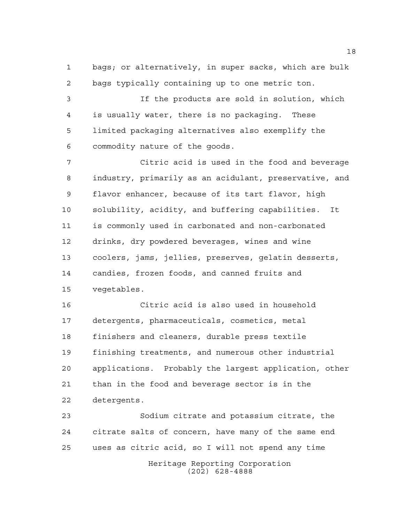bags; or alternatively, in super sacks, which are bulk bags typically containing up to one metric ton.

 If the products are sold in solution, which is usually water, there is no packaging. These limited packaging alternatives also exemplify the commodity nature of the goods.

 Citric acid is used in the food and beverage industry, primarily as an acidulant, preservative, and flavor enhancer, because of its tart flavor, high solubility, acidity, and buffering capabilities. It is commonly used in carbonated and non-carbonated drinks, dry powdered beverages, wines and wine coolers, jams, jellies, preserves, gelatin desserts, candies, frozen foods, and canned fruits and vegetables.

 Citric acid is also used in household detergents, pharmaceuticals, cosmetics, metal finishers and cleaners, durable press textile finishing treatments, and numerous other industrial applications. Probably the largest application, other than in the food and beverage sector is in the detergents.

 Sodium citrate and potassium citrate, the citrate salts of concern, have many of the same end uses as citric acid, so I will not spend any time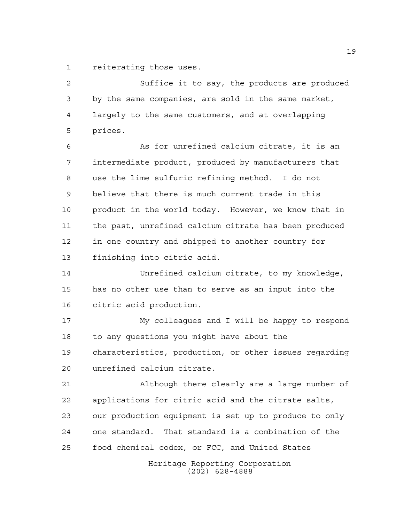reiterating those uses.

Heritage Reporting Corporation Suffice it to say, the products are produced by the same companies, are sold in the same market, largely to the same customers, and at overlapping prices. As for unrefined calcium citrate, it is an intermediate product, produced by manufacturers that use the lime sulfuric refining method. I do not believe that there is much current trade in this product in the world today. However, we know that in the past, unrefined calcium citrate has been produced in one country and shipped to another country for finishing into citric acid. Unrefined calcium citrate, to my knowledge, has no other use than to serve as an input into the citric acid production. My colleagues and I will be happy to respond to any questions you might have about the characteristics, production, or other issues regarding unrefined calcium citrate. Although there clearly are a large number of applications for citric acid and the citrate salts, our production equipment is set up to produce to only one standard. That standard is a combination of the food chemical codex, or FCC, and United States

(202) 628-4888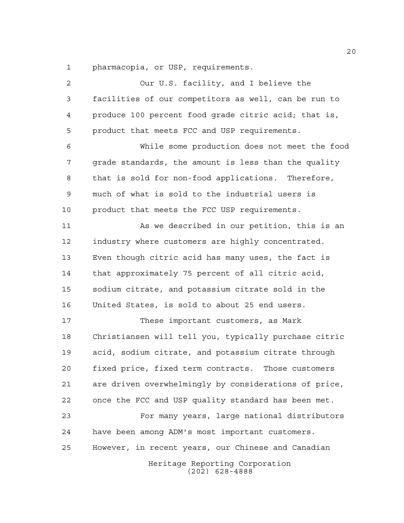pharmacopia, or USP, requirements.

| 2  | Our U.S. facility, and I believe the                  |
|----|-------------------------------------------------------|
| 3  | facilities of our competitors as well, can be run to  |
| 4  | produce 100 percent food grade citric acid; that is,  |
| 5  | product that meets FCC and USP requirements.          |
| 6  | While some production does not meet the food          |
| 7  | grade standards, the amount is less than the quality  |
| 8  | that is sold for non-food applications. Therefore,    |
| 9  | much of what is sold to the industrial users is       |
| 10 | product that meets the FCC USP requirements.          |
| 11 | As we described in our petition, this is an           |
| 12 | industry where customers are highly concentrated.     |
| 13 | Even though citric acid has many uses, the fact is    |
| 14 | that approximately 75 percent of all citric acid,     |
| 15 | sodium citrate, and potassium citrate sold in the     |
| 16 | United States, is sold to about 25 end users.         |
| 17 | These important customers, as Mark                    |
| 18 | Christiansen will tell you, typically purchase citric |
| 19 | acid, sodium citrate, and potassium citrate through   |
| 20 | fixed price, fixed term contracts. Those customers    |
| 21 | are driven overwhelmingly by considerations of price, |
| 22 | once the FCC and USP quality standard has been met.   |
| 23 | For many years, large national distributors           |
| 24 | have been among ADM's most important customers.       |
| 25 | However, in recent years, our Chinese and Canadian    |
|    | Heritage Reporting Corporation<br>$(202)$ 628-4888    |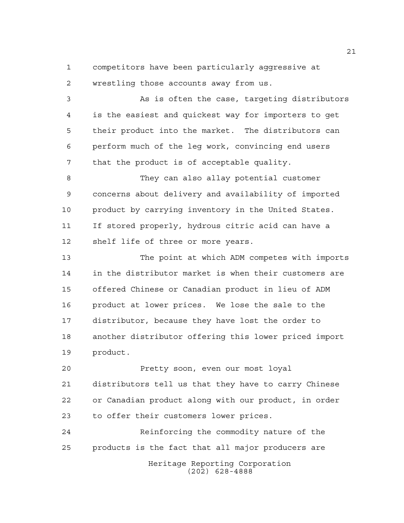competitors have been particularly aggressive at wrestling those accounts away from us.

 As is often the case, targeting distributors is the easiest and quickest way for importers to get their product into the market. The distributors can perform much of the leg work, convincing end users that the product is of acceptable quality.

 They can also allay potential customer concerns about delivery and availability of imported product by carrying inventory in the United States. If stored properly, hydrous citric acid can have a shelf life of three or more years.

 The point at which ADM competes with imports in the distributor market is when their customers are offered Chinese or Canadian product in lieu of ADM product at lower prices. We lose the sale to the distributor, because they have lost the order to another distributor offering this lower priced import product.

 Pretty soon, even our most loyal distributors tell us that they have to carry Chinese or Canadian product along with our product, in order to offer their customers lower prices.

Heritage Reporting Corporation (202) 628-4888 Reinforcing the commodity nature of the products is the fact that all major producers are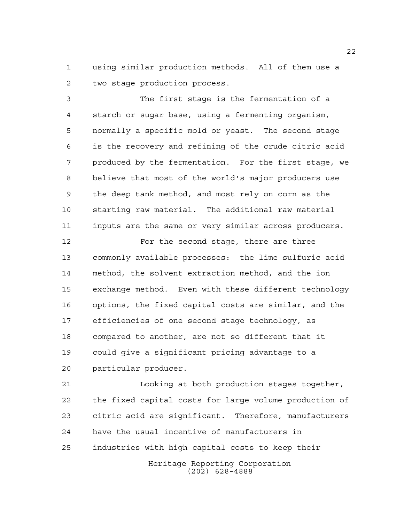using similar production methods. All of them use a two stage production process.

 The first stage is the fermentation of a starch or sugar base, using a fermenting organism, normally a specific mold or yeast. The second stage is the recovery and refining of the crude citric acid produced by the fermentation. For the first stage, we believe that most of the world's major producers use the deep tank method, and most rely on corn as the starting raw material. The additional raw material inputs are the same or very similar across producers.

 For the second stage, there are three commonly available processes: the lime sulfuric acid method, the solvent extraction method, and the ion exchange method. Even with these different technology options, the fixed capital costs are similar, and the efficiencies of one second stage technology, as compared to another, are not so different that it could give a significant pricing advantage to a particular producer.

 Looking at both production stages together, the fixed capital costs for large volume production of citric acid are significant. Therefore, manufacturers have the usual incentive of manufacturers in industries with high capital costs to keep their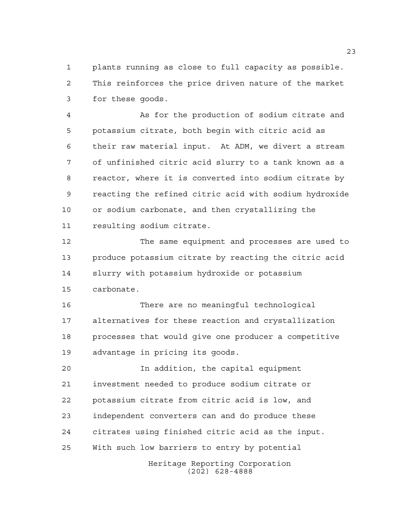plants running as close to full capacity as possible. This reinforces the price driven nature of the market for these goods.

 As for the production of sodium citrate and potassium citrate, both begin with citric acid as their raw material input. At ADM, we divert a stream of unfinished citric acid slurry to a tank known as a reactor, where it is converted into sodium citrate by reacting the refined citric acid with sodium hydroxide or sodium carbonate, and then crystallizing the resulting sodium citrate.

 The same equipment and processes are used to produce potassium citrate by reacting the citric acid slurry with potassium hydroxide or potassium carbonate.

 There are no meaningful technological alternatives for these reaction and crystallization processes that would give one producer a competitive advantage in pricing its goods.

 In addition, the capital equipment investment needed to produce sodium citrate or potassium citrate from citric acid is low, and independent converters can and do produce these citrates using finished citric acid as the input. With such low barriers to entry by potential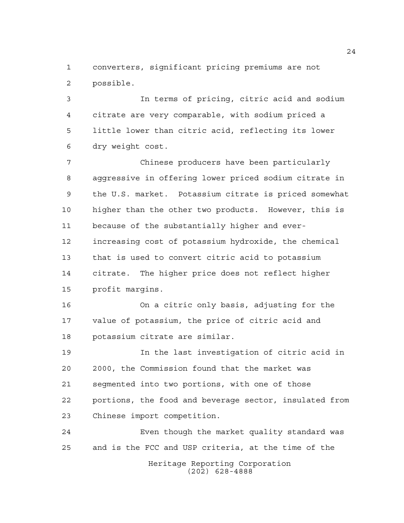converters, significant pricing premiums are not possible.

 In terms of pricing, citric acid and sodium citrate are very comparable, with sodium priced a little lower than citric acid, reflecting its lower dry weight cost.

 Chinese producers have been particularly aggressive in offering lower priced sodium citrate in the U.S. market. Potassium citrate is priced somewhat higher than the other two products. However, this is because of the substantially higher and ever- increasing cost of potassium hydroxide, the chemical that is used to convert citric acid to potassium citrate. The higher price does not reflect higher profit margins.

 On a citric only basis, adjusting for the value of potassium, the price of citric acid and potassium citrate are similar.

 In the last investigation of citric acid in 2000, the Commission found that the market was segmented into two portions, with one of those portions, the food and beverage sector, insulated from Chinese import competition.

Heritage Reporting Corporation Even though the market quality standard was and is the FCC and USP criteria, at the time of the

(202) 628-4888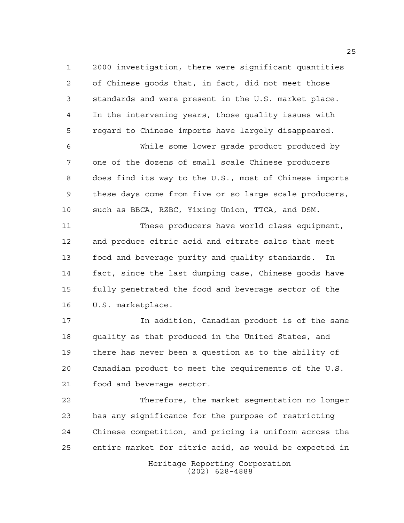2000 investigation, there were significant quantities of Chinese goods that, in fact, did not meet those standards and were present in the U.S. market place. In the intervening years, those quality issues with regard to Chinese imports have largely disappeared.

 While some lower grade product produced by one of the dozens of small scale Chinese producers does find its way to the U.S., most of Chinese imports these days come from five or so large scale producers, such as BBCA, RZBC, Yixing Union, TTCA, and DSM.

 These producers have world class equipment, and produce citric acid and citrate salts that meet food and beverage purity and quality standards. In fact, since the last dumping case, Chinese goods have fully penetrated the food and beverage sector of the U.S. marketplace.

 In addition, Canadian product is of the same quality as that produced in the United States, and there has never been a question as to the ability of Canadian product to meet the requirements of the U.S. food and beverage sector.

 Therefore, the market segmentation no longer has any significance for the purpose of restricting Chinese competition, and pricing is uniform across the entire market for citric acid, as would be expected in

> Heritage Reporting Corporation (202) 628-4888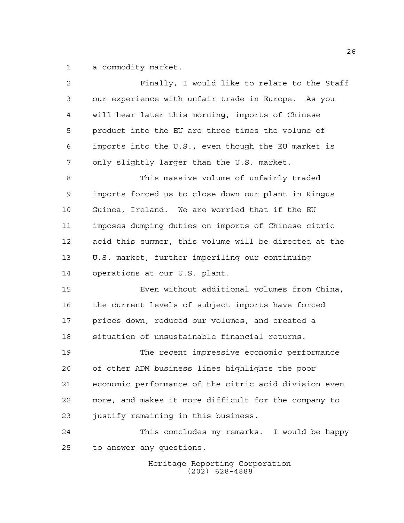a commodity market.

| $\overline{2}$ | Finally, I would like to relate to the Staff          |
|----------------|-------------------------------------------------------|
| 3              | our experience with unfair trade in Europe. As you    |
| 4              | will hear later this morning, imports of Chinese      |
| 5              | product into the EU are three times the volume of     |
| 6              | imports into the U.S., even though the EU market is   |
| 7              | only slightly larger than the U.S. market.            |
| 8              | This massive volume of unfairly traded                |
| $\mathsf 9$    | imports forced us to close down our plant in Ringus   |
| 10             | Guinea, Ireland. We are worried that if the EU        |
| 11             | imposes dumping duties on imports of Chinese citric   |
| 12             | acid this summer, this volume will be directed at the |
| 13             | U.S. market, further imperiling our continuing        |
| 14             | operations at our U.S. plant.                         |
| 15             | Even without additional volumes from China,           |
| 16             | the current levels of subject imports have forced     |
| 17             | prices down, reduced our volumes, and created a       |
| 18             | situation of unsustainable financial returns.         |
| 19             | The recent impressive economic performance            |
| 20             | of other ADM business lines highlights the poor       |
| 21             | economic performance of the citric acid division even |
| 22             | more, and makes it more difficult for the company to  |
| 23             | justify remaining in this business.                   |
| 24             | This concludes my remarks. I would be happy           |
| 25             | to answer any questions.                              |
|                | Heritage Reporting Corporation                        |

(202) 628-4888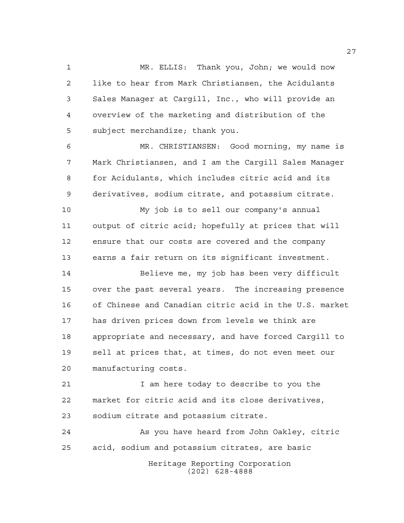MR. ELLIS: Thank you, John; we would now like to hear from Mark Christiansen, the Acidulants Sales Manager at Cargill, Inc., who will provide an overview of the marketing and distribution of the subject merchandize; thank you.

 MR. CHRISTIANSEN: Good morning, my name is Mark Christiansen, and I am the Cargill Sales Manager for Acidulants, which includes citric acid and its derivatives, sodium citrate, and potassium citrate.

 My job is to sell our company's annual output of citric acid; hopefully at prices that will ensure that our costs are covered and the company earns a fair return on its significant investment.

 Believe me, my job has been very difficult over the past several years. The increasing presence of Chinese and Canadian citric acid in the U.S. market has driven prices down from levels we think are appropriate and necessary, and have forced Cargill to sell at prices that, at times, do not even meet our manufacturing costs.

 I am here today to describe to you the market for citric acid and its close derivatives, sodium citrate and potassium citrate.

 As you have heard from John Oakley, citric acid, sodium and potassium citrates, are basic

Heritage Reporting Corporation (202) 628-4888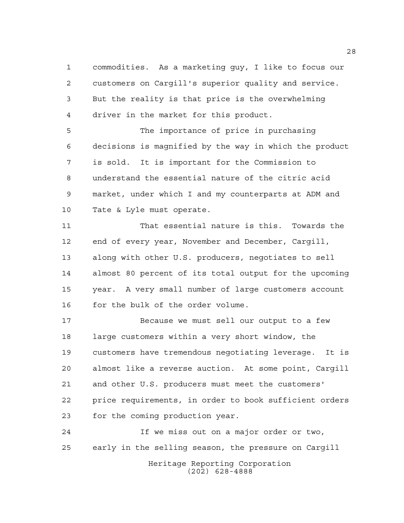commodities. As a marketing guy, I like to focus our customers on Cargill's superior quality and service. But the reality is that price is the overwhelming driver in the market for this product.

 The importance of price in purchasing decisions is magnified by the way in which the product is sold. It is important for the Commission to understand the essential nature of the citric acid market, under which I and my counterparts at ADM and Tate & Lyle must operate.

 That essential nature is this. Towards the end of every year, November and December, Cargill, along with other U.S. producers, negotiates to sell almost 80 percent of its total output for the upcoming year. A very small number of large customers account 16 for the bulk of the order volume.

 Because we must sell our output to a few large customers within a very short window, the customers have tremendous negotiating leverage. It is almost like a reverse auction. At some point, Cargill and other U.S. producers must meet the customers' price requirements, in order to book sufficient orders for the coming production year.

 If we miss out on a major order or two, early in the selling season, the pressure on Cargill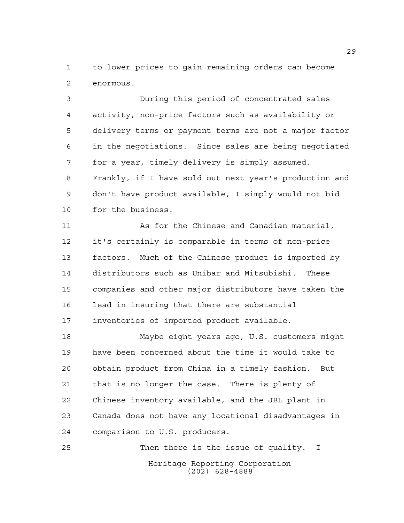to lower prices to gain remaining orders can become enormous.

 During this period of concentrated sales activity, non-price factors such as availability or delivery terms or payment terms are not a major factor in the negotiations. Since sales are being negotiated for a year, timely delivery is simply assumed. Frankly, if I have sold out next year's production and don't have product available, I simply would not bid for the business.

 As for the Chinese and Canadian material, it's certainly is comparable in terms of non-price factors. Much of the Chinese product is imported by distributors such as Unibar and Mitsubishi. These companies and other major distributors have taken the lead in insuring that there are substantial inventories of imported product available.

 Maybe eight years ago, U.S. customers might have been concerned about the time it would take to obtain product from China in a timely fashion. But that is no longer the case. There is plenty of Chinese inventory available, and the JBL plant in Canada does not have any locational disadvantages in comparison to U.S. producers.

Heritage Reporting Corporation (202) 628-4888 Then there is the issue of quality. I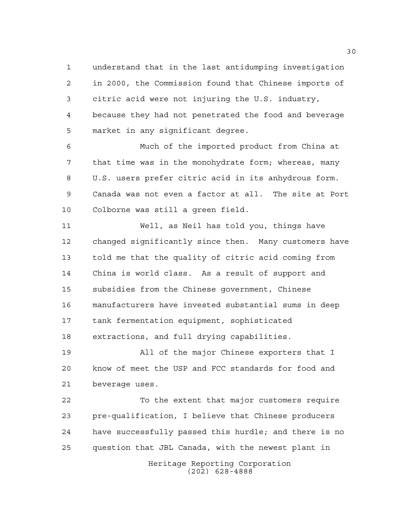understand that in the last antidumping investigation in 2000, the Commission found that Chinese imports of citric acid were not injuring the U.S. industry, because they had not penetrated the food and beverage market in any significant degree.

 Much of the imported product from China at that time was in the monohydrate form; whereas, many U.S. users prefer citric acid in its anhydrous form. Canada was not even a factor at all. The site at Port Colborne was still a green field.

 Well, as Neil has told you, things have changed significantly since then. Many customers have told me that the quality of citric acid coming from China is world class. As a result of support and subsidies from the Chinese government, Chinese manufacturers have invested substantial sums in deep tank fermentation equipment, sophisticated extractions, and full drying capabilities.

 All of the major Chinese exporters that I know of meet the USP and FCC standards for food and beverage uses.

Heritage Reporting Corporation (202) 628-4888 To the extent that major customers require pre-qualification, I believe that Chinese producers have successfully passed this hurdle; and there is no question that JBL Canada, with the newest plant in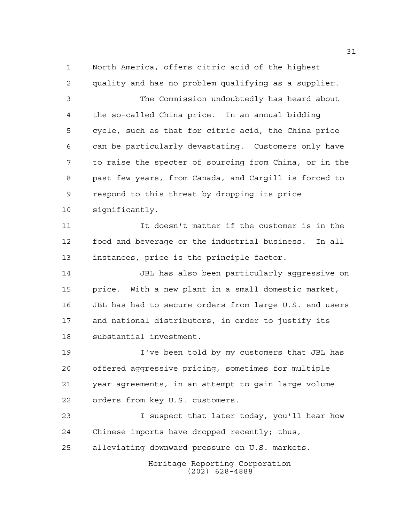North America, offers citric acid of the highest quality and has no problem qualifying as a supplier. The Commission undoubtedly has heard about the so-called China price. In an annual bidding cycle, such as that for citric acid, the China price can be particularly devastating. Customers only have to raise the specter of sourcing from China, or in the past few years, from Canada, and Cargill is forced to respond to this threat by dropping its price significantly. It doesn't matter if the customer is in the food and beverage or the industrial business. In all instances, price is the principle factor. JBL has also been particularly aggressive on price. With a new plant in a small domestic market, JBL has had to secure orders from large U.S. end users and national distributors, in order to justify its substantial investment. I've been told by my customers that JBL has offered aggressive pricing, sometimes for multiple year agreements, in an attempt to gain large volume orders from key U.S. customers.

 I suspect that later today, you'll hear how Chinese imports have dropped recently; thus, alleviating downward pressure on U.S. markets.

> Heritage Reporting Corporation (202) 628-4888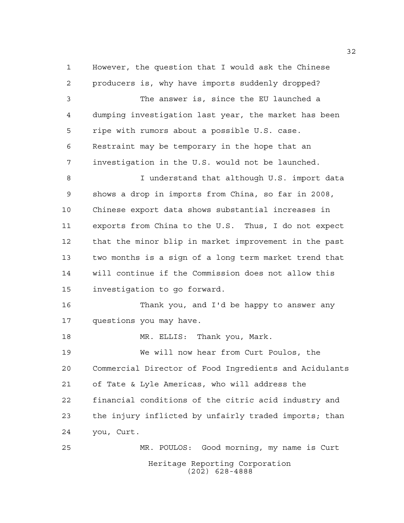However, the question that I would ask the Chinese producers is, why have imports suddenly dropped?

 The answer is, since the EU launched a dumping investigation last year, the market has been ripe with rumors about a possible U.S. case. Restraint may be temporary in the hope that an investigation in the U.S. would not be launched. I understand that although U.S. import data shows a drop in imports from China, so far in 2008, Chinese export data shows substantial increases in exports from China to the U.S. Thus, I do not expect that the minor blip in market improvement in the past two months is a sign of a long term market trend that will continue if the Commission does not allow this investigation to go forward. Thank you, and I'd be happy to answer any

questions you may have.

18 MR. ELLIS: Thank you, Mark. We will now hear from Curt Poulos, the Commercial Director of Food Ingredients and Acidulants of Tate & Lyle Americas, who will address the financial conditions of the citric acid industry and the injury inflicted by unfairly traded imports; than you, Curt. MR. POULOS: Good morning, my name is Curt

Heritage Reporting Corporation (202) 628-4888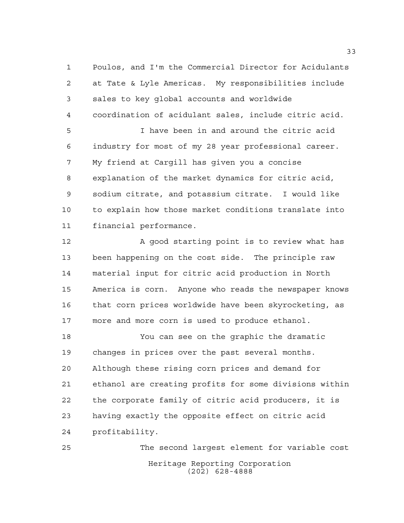Poulos, and I'm the Commercial Director for Acidulants at Tate & Lyle Americas. My responsibilities include sales to key global accounts and worldwide coordination of acidulant sales, include citric acid.

 I have been in and around the citric acid industry for most of my 28 year professional career. My friend at Cargill has given you a concise explanation of the market dynamics for citric acid, sodium citrate, and potassium citrate. I would like to explain how those market conditions translate into financial performance.

12 A good starting point is to review what has been happening on the cost side. The principle raw material input for citric acid production in North America is corn. Anyone who reads the newspaper knows that corn prices worldwide have been skyrocketing, as more and more corn is used to produce ethanol.

 You can see on the graphic the dramatic changes in prices over the past several months. Although these rising corn prices and demand for ethanol are creating profits for some divisions within the corporate family of citric acid producers, it is having exactly the opposite effect on citric acid profitability.

Heritage Reporting Corporation (202) 628-4888 The second largest element for variable cost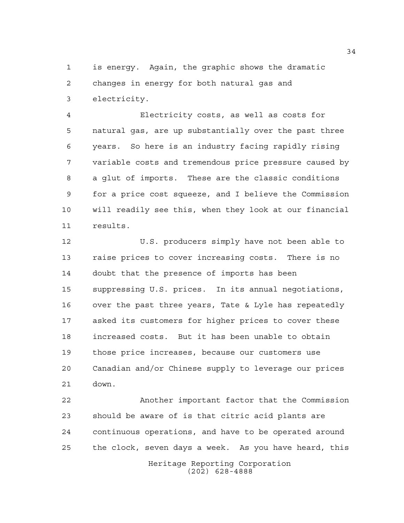is energy. Again, the graphic shows the dramatic changes in energy for both natural gas and electricity.

 Electricity costs, as well as costs for natural gas, are up substantially over the past three years. So here is an industry facing rapidly rising variable costs and tremendous price pressure caused by a glut of imports. These are the classic conditions for a price cost squeeze, and I believe the Commission will readily see this, when they look at our financial results.

 U.S. producers simply have not been able to raise prices to cover increasing costs. There is no doubt that the presence of imports has been suppressing U.S. prices. In its annual negotiations, over the past three years, Tate & Lyle has repeatedly asked its customers for higher prices to cover these increased costs. But it has been unable to obtain those price increases, because our customers use Canadian and/or Chinese supply to leverage our prices down.

 Another important factor that the Commission should be aware of is that citric acid plants are continuous operations, and have to be operated around the clock, seven days a week. As you have heard, this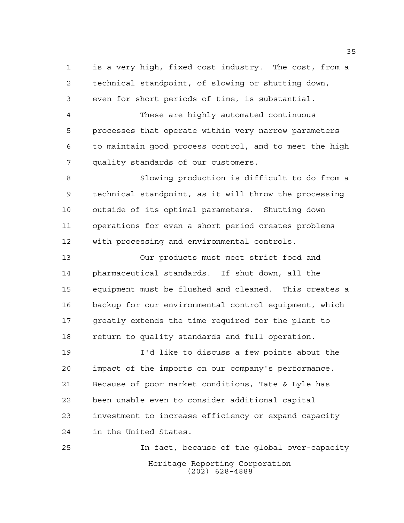is a very high, fixed cost industry. The cost, from a technical standpoint, of slowing or shutting down, even for short periods of time, is substantial.

 These are highly automated continuous processes that operate within very narrow parameters to maintain good process control, and to meet the high quality standards of our customers.

 Slowing production is difficult to do from a technical standpoint, as it will throw the processing outside of its optimal parameters. Shutting down operations for even a short period creates problems with processing and environmental controls.

 Our products must meet strict food and pharmaceutical standards. If shut down, all the equipment must be flushed and cleaned. This creates a backup for our environmental control equipment, which 17 greatly extends the time required for the plant to return to quality standards and full operation.

 I'd like to discuss a few points about the impact of the imports on our company's performance. Because of poor market conditions, Tate & Lyle has been unable even to consider additional capital investment to increase efficiency or expand capacity in the United States.

Heritage Reporting Corporation (202) 628-4888 In fact, because of the global over-capacity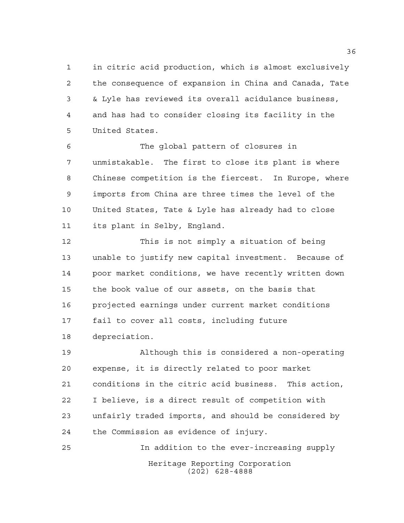in citric acid production, which is almost exclusively the consequence of expansion in China and Canada, Tate & Lyle has reviewed its overall acidulance business, and has had to consider closing its facility in the United States.

 The global pattern of closures in unmistakable. The first to close its plant is where Chinese competition is the fiercest. In Europe, where imports from China are three times the level of the United States, Tate & Lyle has already had to close its plant in Selby, England.

 This is not simply a situation of being unable to justify new capital investment. Because of poor market conditions, we have recently written down the book value of our assets, on the basis that projected earnings under current market conditions fail to cover all costs, including future depreciation.

 Although this is considered a non-operating expense, it is directly related to poor market conditions in the citric acid business. This action, I believe, is a direct result of competition with unfairly traded imports, and should be considered by the Commission as evidence of injury.

Heritage Reporting Corporation (202) 628-4888 In addition to the ever-increasing supply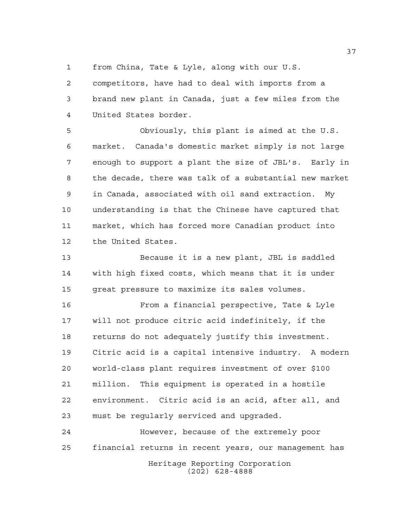from China, Tate & Lyle, along with our U.S.

 competitors, have had to deal with imports from a brand new plant in Canada, just a few miles from the United States border.

 Obviously, this plant is aimed at the U.S. market. Canada's domestic market simply is not large enough to support a plant the size of JBL's. Early in the decade, there was talk of a substantial new market in Canada, associated with oil sand extraction. My understanding is that the Chinese have captured that market, which has forced more Canadian product into the United States.

 Because it is a new plant, JBL is saddled with high fixed costs, which means that it is under great pressure to maximize its sales volumes.

 From a financial perspective, Tate & Lyle will not produce citric acid indefinitely, if the returns do not adequately justify this investment. Citric acid is a capital intensive industry. A modern world-class plant requires investment of over \$100 million. This equipment is operated in a hostile environment. Citric acid is an acid, after all, and must be regularly serviced and upgraded.

Heritage Reporting Corporation (202) 628-4888 However, because of the extremely poor financial returns in recent years, our management has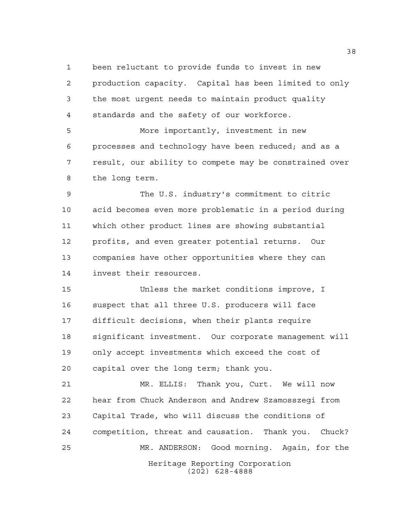been reluctant to provide funds to invest in new production capacity. Capital has been limited to only

 the most urgent needs to maintain product quality standards and the safety of our workforce.

 More importantly, investment in new processes and technology have been reduced; and as a result, our ability to compete may be constrained over the long term.

 The U.S. industry's commitment to citric acid becomes even more problematic in a period during which other product lines are showing substantial profits, and even greater potential returns. Our companies have other opportunities where they can invest their resources.

 Unless the market conditions improve, I suspect that all three U.S. producers will face difficult decisions, when their plants require significant investment. Our corporate management will only accept investments which exceed the cost of capital over the long term; thank you.

Heritage Reporting Corporation (202) 628-4888 MR. ELLIS: Thank you, Curt. We will now hear from Chuck Anderson and Andrew Szamosszegi from Capital Trade, who will discuss the conditions of competition, threat and causation. Thank you. Chuck? MR. ANDERSON: Good morning. Again, for the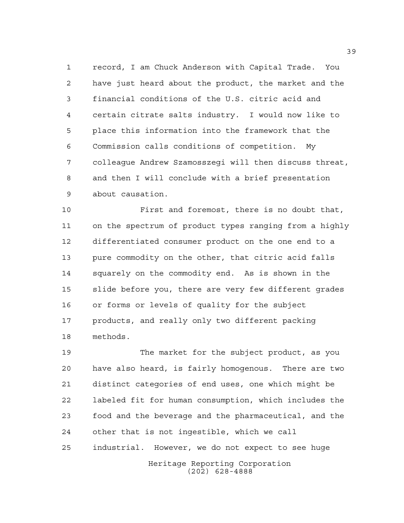record, I am Chuck Anderson with Capital Trade. You have just heard about the product, the market and the financial conditions of the U.S. citric acid and certain citrate salts industry. I would now like to place this information into the framework that the Commission calls conditions of competition. My colleague Andrew Szamosszegi will then discuss threat, and then I will conclude with a brief presentation about causation.

 First and foremost, there is no doubt that, on the spectrum of product types ranging from a highly differentiated consumer product on the one end to a pure commodity on the other, that citric acid falls squarely on the commodity end. As is shown in the slide before you, there are very few different grades or forms or levels of quality for the subject products, and really only two different packing methods.

Heritage Reporting Corporation The market for the subject product, as you have also heard, is fairly homogenous. There are two distinct categories of end uses, one which might be labeled fit for human consumption, which includes the food and the beverage and the pharmaceutical, and the other that is not ingestible, which we call industrial. However, we do not expect to see huge

(202) 628-4888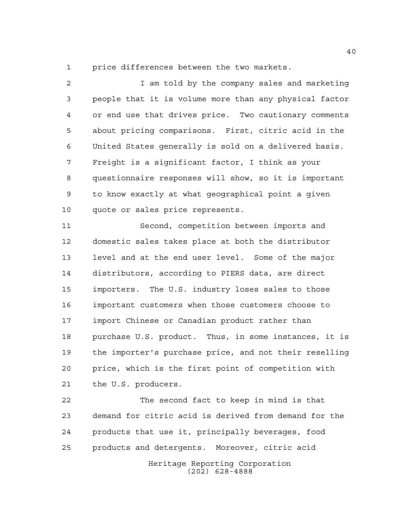price differences between the two markets.

 I am told by the company sales and marketing people that it is volume more than any physical factor or end use that drives price. Two cautionary comments about pricing comparisons. First, citric acid in the United States generally is sold on a delivered basis. Freight is a significant factor, I think as your questionnaire responses will show, so it is important to know exactly at what geographical point a given quote or sales price represents.

 Second, competition between imports and domestic sales takes place at both the distributor level and at the end user level. Some of the major distributors, according to PIERS data, are direct importers. The U.S. industry loses sales to those important customers when those customers choose to import Chinese or Canadian product rather than purchase U.S. product. Thus, in some instances, it is the importer's purchase price, and not their reselling price, which is the first point of competition with the U.S. producers.

Heritage Reporting Corporation (202) 628-4888 The second fact to keep in mind is that demand for citric acid is derived from demand for the products that use it, principally beverages, food products and detergents. Moreover, citric acid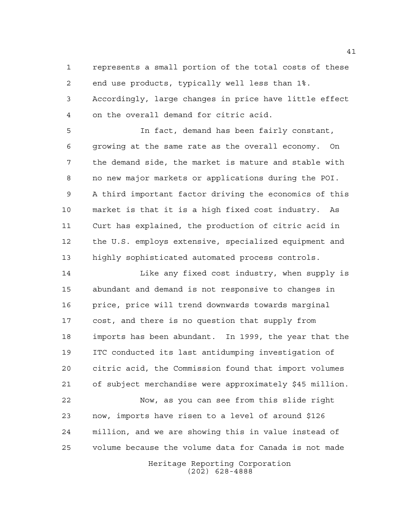represents a small portion of the total costs of these end use products, typically well less than 1%. Accordingly, large changes in price have little effect on the overall demand for citric acid.

 In fact, demand has been fairly constant, growing at the same rate as the overall economy. On the demand side, the market is mature and stable with no new major markets or applications during the POI. A third important factor driving the economics of this market is that it is a high fixed cost industry. As Curt has explained, the production of citric acid in the U.S. employs extensive, specialized equipment and highly sophisticated automated process controls.

 Like any fixed cost industry, when supply is abundant and demand is not responsive to changes in price, price will trend downwards towards marginal cost, and there is no question that supply from imports has been abundant. In 1999, the year that the ITC conducted its last antidumping investigation of citric acid, the Commission found that import volumes of subject merchandise were approximately \$45 million. Now, as you can see from this slide right

 now, imports have risen to a level of around \$126 million, and we are showing this in value instead of volume because the volume data for Canada is not made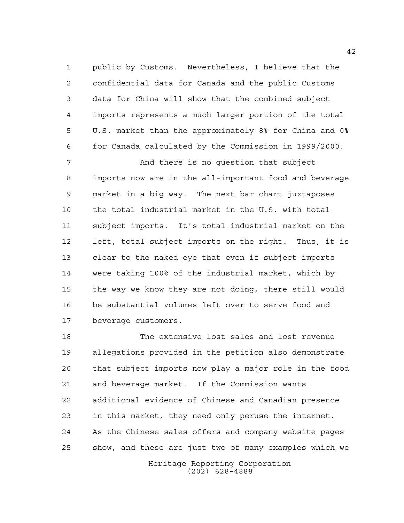public by Customs. Nevertheless, I believe that the confidential data for Canada and the public Customs data for China will show that the combined subject imports represents a much larger portion of the total U.S. market than the approximately 8% for China and 0% for Canada calculated by the Commission in 1999/2000.

 And there is no question that subject imports now are in the all-important food and beverage market in a big way. The next bar chart juxtaposes the total industrial market in the U.S. with total subject imports. It's total industrial market on the left, total subject imports on the right. Thus, it is clear to the naked eye that even if subject imports were taking 100% of the industrial market, which by the way we know they are not doing, there still would be substantial volumes left over to serve food and beverage customers.

 The extensive lost sales and lost revenue allegations provided in the petition also demonstrate that subject imports now play a major role in the food and beverage market. If the Commission wants additional evidence of Chinese and Canadian presence in this market, they need only peruse the internet. As the Chinese sales offers and company website pages show, and these are just two of many examples which we

> Heritage Reporting Corporation (202) 628-4888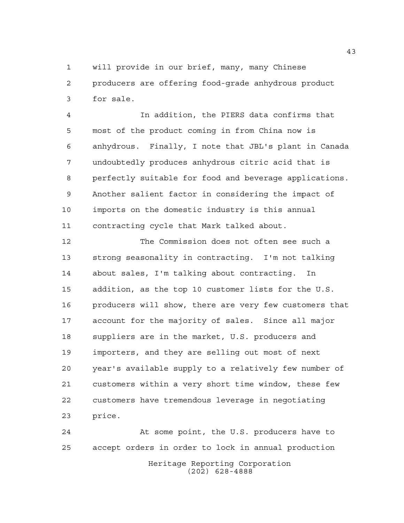will provide in our brief, many, many Chinese producers are offering food-grade anhydrous product for sale.

 In addition, the PIERS data confirms that most of the product coming in from China now is anhydrous. Finally, I note that JBL's plant in Canada undoubtedly produces anhydrous citric acid that is perfectly suitable for food and beverage applications. Another salient factor in considering the impact of imports on the domestic industry is this annual contracting cycle that Mark talked about.

 The Commission does not often see such a strong seasonality in contracting. I'm not talking about sales, I'm talking about contracting. In addition, as the top 10 customer lists for the U.S. producers will show, there are very few customers that account for the majority of sales. Since all major suppliers are in the market, U.S. producers and importers, and they are selling out most of next year's available supply to a relatively few number of customers within a very short time window, these few customers have tremendous leverage in negotiating price.

Heritage Reporting Corporation (202) 628-4888 At some point, the U.S. producers have to accept orders in order to lock in annual production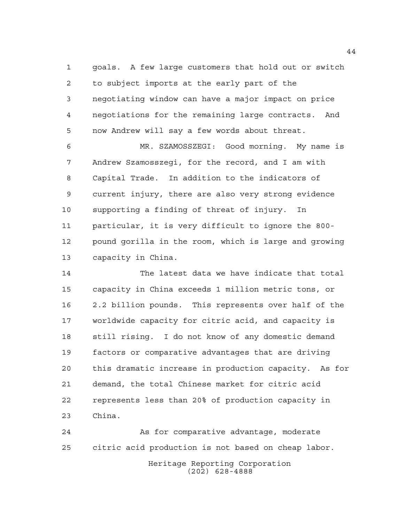goals. A few large customers that hold out or switch to subject imports at the early part of the negotiating window can have a major impact on price negotiations for the remaining large contracts. And now Andrew will say a few words about threat.

 MR. SZAMOSSZEGI: Good morning. My name is Andrew Szamosszegi, for the record, and I am with Capital Trade. In addition to the indicators of current injury, there are also very strong evidence supporting a finding of threat of injury. In particular, it is very difficult to ignore the 800- pound gorilla in the room, which is large and growing capacity in China.

 The latest data we have indicate that total capacity in China exceeds 1 million metric tons, or 2.2 billion pounds. This represents over half of the worldwide capacity for citric acid, and capacity is still rising. I do not know of any domestic demand factors or comparative advantages that are driving this dramatic increase in production capacity. As for demand, the total Chinese market for citric acid represents less than 20% of production capacity in China.

Heritage Reporting Corporation (202) 628-4888 As for comparative advantage, moderate citric acid production is not based on cheap labor.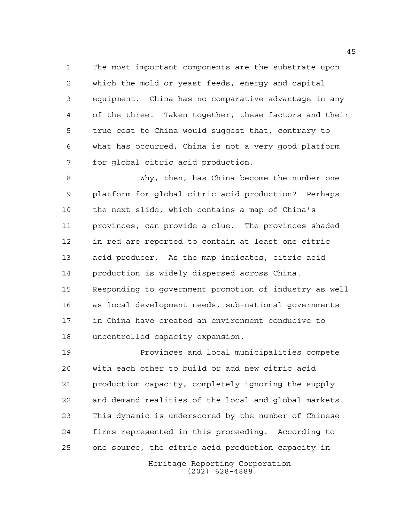The most important components are the substrate upon which the mold or yeast feeds, energy and capital equipment. China has no comparative advantage in any of the three. Taken together, these factors and their true cost to China would suggest that, contrary to what has occurred, China is not a very good platform for global citric acid production.

 Why, then, has China become the number one platform for global citric acid production? Perhaps the next slide, which contains a map of China's provinces, can provide a clue. The provinces shaded in red are reported to contain at least one citric acid producer. As the map indicates, citric acid production is widely dispersed across China. Responding to government promotion of industry as well as local development needs, sub-national governments in China have created an environment conducive to uncontrolled capacity expansion.

 Provinces and local municipalities compete with each other to build or add new citric acid production capacity, completely ignoring the supply and demand realities of the local and global markets. This dynamic is underscored by the number of Chinese firms represented in this proceeding. According to one source, the citric acid production capacity in

> Heritage Reporting Corporation (202) 628-4888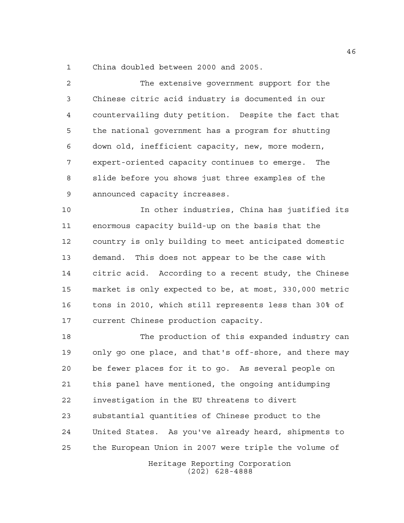China doubled between 2000 and 2005.

 The extensive government support for the Chinese citric acid industry is documented in our countervailing duty petition. Despite the fact that the national government has a program for shutting down old, inefficient capacity, new, more modern, expert-oriented capacity continues to emerge. The slide before you shows just three examples of the announced capacity increases.

 In other industries, China has justified its enormous capacity build-up on the basis that the country is only building to meet anticipated domestic demand. This does not appear to be the case with citric acid. According to a recent study, the Chinese market is only expected to be, at most, 330,000 metric tons in 2010, which still represents less than 30% of current Chinese production capacity.

 The production of this expanded industry can only go one place, and that's off-shore, and there may be fewer places for it to go. As several people on this panel have mentioned, the ongoing antidumping investigation in the EU threatens to divert substantial quantities of Chinese product to the United States. As you've already heard, shipments to the European Union in 2007 were triple the volume of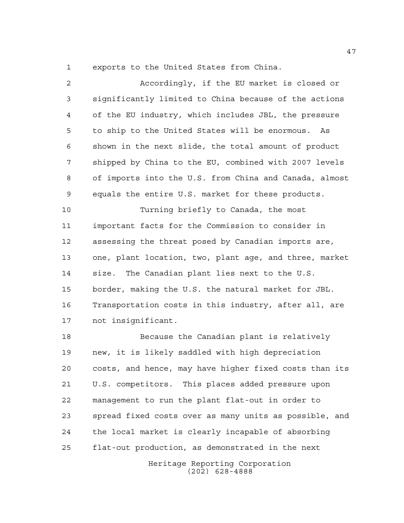exports to the United States from China.

 Accordingly, if the EU market is closed or significantly limited to China because of the actions of the EU industry, which includes JBL, the pressure to ship to the United States will be enormous. As shown in the next slide, the total amount of product shipped by China to the EU, combined with 2007 levels of imports into the U.S. from China and Canada, almost equals the entire U.S. market for these products. Turning briefly to Canada, the most important facts for the Commission to consider in assessing the threat posed by Canadian imports are, one, plant location, two, plant age, and three, market size. The Canadian plant lies next to the U.S. border, making the U.S. the natural market for JBL. Transportation costs in this industry, after all, are not insignificant. Because the Canadian plant is relatively

 new, it is likely saddled with high depreciation costs, and hence, may have higher fixed costs than its U.S. competitors. This places added pressure upon management to run the plant flat-out in order to spread fixed costs over as many units as possible, and the local market is clearly incapable of absorbing flat-out production, as demonstrated in the next

> Heritage Reporting Corporation (202) 628-4888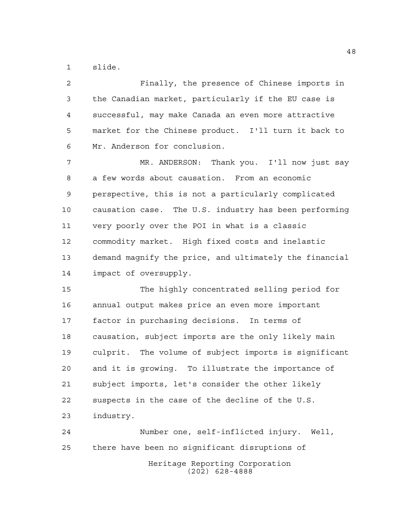slide.

 Finally, the presence of Chinese imports in the Canadian market, particularly if the EU case is successful, may make Canada an even more attractive market for the Chinese product. I'll turn it back to Mr. Anderson for conclusion. MR. ANDERSON: Thank you. I'll now just say a few words about causation. From an economic perspective, this is not a particularly complicated causation case. The U.S. industry has been performing very poorly over the POI in what is a classic commodity market. High fixed costs and inelastic demand magnify the price, and ultimately the financial impact of oversupply. The highly concentrated selling period for annual output makes price an even more important factor in purchasing decisions. In terms of causation, subject imports are the only likely main culprit. The volume of subject imports is significant and it is growing. To illustrate the importance of subject imports, let's consider the other likely suspects in the case of the decline of the U.S. industry. Number one, self-inflicted injury. Well, there have been no significant disruptions of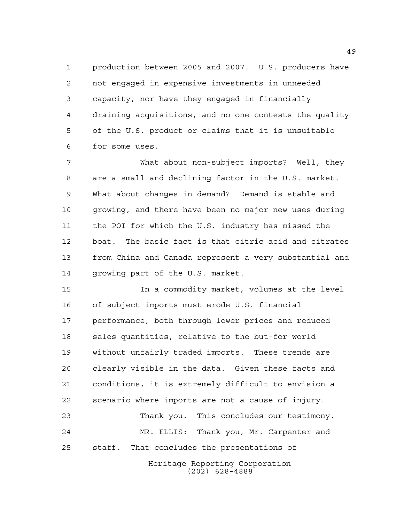production between 2005 and 2007. U.S. producers have not engaged in expensive investments in unneeded capacity, nor have they engaged in financially draining acquisitions, and no one contests the quality of the U.S. product or claims that it is unsuitable for some uses.

 What about non-subject imports? Well, they are a small and declining factor in the U.S. market. What about changes in demand? Demand is stable and growing, and there have been no major new uses during the POI for which the U.S. industry has missed the boat. The basic fact is that citric acid and citrates from China and Canada represent a very substantial and growing part of the U.S. market.

 In a commodity market, volumes at the level of subject imports must erode U.S. financial performance, both through lower prices and reduced sales quantities, relative to the but-for world without unfairly traded imports. These trends are clearly visible in the data. Given these facts and conditions, it is extremely difficult to envision a scenario where imports are not a cause of injury. Thank you. This concludes our testimony.

 MR. ELLIS: Thank you, Mr. Carpenter and staff. That concludes the presentations of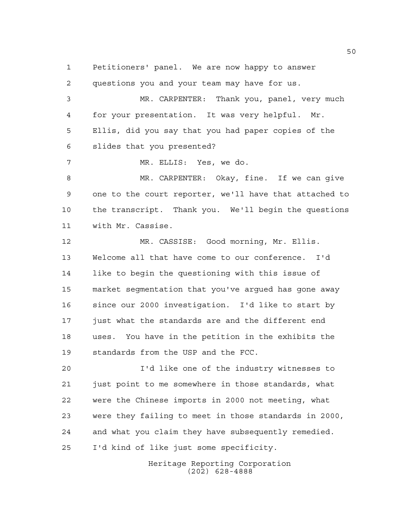Petitioners' panel. We are now happy to answer

 questions you and your team may have for us. MR. CARPENTER: Thank you, panel, very much for your presentation. It was very helpful. Mr. Ellis, did you say that you had paper copies of the slides that you presented? MR. ELLIS: Yes, we do. MR. CARPENTER: Okay, fine. If we can give one to the court reporter, we'll have that attached to the transcript. Thank you. We'll begin the questions with Mr. Cassise. MR. CASSISE: Good morning, Mr. Ellis. Welcome all that have come to our conference. I'd like to begin the questioning with this issue of market segmentation that you've argued has gone away since our 2000 investigation. I'd like to start by just what the standards are and the different end uses. You have in the petition in the exhibits the standards from the USP and the FCC.

 I'd like one of the industry witnesses to just point to me somewhere in those standards, what were the Chinese imports in 2000 not meeting, what were they failing to meet in those standards in 2000, and what you claim they have subsequently remedied. I'd kind of like just some specificity.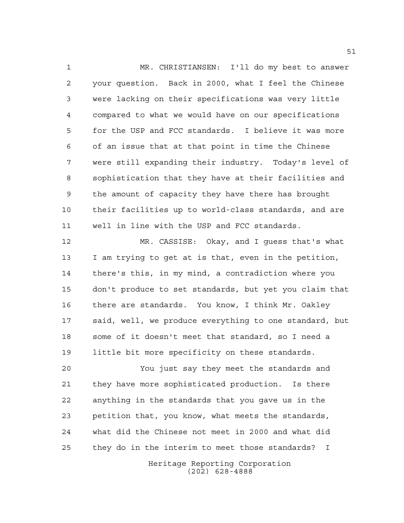MR. CHRISTIANSEN: I'll do my best to answer your question. Back in 2000, what I feel the Chinese were lacking on their specifications was very little compared to what we would have on our specifications for the USP and FCC standards. I believe it was more of an issue that at that point in time the Chinese were still expanding their industry. Today's level of sophistication that they have at their facilities and the amount of capacity they have there has brought their facilities up to world-class standards, and are well in line with the USP and FCC standards.

 MR. CASSISE: Okay, and I guess that's what I am trying to get at is that, even in the petition, there's this, in my mind, a contradiction where you don't produce to set standards, but yet you claim that there are standards. You know, I think Mr. Oakley said, well, we produce everything to one standard, but some of it doesn't meet that standard, so I need a little bit more specificity on these standards.

 You just say they meet the standards and they have more sophisticated production. Is there anything in the standards that you gave us in the petition that, you know, what meets the standards, what did the Chinese not meet in 2000 and what did they do in the interim to meet those standards? I

> Heritage Reporting Corporation (202) 628-4888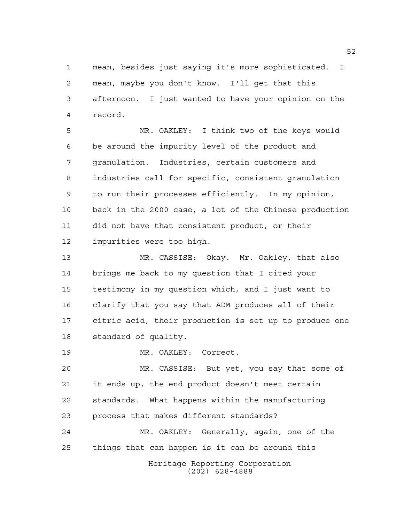mean, besides just saying it's more sophisticated. I mean, maybe you don't know. I'll get that this afternoon. I just wanted to have your opinion on the record.

 MR. OAKLEY: I think two of the keys would be around the impurity level of the product and granulation. Industries, certain customers and industries call for specific, consistent granulation to run their processes efficiently. In my opinion, back in the 2000 case, a lot of the Chinese production did not have that consistent product, or their impurities were too high.

 MR. CASSISE: Okay. Mr. Oakley, that also brings me back to my question that I cited your testimony in my question which, and I just want to clarify that you say that ADM produces all of their citric acid, their production is set up to produce one standard of quality.

MR. OAKLEY: Correct.

 MR. CASSISE: But yet, you say that some of it ends up, the end product doesn't meet certain standards. What happens within the manufacturing process that makes different standards? MR. OAKLEY: Generally, again, one of the

things that can happen is it can be around this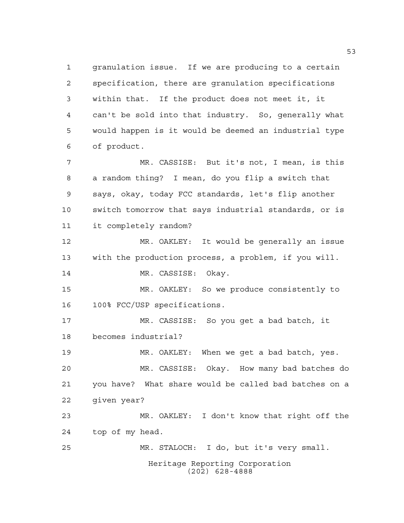Heritage Reporting Corporation (202) 628-4888 granulation issue. If we are producing to a certain specification, there are granulation specifications within that. If the product does not meet it, it can't be sold into that industry. So, generally what would happen is it would be deemed an industrial type of product. MR. CASSISE: But it's not, I mean, is this a random thing? I mean, do you flip a switch that says, okay, today FCC standards, let's flip another switch tomorrow that says industrial standards, or is it completely random? MR. OAKLEY: It would be generally an issue with the production process, a problem, if you will. 14 MR. CASSISE: Okay. MR. OAKLEY: So we produce consistently to 100% FCC/USP specifications. MR. CASSISE: So you get a bad batch, it becomes industrial? MR. OAKLEY: When we get a bad batch, yes. MR. CASSISE: Okay. How many bad batches do you have? What share would be called bad batches on a given year? MR. OAKLEY: I don't know that right off the top of my head. MR. STALOCH: I do, but it's very small.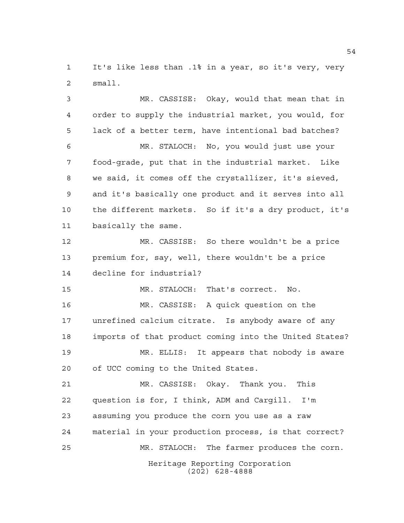It's like less than .1% in a year, so it's very, very small.

Heritage Reporting Corporation MR. CASSISE: Okay, would that mean that in order to supply the industrial market, you would, for lack of a better term, have intentional bad batches? MR. STALOCH: No, you would just use your food-grade, put that in the industrial market. Like we said, it comes off the crystallizer, it's sieved, and it's basically one product and it serves into all the different markets. So if it's a dry product, it's basically the same. MR. CASSISE: So there wouldn't be a price premium for, say, well, there wouldn't be a price decline for industrial? MR. STALOCH: That's correct. No. MR. CASSISE: A quick question on the unrefined calcium citrate. Is anybody aware of any imports of that product coming into the United States? MR. ELLIS: It appears that nobody is aware of UCC coming to the United States. MR. CASSISE: Okay. Thank you. This question is for, I think, ADM and Cargill. I'm assuming you produce the corn you use as a raw material in your production process, is that correct? MR. STALOCH: The farmer produces the corn.

(202) 628-4888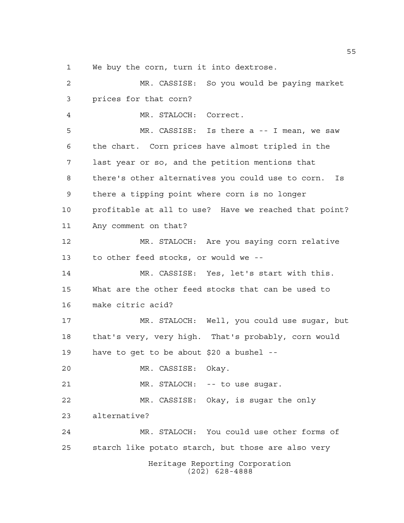We buy the corn, turn it into dextrose.

Heritage Reporting Corporation (202) 628-4888 MR. CASSISE: So you would be paying market prices for that corn? MR. STALOCH: Correct. MR. CASSISE: Is there a -- I mean, we saw the chart. Corn prices have almost tripled in the last year or so, and the petition mentions that there's other alternatives you could use to corn. Is there a tipping point where corn is no longer profitable at all to use? Have we reached that point? Any comment on that? MR. STALOCH: Are you saying corn relative to other feed stocks, or would we -- MR. CASSISE: Yes, let's start with this. What are the other feed stocks that can be used to make citric acid? MR. STALOCH: Well, you could use sugar, but that's very, very high. That's probably, corn would have to get to be about \$20 a bushel -- MR. CASSISE: Okay. 21 MR. STALOCH: -- to use sugar. MR. CASSISE: Okay, is sugar the only alternative? MR. STALOCH: You could use other forms of starch like potato starch, but those are also very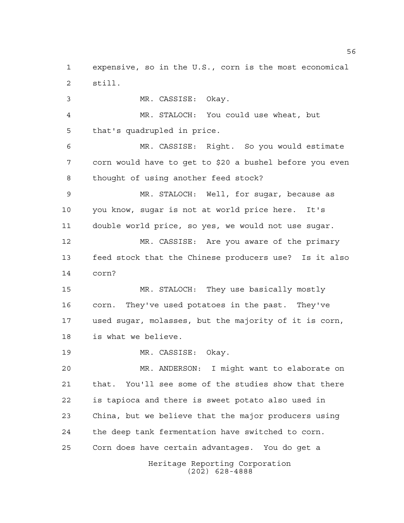expensive, so in the U.S., corn is the most economical still.

 MR. CASSISE: Okay. MR. STALOCH: You could use wheat, but that's quadrupled in price. MR. CASSISE: Right. So you would estimate corn would have to get to \$20 a bushel before you even thought of using another feed stock? MR. STALOCH: Well, for sugar, because as you know, sugar is not at world price here. It's double world price, so yes, we would not use sugar. MR. CASSISE: Are you aware of the primary feed stock that the Chinese producers use? Is it also corn? MR. STALOCH: They use basically mostly corn. They've used potatoes in the past. They've used sugar, molasses, but the majority of it is corn, is what we believe. MR. CASSISE: Okay. MR. ANDERSON: I might want to elaborate on that. You'll see some of the studies show that there is tapioca and there is sweet potato also used in China, but we believe that the major producers using

Corn does have certain advantages. You do get a

the deep tank fermentation have switched to corn.

Heritage Reporting Corporation (202) 628-4888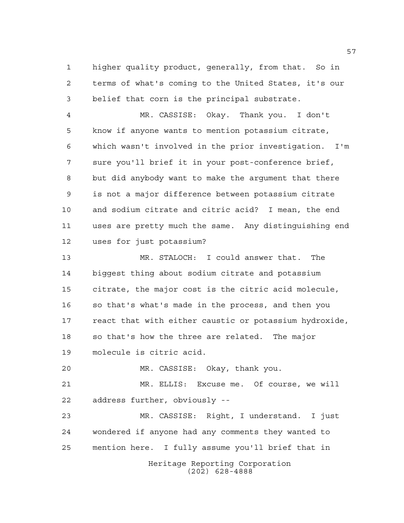higher quality product, generally, from that. So in terms of what's coming to the United States, it's our belief that corn is the principal substrate.

 MR. CASSISE: Okay. Thank you. I don't know if anyone wants to mention potassium citrate, which wasn't involved in the prior investigation. I'm sure you'll brief it in your post-conference brief, but did anybody want to make the argument that there is not a major difference between potassium citrate and sodium citrate and citric acid? I mean, the end uses are pretty much the same. Any distinguishing end uses for just potassium?

 MR. STALOCH: I could answer that. The biggest thing about sodium citrate and potassium citrate, the major cost is the citric acid molecule, so that's what's made in the process, and then you react that with either caustic or potassium hydroxide, so that's how the three are related. The major molecule is citric acid.

MR. CASSISE: Okay, thank you.

 MR. ELLIS: Excuse me. Of course, we will address further, obviously --

Heritage Reporting Corporation MR. CASSISE: Right, I understand. I just wondered if anyone had any comments they wanted to mention here. I fully assume you'll brief that in

(202) 628-4888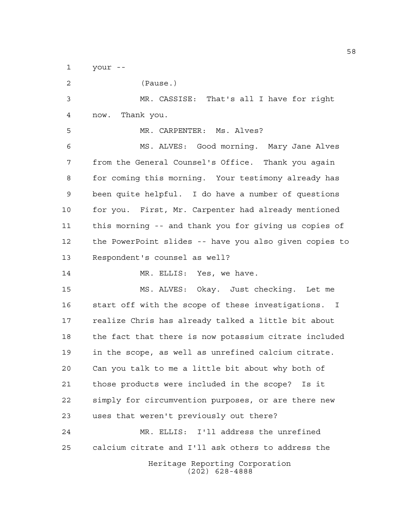your --

| $\overline{c}$ | (Pause.)                                               |
|----------------|--------------------------------------------------------|
| $\mathfrak{Z}$ | MR. CASSISE: That's all I have for right               |
| 4              | Thank you.<br>now.                                     |
| 5              | MR. CARPENTER: Ms. Alves?                              |
| 6              | MS. ALVES: Good morning. Mary Jane Alves               |
| 7              | from the General Counsel's Office. Thank you again     |
| 8              | for coming this morning. Your testimony already has    |
| $\mathsf 9$    | been quite helpful. I do have a number of questions    |
| 10             | for you. First, Mr. Carpenter had already mentioned    |
| 11             | this morning -- and thank you for giving us copies of  |
| 12             | the PowerPoint slides -- have you also given copies to |
| 13             | Respondent's counsel as well?                          |
| 14             | MR. ELLIS: Yes, we have.                               |
| 15             | MS. ALVES: Okay. Just checking. Let me                 |
| 16             | start off with the scope of these investigations. I    |
| 17             | realize Chris has already talked a little bit about    |
| 18             | the fact that there is now potassium citrate included  |
| 19             | in the scope, as well as unrefined calcium citrate.    |
| 20             | Can you talk to me a little bit about why both of      |
| 21             | those products were included in the scope? Is it       |
| 22             | simply for circumvention purposes, or are there new    |
| 23             | uses that weren't previously out there?                |
| 24             | MR. ELLIS: I'll address the unrefined                  |
| 25             | calcium citrate and I'll ask others to address the     |
|                | Heritage Reporting Corporation<br>$(202)$ 628-4888     |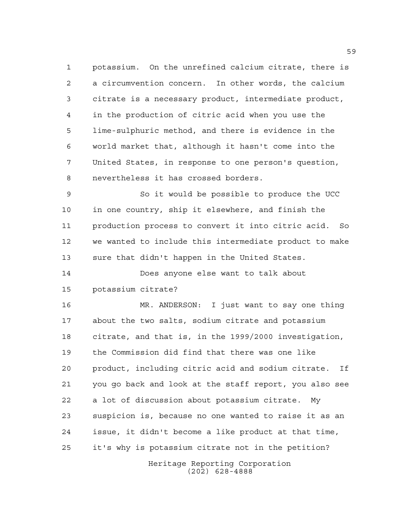potassium. On the unrefined calcium citrate, there is a circumvention concern. In other words, the calcium citrate is a necessary product, intermediate product, in the production of citric acid when you use the lime-sulphuric method, and there is evidence in the world market that, although it hasn't come into the United States, in response to one person's question, nevertheless it has crossed borders.

 So it would be possible to produce the UCC in one country, ship it elsewhere, and finish the production process to convert it into citric acid. So we wanted to include this intermediate product to make sure that didn't happen in the United States.

 Does anyone else want to talk about potassium citrate?

 MR. ANDERSON: I just want to say one thing about the two salts, sodium citrate and potassium citrate, and that is, in the 1999/2000 investigation, the Commission did find that there was one like product, including citric acid and sodium citrate. If you go back and look at the staff report, you also see a lot of discussion about potassium citrate. My suspicion is, because no one wanted to raise it as an issue, it didn't become a like product at that time, it's why is potassium citrate not in the petition?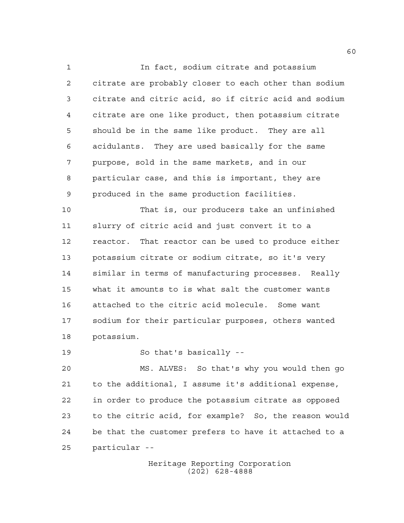In fact, sodium citrate and potassium citrate are probably closer to each other than sodium citrate and citric acid, so if citric acid and sodium citrate are one like product, then potassium citrate should be in the same like product. They are all acidulants. They are used basically for the same purpose, sold in the same markets, and in our particular case, and this is important, they are produced in the same production facilities.

 That is, our producers take an unfinished slurry of citric acid and just convert it to a reactor. That reactor can be used to produce either potassium citrate or sodium citrate, so it's very similar in terms of manufacturing processes. Really what it amounts to is what salt the customer wants attached to the citric acid molecule. Some want sodium for their particular purposes, others wanted potassium.

So that's basically --

 MS. ALVES: So that's why you would then go to the additional, I assume it's additional expense, in order to produce the potassium citrate as opposed to the citric acid, for example? So, the reason would be that the customer prefers to have it attached to a particular --

> Heritage Reporting Corporation (202) 628-4888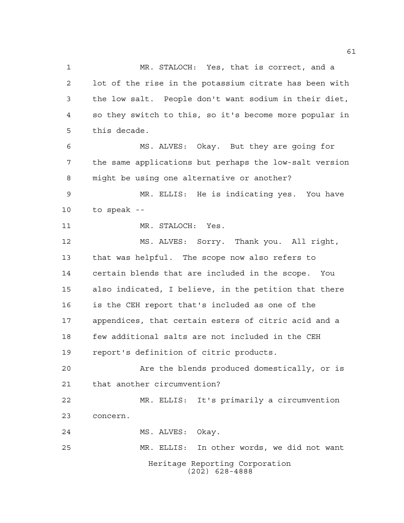Heritage Reporting Corporation (202) 628-4888 MR. STALOCH: Yes, that is correct, and a lot of the rise in the potassium citrate has been with the low salt. People don't want sodium in their diet, so they switch to this, so it's become more popular in this decade. MS. ALVES: Okay. But they are going for the same applications but perhaps the low-salt version might be using one alternative or another? MR. ELLIS: He is indicating yes. You have to speak -- 11 MR. STALOCH: Yes. MS. ALVES: Sorry. Thank you. All right, that was helpful. The scope now also refers to certain blends that are included in the scope. You also indicated, I believe, in the petition that there is the CEH report that's included as one of the appendices, that certain esters of citric acid and a few additional salts are not included in the CEH report's definition of citric products. Are the blends produced domestically, or is that another circumvention? MR. ELLIS: It's primarily a circumvention concern. MS. ALVES: Okay. MR. ELLIS: In other words, we did not want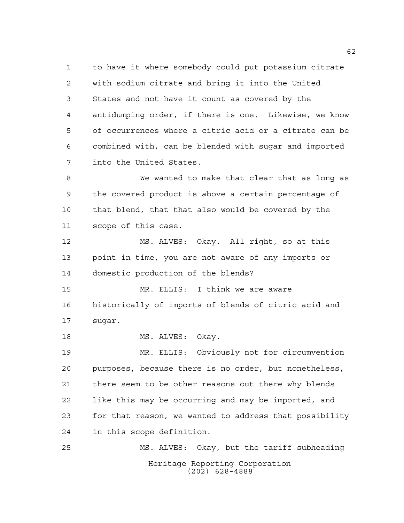to have it where somebody could put potassium citrate with sodium citrate and bring it into the United States and not have it count as covered by the antidumping order, if there is one. Likewise, we know of occurrences where a citric acid or a citrate can be combined with, can be blended with sugar and imported into the United States.

 We wanted to make that clear that as long as the covered product is above a certain percentage of that blend, that that also would be covered by the scope of this case.

 MS. ALVES: Okay. All right, so at this point in time, you are not aware of any imports or domestic production of the blends?

 MR. ELLIS: I think we are aware historically of imports of blends of citric acid and sugar.

18 MS. ALVES: Okay.

 MR. ELLIS: Obviously not for circumvention purposes, because there is no order, but nonetheless, there seem to be other reasons out there why blends like this may be occurring and may be imported, and for that reason, we wanted to address that possibility in this scope definition.

Heritage Reporting Corporation (202) 628-4888 MS. ALVES: Okay, but the tariff subheading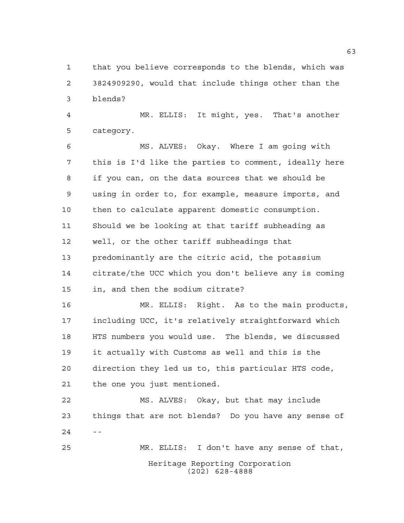that you believe corresponds to the blends, which was 3824909290, would that include things other than the blends?

 MR. ELLIS: It might, yes. That's another category.

 MS. ALVES: Okay. Where I am going with this is I'd like the parties to comment, ideally here if you can, on the data sources that we should be using in order to, for example, measure imports, and then to calculate apparent domestic consumption. Should we be looking at that tariff subheading as well, or the other tariff subheadings that predominantly are the citric acid, the potassium citrate/the UCC which you don't believe any is coming in, and then the sodium citrate?

 MR. ELLIS: Right. As to the main products, including UCC, it's relatively straightforward which HTS numbers you would use. The blends, we discussed it actually with Customs as well and this is the direction they led us to, this particular HTS code, the one you just mentioned.

 MS. ALVES: Okay, but that may include things that are not blends? Do you have any sense of  $24 - -$ 

Heritage Reporting Corporation (202) 628-4888 MR. ELLIS: I don't have any sense of that,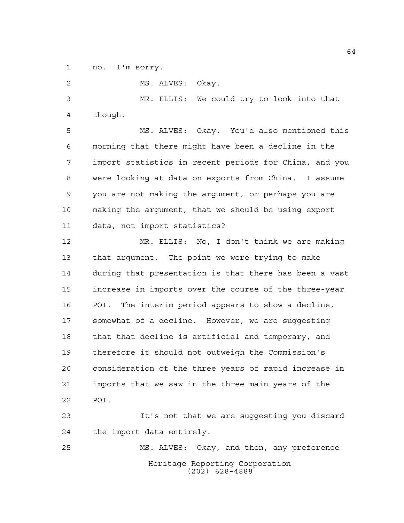no. I'm sorry.

 MS. ALVES: Okay. MR. ELLIS: We could try to look into that though. MS. ALVES: Okay. You'd also mentioned this morning that there might have been a decline in the import statistics in recent periods for China, and you were looking at data on exports from China. I assume you are not making the argument, or perhaps you are making the argument, that we should be using export data, not import statistics?

 MR. ELLIS: No, I don't think we are making that argument. The point we were trying to make during that presentation is that there has been a vast increase in imports over the course of the three-year POI. The interim period appears to show a decline, somewhat of a decline. However, we are suggesting that that decline is artificial and temporary, and therefore it should not outweigh the Commission's consideration of the three years of rapid increase in imports that we saw in the three main years of the POI.

 It's not that we are suggesting you discard the import data entirely.

Heritage Reporting Corporation (202) 628-4888 MS. ALVES: Okay, and then, any preference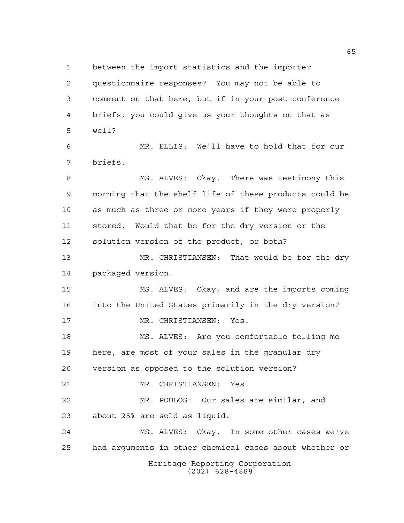Heritage Reporting Corporation between the import statistics and the importer questionnaire responses? You may not be able to comment on that here, but if in your post-conference briefs, you could give us your thoughts on that as well? MR. ELLIS: We'll have to hold that for our briefs. MS. ALVES: Okay. There was testimony this morning that the shelf life of these products could be as much as three or more years if they were properly stored. Would that be for the dry version or the solution version of the product, or both? MR. CHRISTIANSEN: That would be for the dry packaged version. MS. ALVES: Okay, and are the imports coming into the United States primarily in the dry version? MR. CHRISTIANSEN: Yes. MS. ALVES: Are you comfortable telling me here, are most of your sales in the granular dry version as opposed to the solution version? MR. CHRISTIANSEN: Yes. MR. POULOS: Our sales are similar, and about 25% are sold as liquid. MS. ALVES: Okay. In some other cases we've had arguments in other chemical cases about whether or

(202) 628-4888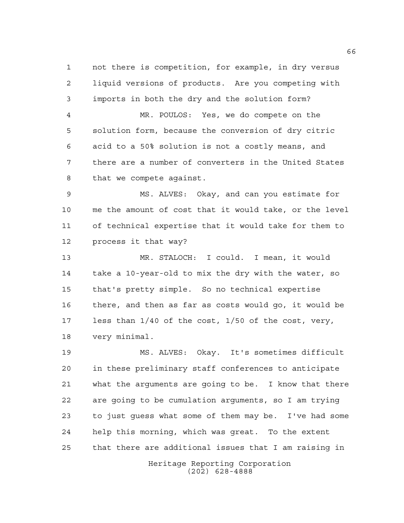not there is competition, for example, in dry versus liquid versions of products. Are you competing with imports in both the dry and the solution form?

 MR. POULOS: Yes, we do compete on the solution form, because the conversion of dry citric acid to a 50% solution is not a costly means, and there are a number of converters in the United States that we compete against.

 MS. ALVES: Okay, and can you estimate for me the amount of cost that it would take, or the level of technical expertise that it would take for them to process it that way?

 MR. STALOCH: I could. I mean, it would take a 10-year-old to mix the dry with the water, so that's pretty simple. So no technical expertise there, and then as far as costs would go, it would be less than 1/40 of the cost, 1/50 of the cost, very, very minimal.

 MS. ALVES: Okay. It's sometimes difficult in these preliminary staff conferences to anticipate what the arguments are going to be. I know that there are going to be cumulation arguments, so I am trying to just guess what some of them may be. I've had some help this morning, which was great. To the extent that there are additional issues that I am raising in

Heritage Reporting Corporation (202) 628-4888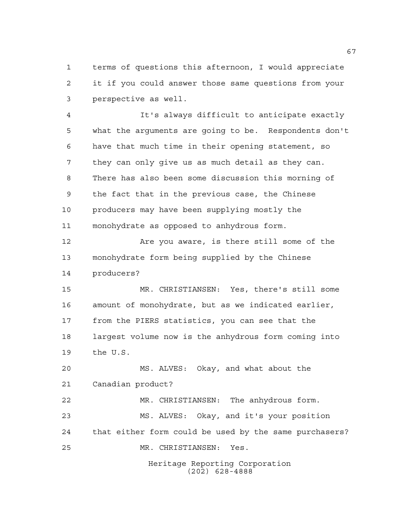terms of questions this afternoon, I would appreciate it if you could answer those same questions from your perspective as well.

 It's always difficult to anticipate exactly what the arguments are going to be. Respondents don't have that much time in their opening statement, so they can only give us as much detail as they can. There has also been some discussion this morning of the fact that in the previous case, the Chinese producers may have been supplying mostly the monohydrate as opposed to anhydrous form.

 Are you aware, is there still some of the monohydrate form being supplied by the Chinese producers?

 MR. CHRISTIANSEN: Yes, there's still some amount of monohydrate, but as we indicated earlier, from the PIERS statistics, you can see that the largest volume now is the anhydrous form coming into the U.S.

 MS. ALVES: Okay, and what about the Canadian product?

 MR. CHRISTIANSEN: The anhydrous form. MS. ALVES: Okay, and it's your position that either form could be used by the same purchasers? MR. CHRISTIANSEN: Yes.

> Heritage Reporting Corporation (202) 628-4888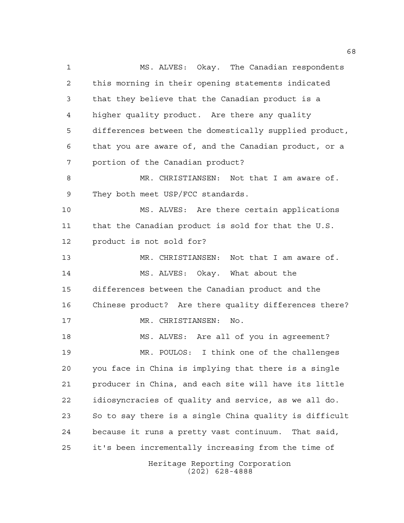Heritage Reporting Corporation (202) 628-4888 MS. ALVES: Okay. The Canadian respondents this morning in their opening statements indicated that they believe that the Canadian product is a higher quality product. Are there any quality differences between the domestically supplied product, that you are aware of, and the Canadian product, or a portion of the Canadian product? MR. CHRISTIANSEN: Not that I am aware of. 9 They both meet USP/FCC standards. MS. ALVES: Are there certain applications that the Canadian product is sold for that the U.S. product is not sold for? MR. CHRISTIANSEN: Not that I am aware of. MS. ALVES: Okay. What about the differences between the Canadian product and the Chinese product? Are there quality differences there? MR. CHRISTIANSEN: No. MS. ALVES: Are all of you in agreement? MR. POULOS: I think one of the challenges you face in China is implying that there is a single producer in China, and each site will have its little idiosyncracies of quality and service, as we all do. So to say there is a single China quality is difficult because it runs a pretty vast continuum. That said, it's been incrementally increasing from the time of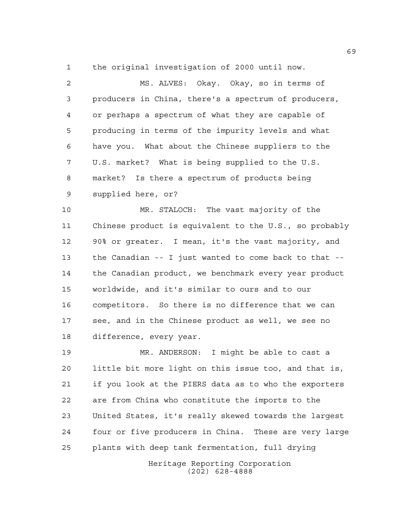the original investigation of 2000 until now.

 MS. ALVES: Okay. Okay, so in terms of producers in China, there's a spectrum of producers, or perhaps a spectrum of what they are capable of producing in terms of the impurity levels and what have you. What about the Chinese suppliers to the U.S. market? What is being supplied to the U.S. market? Is there a spectrum of products being supplied here, or?

 MR. STALOCH: The vast majority of the Chinese product is equivalent to the U.S., so probably 90% or greater. I mean, it's the vast majority, and the Canadian -- I just wanted to come back to that -- the Canadian product, we benchmark every year product worldwide, and it's similar to ours and to our competitors. So there is no difference that we can see, and in the Chinese product as well, we see no difference, every year.

 MR. ANDERSON: I might be able to cast a little bit more light on this issue too, and that is, if you look at the PIERS data as to who the exporters are from China who constitute the imports to the United States, it's really skewed towards the largest four or five producers in China. These are very large plants with deep tank fermentation, full drying

> Heritage Reporting Corporation (202) 628-4888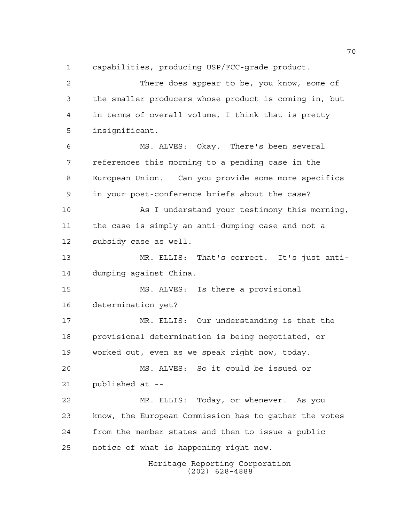capabilities, producing USP/FCC-grade product.

 There does appear to be, you know, some of the smaller producers whose product is coming in, but in terms of overall volume, I think that is pretty insignificant. MS. ALVES: Okay. There's been several references this morning to a pending case in the European Union. Can you provide some more specifics in your post-conference briefs about the case? As I understand your testimony this morning, the case is simply an anti-dumping case and not a subsidy case as well. MR. ELLIS: That's correct. It's just anti- dumping against China. MS. ALVES: Is there a provisional determination yet? MR. ELLIS: Our understanding is that the provisional determination is being negotiated, or worked out, even as we speak right now, today. MS. ALVES: So it could be issued or published at -- MR. ELLIS: Today, or whenever. As you know, the European Commission has to gather the votes from the member states and then to issue a public notice of what is happening right now.

Heritage Reporting Corporation (202) 628-4888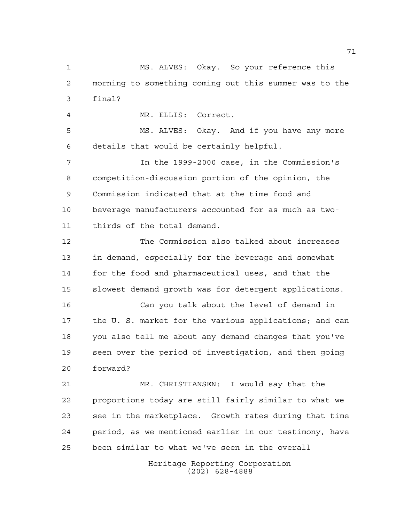MS. ALVES: Okay. So your reference this morning to something coming out this summer was to the final?

MR. ELLIS: Correct.

 MS. ALVES: Okay. And if you have any more details that would be certainly helpful.

 In the 1999-2000 case, in the Commission's competition-discussion portion of the opinion, the Commission indicated that at the time food and beverage manufacturers accounted for as much as two-thirds of the total demand.

 The Commission also talked about increases in demand, especially for the beverage and somewhat for the food and pharmaceutical uses, and that the slowest demand growth was for detergent applications.

 Can you talk about the level of demand in the U. S. market for the various applications; and can you also tell me about any demand changes that you've seen over the period of investigation, and then going forward?

 MR. CHRISTIANSEN: I would say that the proportions today are still fairly similar to what we see in the marketplace. Growth rates during that time period, as we mentioned earlier in our testimony, have been similar to what we've seen in the overall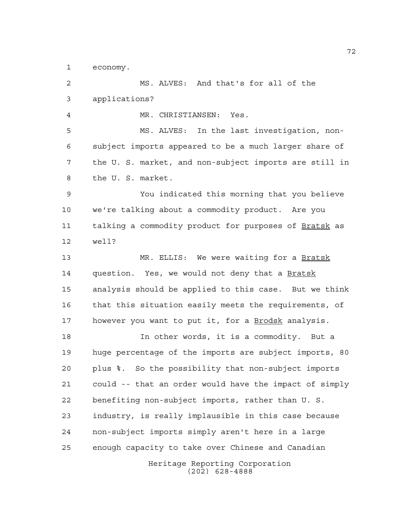economy.

Heritage Reporting Corporation (202) 628-4888 MS. ALVES: And that's for all of the applications? MR. CHRISTIANSEN: Yes. MS. ALVES: In the last investigation, non- subject imports appeared to be a much larger share of the U. S. market, and non-subject imports are still in the U. S. market. You indicated this morning that you believe we're talking about a commodity product. Are you talking a commodity product for purposes of Bratsk as well? MR. ELLIS: We were waiting for a Bratsk question. Yes, we would not deny that a Bratsk analysis should be applied to this case. But we think that this situation easily meets the requirements, of however you want to put it, for a Brodsk analysis. In other words, it is a commodity. But a huge percentage of the imports are subject imports, 80 plus %. So the possibility that non-subject imports could -- that an order would have the impact of simply benefiting non-subject imports, rather than U. S. industry, is really implausible in this case because non-subject imports simply aren't here in a large enough capacity to take over Chinese and Canadian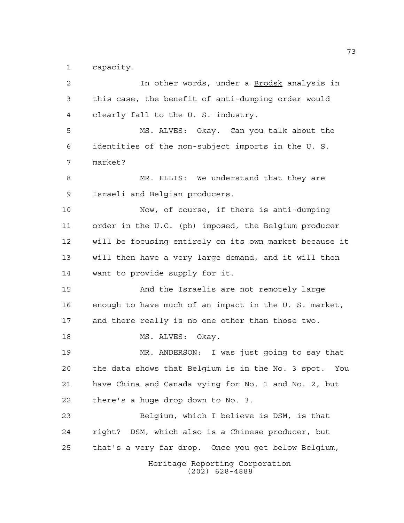capacity.

| 2  | In other words, under a Brodsk analysis in             |
|----|--------------------------------------------------------|
| 3  | this case, the benefit of anti-dumping order would     |
| 4  | clearly fall to the U. S. industry.                    |
| 5  | MS. ALVES: Okay. Can you talk about the                |
| 6  | identities of the non-subject imports in the U.S.      |
| 7  | market?                                                |
| 8  | MR. ELLIS: We understand that they are                 |
| 9  | Israeli and Belgian producers.                         |
| 10 | Now, of course, if there is anti-dumping               |
| 11 | order in the U.C. (ph) imposed, the Belgium producer   |
| 12 | will be focusing entirely on its own market because it |
| 13 | will then have a very large demand, and it will then   |
| 14 | want to provide supply for it.                         |
| 15 | And the Israelis are not remotely large                |
| 16 | enough to have much of an impact in the U. S. market,  |
| 17 | and there really is no one other than those two.       |
| 18 | MS. ALVES:<br>Okay.                                    |
| 19 | MR. ANDERSON: I was just going to say that             |
| 20 | the data shows that Belgium is in the No. 3 spot. You  |
| 21 | have China and Canada vying for No. 1 and No. 2, but   |
| 22 | there's a huge drop down to No. 3.                     |
| 23 | Belgium, which I believe is DSM, is that               |
| 24 | right? DSM, which also is a Chinese producer, but      |
| 25 | that's a very far drop. Once you get below Belgium,    |
|    | Heritage Reporting Corporation<br>$(202)$ 628-4888     |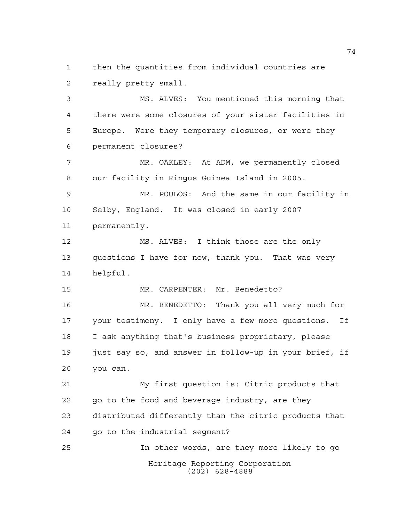then the quantities from individual countries are really pretty small.

 MS. ALVES: You mentioned this morning that there were some closures of your sister facilities in Europe. Were they temporary closures, or were they permanent closures?

 MR. OAKLEY: At ADM, we permanently closed our facility in Ringus Guinea Island in 2005.

 MR. POULOS: And the same in our facility in Selby, England. It was closed in early 2007 permanently.

 MS. ALVES: I think those are the only questions I have for now, thank you. That was very helpful.

MR. CARPENTER: Mr. Benedetto?

 MR. BENEDETTO: Thank you all very much for your testimony. I only have a few more questions. If I ask anything that's business proprietary, please 19 just say so, and answer in follow-up in your brief, if you can.

 My first question is: Citric products that 22 go to the food and beverage industry, are they distributed differently than the citric products that go to the industrial segment?

Heritage Reporting Corporation (202) 628-4888 In other words, are they more likely to go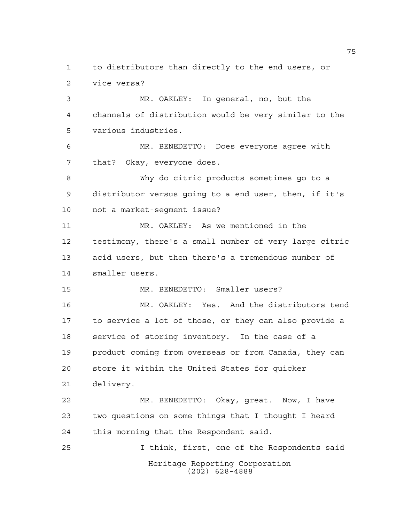Heritage Reporting Corporation to distributors than directly to the end users, or vice versa? MR. OAKLEY: In general, no, but the channels of distribution would be very similar to the various industries. MR. BENEDETTO: Does everyone agree with that? Okay, everyone does. Why do citric products sometimes go to a distributor versus going to a end user, then, if it's not a market-segment issue? MR. OAKLEY: As we mentioned in the testimony, there's a small number of very large citric acid users, but then there's a tremendous number of smaller users. MR. BENEDETTO: Smaller users? MR. OAKLEY: Yes. And the distributors tend to service a lot of those, or they can also provide a service of storing inventory. In the case of a product coming from overseas or from Canada, they can store it within the United States for quicker delivery. MR. BENEDETTO: Okay, great. Now, I have two questions on some things that I thought I heard this morning that the Respondent said. I think, first, one of the Respondents said

(202) 628-4888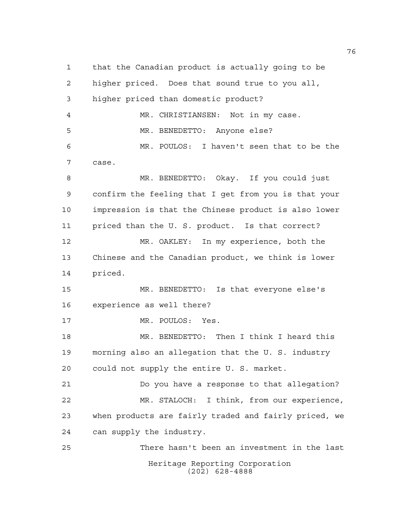Heritage Reporting Corporation (202) 628-4888 that the Canadian product is actually going to be higher priced. Does that sound true to you all, higher priced than domestic product? MR. CHRISTIANSEN: Not in my case. MR. BENEDETTO: Anyone else? MR. POULOS: I haven't seen that to be the case. MR. BENEDETTO: Okay. If you could just confirm the feeling that I get from you is that your impression is that the Chinese product is also lower priced than the U. S. product. Is that correct? MR. OAKLEY: In my experience, both the Chinese and the Canadian product, we think is lower priced. MR. BENEDETTO: Is that everyone else's experience as well there? MR. POULOS: Yes. MR. BENEDETTO: Then I think I heard this morning also an allegation that the U. S. industry could not supply the entire U. S. market. Do you have a response to that allegation? MR. STALOCH: I think, from our experience, when products are fairly traded and fairly priced, we can supply the industry. There hasn't been an investment in the last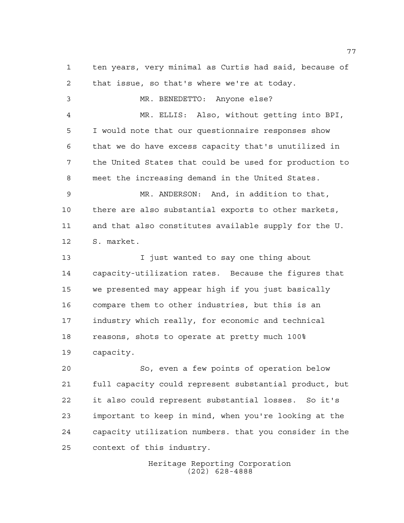ten years, very minimal as Curtis had said, because of that issue, so that's where we're at today. MR. BENEDETTO: Anyone else? MR. ELLIS: Also, without getting into BPI, I would note that our questionnaire responses show that we do have excess capacity that's unutilized in the United States that could be used for production to meet the increasing demand in the United States. MR. ANDERSON: And, in addition to that, there are also substantial exports to other markets, and that also constitutes available supply for the U. S. market. I just wanted to say one thing about capacity-utilization rates. Because the figures that we presented may appear high if you just basically compare them to other industries, but this is an industry which really, for economic and technical reasons, shots to operate at pretty much 100% capacity. So, even a few points of operation below full capacity could represent substantial product, but

 it also could represent substantial losses. So it's important to keep in mind, when you're looking at the capacity utilization numbers. that you consider in the context of this industry.

> Heritage Reporting Corporation (202) 628-4888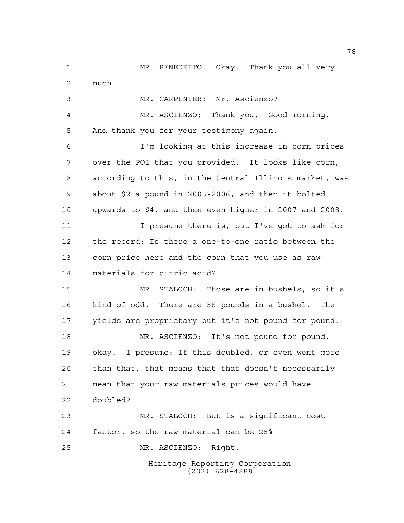Heritage Reporting Corporation (202) 628-4888 MR. BENEDETTO: Okay. Thank you all very much. MR. CARPENTER: Mr. Ascienzo? MR. ASCIENZO: Thank you. Good morning. And thank you for your testimony again. I'm looking at this increase in corn prices over the POI that you provided. It looks like corn, according to this, in the Central Illinois market, was about \$2 a pound in 2005-2006; and then it bolted upwards to \$4, and then even higher in 2007 and 2008. I presume there is, but I've got to ask for the record: Is there a one-to-one ratio between the corn price here and the corn that you use as raw materials for citric acid? MR. STALOCH: Those are in bushels, so it's kind of odd. There are 56 pounds in a bushel. The yields are proprietary but it's not pound for pound. MR. ASCIENZO: It's not pound for pound, okay. I presume: If this doubled, or even went more than that, that means that that doesn't necessarily mean that your raw materials prices would have doubled? MR. STALOCH: But is a significant cost factor, so the raw material can be 25% -- MR. ASCIENZO: Right.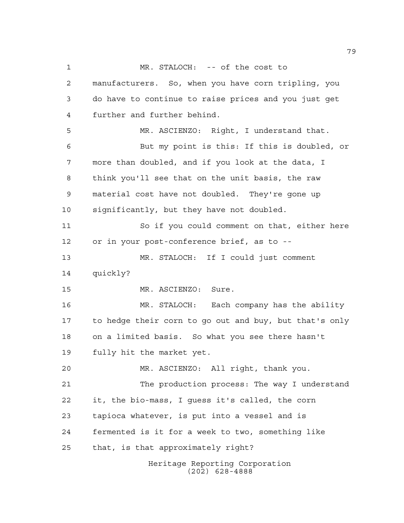Heritage Reporting Corporation MR. STALOCH: -- of the cost to manufacturers. So, when you have corn tripling, you do have to continue to raise prices and you just get further and further behind. MR. ASCIENZO: Right, I understand that. But my point is this: If this is doubled, or more than doubled, and if you look at the data, I think you'll see that on the unit basis, the raw material cost have not doubled. They're gone up significantly, but they have not doubled. So if you could comment on that, either here or in your post-conference brief, as to -- MR. STALOCH: If I could just comment quickly? MR. ASCIENZO: Sure. MR. STALOCH: Each company has the ability to hedge their corn to go out and buy, but that's only on a limited basis. So what you see there hasn't fully hit the market yet. MR. ASCIENZO: All right, thank you. The production process: The way I understand it, the bio-mass, I guess it's called, the corn tapioca whatever, is put into a vessel and is fermented is it for a week to two, something like that, is that approximately right?

(202) 628-4888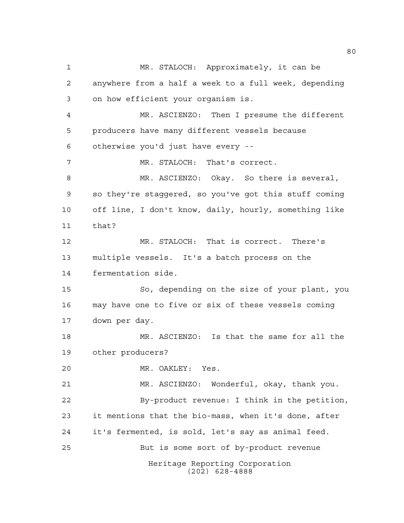Heritage Reporting Corporation (202) 628-4888 MR. STALOCH: Approximately, it can be anywhere from a half a week to a full week, depending on how efficient your organism is. MR. ASCIENZO: Then I presume the different producers have many different vessels because otherwise you'd just have every -- MR. STALOCH: That's correct. MR. ASCIENZO: Okay. So there is several, so they're staggered, so you've got this stuff coming off line, I don't know, daily, hourly, something like that? MR. STALOCH: That is correct. There's multiple vessels. It's a batch process on the fermentation side. So, depending on the size of your plant, you may have one to five or six of these vessels coming down per day. MR. ASCIENZO: Is that the same for all the other producers? MR. OAKLEY: Yes. MR. ASCIENZO: Wonderful, okay, thank you. By-product revenue: I think in the petition, it mentions that the bio-mass, when it's done, after it's fermented, is sold, let's say as animal feed. But is some sort of by-product revenue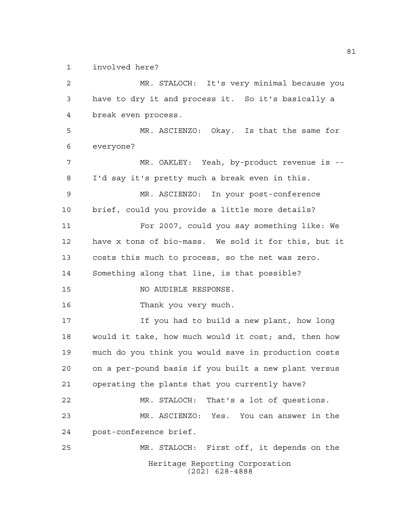involved here?

Heritage Reporting Corporation (202) 628-4888 MR. STALOCH: It's very minimal because you have to dry it and process it. So it's basically a break even process. MR. ASCIENZO: Okay. Is that the same for everyone? MR. OAKLEY: Yeah, by-product revenue is -- I'd say it's pretty much a break even in this. MR. ASCIENZO: In your post-conference brief, could you provide a little more details? For 2007, could you say something like: We have x tons of bio-mass. We sold it for this, but it costs this much to process, so the net was zero. Something along that line, is that possible? NO AUDIBLE RESPONSE. Thank you very much. If you had to build a new plant, how long would it take, how much would it cost; and, then how much do you think you would save in production costs on a per-pound basis if you built a new plant versus operating the plants that you currently have? MR. STALOCH: That's a lot of questions. MR. ASCIENZO: Yes. You can answer in the post-conference brief. MR. STALOCH: First off, it depends on the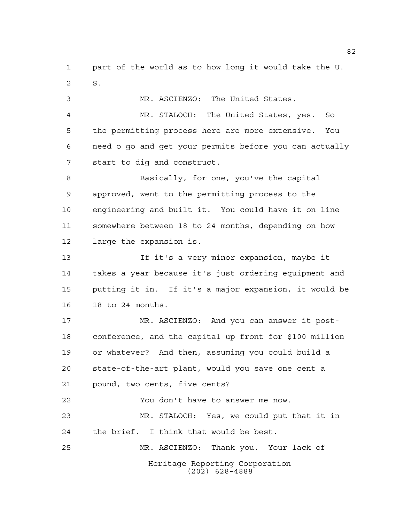part of the world as to how long it would take the U. S.

MR. ASCIENZO: The United States.

 MR. STALOCH: The United States, yes. So the permitting process here are more extensive. You need o go and get your permits before you can actually start to dig and construct.

 Basically, for one, you've the capital approved, went to the permitting process to the engineering and built it. You could have it on line somewhere between 18 to 24 months, depending on how large the expansion is.

 If it's a very minor expansion, maybe it takes a year because it's just ordering equipment and putting it in. If it's a major expansion, it would be 18 to 24 months.

 MR. ASCIENZO: And you can answer it post- conference, and the capital up front for \$100 million or whatever? And then, assuming you could build a state-of-the-art plant, would you save one cent a pound, two cents, five cents? You don't have to answer me now. MR. STALOCH: Yes, we could put that it in the brief. I think that would be best.

Heritage Reporting Corporation (202) 628-4888 MR. ASCIENZO: Thank you. Your lack of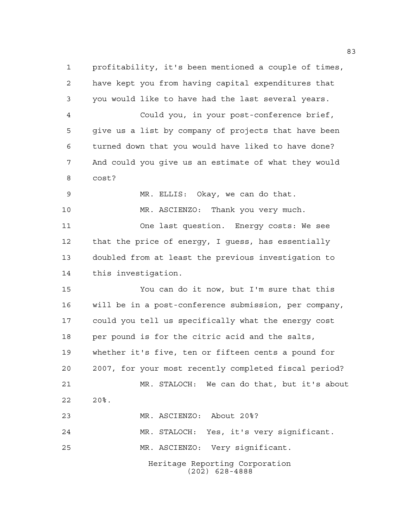Heritage Reporting Corporation (202) 628-4888 profitability, it's been mentioned a couple of times, have kept you from having capital expenditures that you would like to have had the last several years. Could you, in your post-conference brief, give us a list by company of projects that have been turned down that you would have liked to have done? And could you give us an estimate of what they would cost? MR. ELLIS: Okay, we can do that. MR. ASCIENZO: Thank you very much. One last question. Energy costs: We see that the price of energy, I guess, has essentially doubled from at least the previous investigation to this investigation. You can do it now, but I'm sure that this will be in a post-conference submission, per company, could you tell us specifically what the energy cost per pound is for the citric acid and the salts, whether it's five, ten or fifteen cents a pound for 2007, for your most recently completed fiscal period? MR. STALOCH: We can do that, but it's about 20%. MR. ASCIENZO: About 20%? MR. STALOCH: Yes, it's very significant. MR. ASCIENZO: Very significant.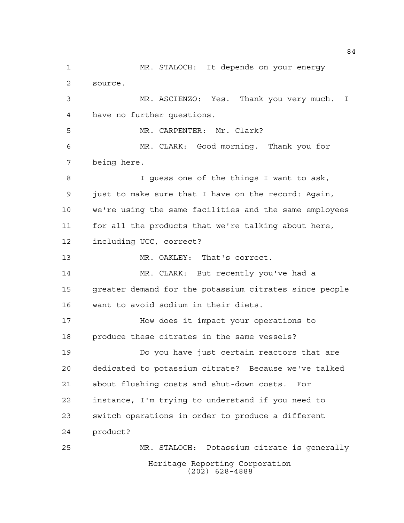Heritage Reporting Corporation (202) 628-4888 MR. STALOCH: It depends on your energy source. MR. ASCIENZO: Yes. Thank you very much. I have no further questions. MR. CARPENTER: Mr. Clark? MR. CLARK: Good morning. Thank you for being here. I guess one of the things I want to ask, just to make sure that I have on the record: Again, we're using the same facilities and the same employees for all the products that we're talking about here, including UCC, correct? MR. OAKLEY: That's correct. MR. CLARK: But recently you've had a greater demand for the potassium citrates since people want to avoid sodium in their diets. How does it impact your operations to produce these citrates in the same vessels? Do you have just certain reactors that are dedicated to potassium citrate? Because we've talked about flushing costs and shut-down costs. For instance, I'm trying to understand if you need to switch operations in order to produce a different product? MR. STALOCH: Potassium citrate is generally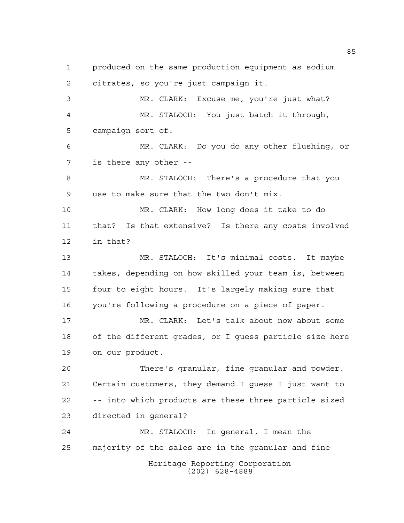Heritage Reporting Corporation (202) 628-4888 produced on the same production equipment as sodium citrates, so you're just campaign it. MR. CLARK: Excuse me, you're just what? MR. STALOCH: You just batch it through, campaign sort of. MR. CLARK: Do you do any other flushing, or is there any other -- MR. STALOCH: There's a procedure that you use to make sure that the two don't mix. MR. CLARK: How long does it take to do that? Is that extensive? Is there any costs involved in that? MR. STALOCH: It's minimal costs. It maybe takes, depending on how skilled your team is, between four to eight hours. It's largely making sure that you're following a procedure on a piece of paper. MR. CLARK: Let's talk about now about some of the different grades, or I guess particle size here on our product. There's granular, fine granular and powder. Certain customers, they demand I guess I just want to -- into which products are these three particle sized directed in general? MR. STALOCH: In general, I mean the majority of the sales are in the granular and fine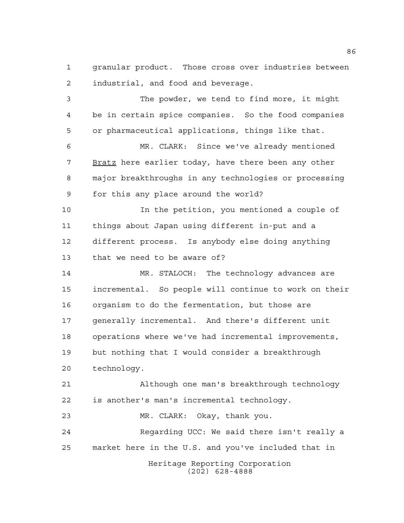granular product. Those cross over industries between industrial, and food and beverage.

 The powder, we tend to find more, it might be in certain spice companies. So the food companies or pharmaceutical applications, things like that. MR. CLARK: Since we've already mentioned 7 Bratz here earlier today, have there been any other major breakthroughs in any technologies or processing for this any place around the world? In the petition, you mentioned a couple of things about Japan using different in-put and a different process. Is anybody else doing anything that we need to be aware of? MR. STALOCH: The technology advances are incremental. So people will continue to work on their organism to do the fermentation, but those are generally incremental. And there's different unit operations where we've had incremental improvements, but nothing that I would consider a breakthrough technology. Although one man's breakthrough technology is another's man's incremental technology. MR. CLARK: Okay, thank you.

Heritage Reporting Corporation Regarding UCC: We said there isn't really a market here in the U.S. and you've included that in

(202) 628-4888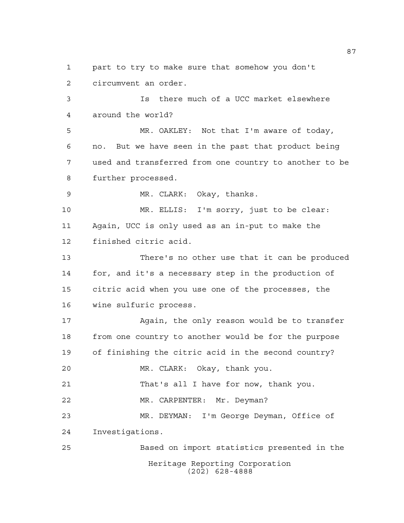Heritage Reporting Corporation (202) 628-4888 part to try to make sure that somehow you don't circumvent an order. Is there much of a UCC market elsewhere around the world? MR. OAKLEY: Not that I'm aware of today, no. But we have seen in the past that product being used and transferred from one country to another to be further processed. MR. CLARK: Okay, thanks. MR. ELLIS: I'm sorry, just to be clear: Again, UCC is only used as an in-put to make the finished citric acid. There's no other use that it can be produced for, and it's a necessary step in the production of citric acid when you use one of the processes, the wine sulfuric process. 17 Again, the only reason would be to transfer from one country to another would be for the purpose of finishing the citric acid in the second country? MR. CLARK: Okay, thank you. That's all I have for now, thank you. MR. CARPENTER: Mr. Deyman? MR. DEYMAN: I'm George Deyman, Office of Investigations. Based on import statistics presented in the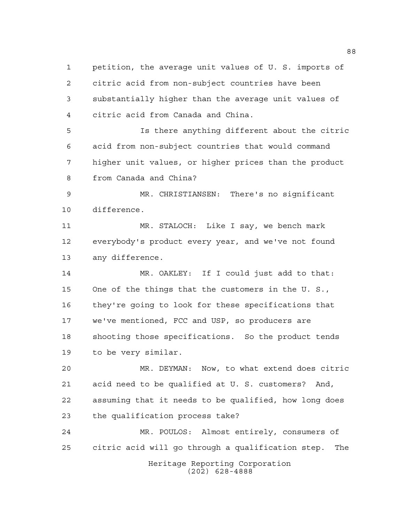petition, the average unit values of U. S. imports of citric acid from non-subject countries have been substantially higher than the average unit values of citric acid from Canada and China.

 Is there anything different about the citric acid from non-subject countries that would command higher unit values, or higher prices than the product from Canada and China?

 MR. CHRISTIANSEN: There's no significant difference.

 MR. STALOCH: Like I say, we bench mark everybody's product every year, and we've not found any difference.

 MR. OAKLEY: If I could just add to that: One of the things that the customers in the U. S., they're going to look for these specifications that we've mentioned, FCC and USP, so producers are shooting those specifications. So the product tends to be very similar.

 MR. DEYMAN: Now, to what extend does citric acid need to be qualified at U. S. customers? And, assuming that it needs to be qualified, how long does the qualification process take?

 MR. POULOS: Almost entirely, consumers of citric acid will go through a qualification step. The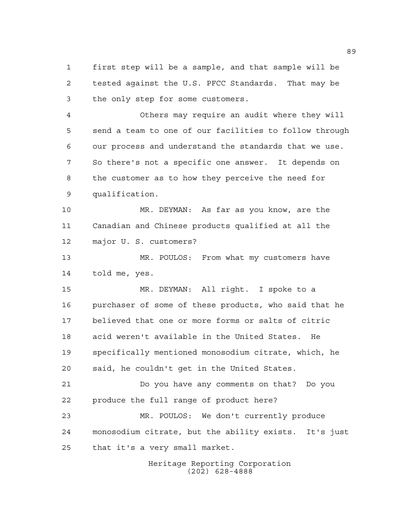first step will be a sample, and that sample will be tested against the U.S. PFCC Standards. That may be the only step for some customers.

 Others may require an audit where they will send a team to one of our facilities to follow through our process and understand the standards that we use. So there's not a specific one answer. It depends on the customer as to how they perceive the need for qualification.

 MR. DEYMAN: As far as you know, are the Canadian and Chinese products qualified at all the major U. S. customers?

 MR. POULOS: From what my customers have told me, yes.

 MR. DEYMAN: All right. I spoke to a purchaser of some of these products, who said that he believed that one or more forms or salts of citric acid weren't available in the United States. He specifically mentioned monosodium citrate, which, he said, he couldn't get in the United States.

 Do you have any comments on that? Do you produce the full range of product here?

 MR. POULOS: We don't currently produce monosodium citrate, but the ability exists. It's just that it's a very small market.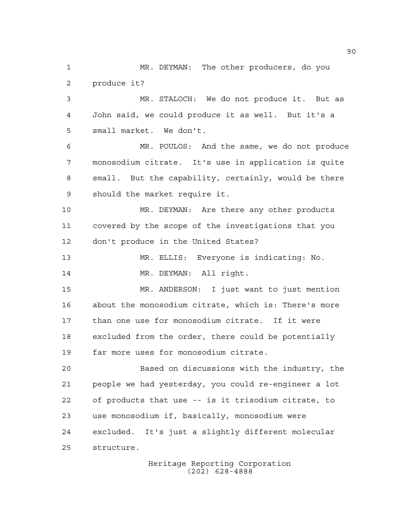MR. DEYMAN: The other producers, do you produce it? MR. STALOCH: We do not produce it. But as John said, we could produce it as well. But it's a small market. We don't. MR. POULOS: And the same, we do not produce monosodium citrate. It's use in application is quite small. But the capability, certainly, would be there should the market require it. MR. DEYMAN: Are there any other products covered by the scope of the investigations that you don't produce in the United States? MR. ELLIS: Everyone is indicating: No. 14 MR. DEYMAN: All right. MR. ANDERSON: I just want to just mention about the monosodium citrate, which is: There's more than one use for monosodium citrate. If it were excluded from the order, there could be potentially far more uses for monosodium citrate. Based on discussions with the industry, the people we had yesterday, you could re-engineer a lot of products that use -- is it trisodium citrate, to use monosodium if, basically, monosodium were excluded. It's just a slightly different molecular structure.

Heritage Reporting Corporation (202) 628-4888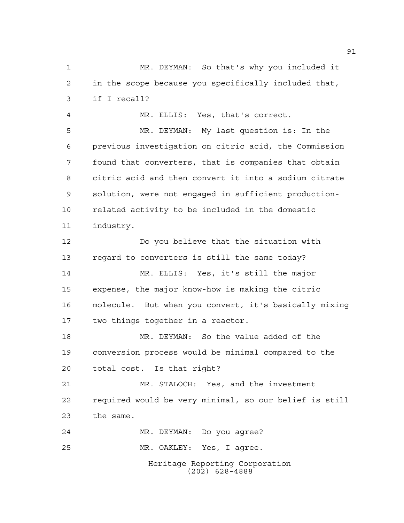Heritage Reporting Corporation (202) 628-4888 MR. DEYMAN: So that's why you included it in the scope because you specifically included that, if I recall? MR. ELLIS: Yes, that's correct. MR. DEYMAN: My last question is: In the previous investigation on citric acid, the Commission found that converters, that is companies that obtain citric acid and then convert it into a sodium citrate solution, were not engaged in sufficient production- related activity to be included in the domestic industry. Do you believe that the situation with regard to converters is still the same today? MR. ELLIS: Yes, it's still the major expense, the major know-how is making the citric molecule. But when you convert, it's basically mixing two things together in a reactor. MR. DEYMAN: So the value added of the conversion process would be minimal compared to the total cost. Is that right? MR. STALOCH: Yes, and the investment required would be very minimal, so our belief is still the same. MR. DEYMAN: Do you agree? MR. OAKLEY: Yes, I agree.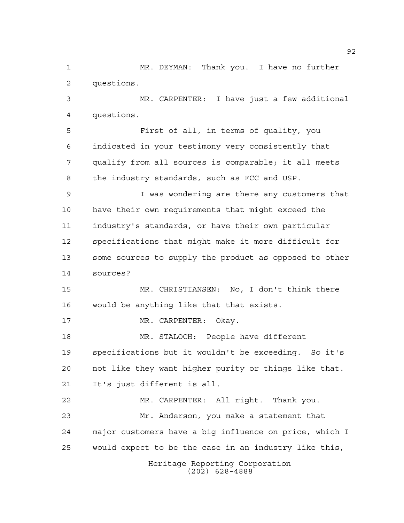MR. DEYMAN: Thank you. I have no further questions.

 MR. CARPENTER: I have just a few additional questions.

 First of all, in terms of quality, you indicated in your testimony very consistently that qualify from all sources is comparable; it all meets the industry standards, such as FCC and USP.

 I was wondering are there any customers that have their own requirements that might exceed the industry's standards, or have their own particular specifications that might make it more difficult for some sources to supply the product as opposed to other sources?

 MR. CHRISTIANSEN: No, I don't think there would be anything like that that exists.

MR. CARPENTER: Okay.

 MR. STALOCH: People have different specifications but it wouldn't be exceeding. So it's not like they want higher purity or things like that. It's just different is all.

 MR. CARPENTER: All right. Thank you. Mr. Anderson, you make a statement that major customers have a big influence on price, which I would expect to be the case in an industry like this,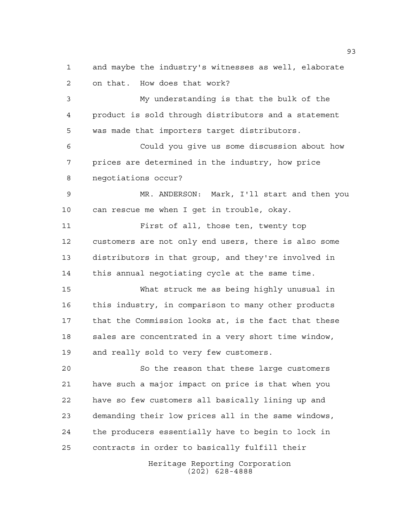and maybe the industry's witnesses as well, elaborate on that. How does that work?

 My understanding is that the bulk of the product is sold through distributors and a statement was made that importers target distributors.

 Could you give us some discussion about how prices are determined in the industry, how price negotiations occur?

 MR. ANDERSON: Mark, I'll start and then you can rescue me when I get in trouble, okay.

11 First of all, those ten, twenty top customers are not only end users, there is also some distributors in that group, and they're involved in this annual negotiating cycle at the same time.

 What struck me as being highly unusual in this industry, in comparison to many other products that the Commission looks at, is the fact that these 18 sales are concentrated in a very short time window, and really sold to very few customers.

 So the reason that these large customers have such a major impact on price is that when you have so few customers all basically lining up and demanding their low prices all in the same windows, the producers essentially have to begin to lock in contracts in order to basically fulfill their

> Heritage Reporting Corporation (202) 628-4888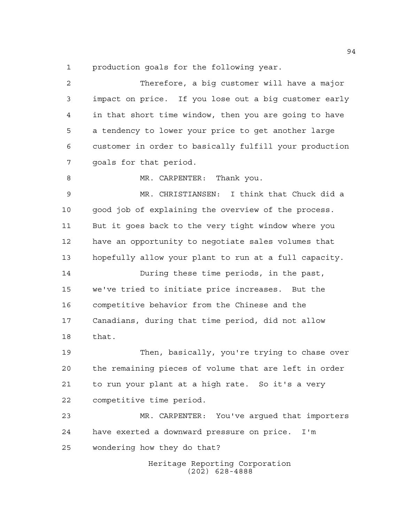production goals for the following year.

Heritage Reporting Corporation (202) 628-4888 Therefore, a big customer will have a major impact on price. If you lose out a big customer early in that short time window, then you are going to have a tendency to lower your price to get another large customer in order to basically fulfill your production goals for that period. 8 MR. CARPENTER: Thank you. MR. CHRISTIANSEN: I think that Chuck did a good job of explaining the overview of the process. But it goes back to the very tight window where you have an opportunity to negotiate sales volumes that hopefully allow your plant to run at a full capacity. During these time periods, in the past, we've tried to initiate price increases. But the competitive behavior from the Chinese and the Canadians, during that time period, did not allow that. Then, basically, you're trying to chase over the remaining pieces of volume that are left in order to run your plant at a high rate. So it's a very competitive time period. MR. CARPENTER: You've argued that importers have exerted a downward pressure on price. I'm wondering how they do that?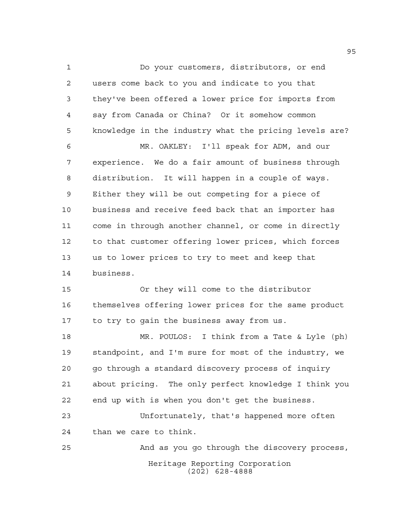Do your customers, distributors, or end users come back to you and indicate to you that they've been offered a lower price for imports from say from Canada or China? Or it somehow common knowledge in the industry what the pricing levels are? MR. OAKLEY: I'll speak for ADM, and our experience. We do a fair amount of business through distribution. It will happen in a couple of ways. Either they will be out competing for a piece of business and receive feed back that an importer has come in through another channel, or come in directly to that customer offering lower prices, which forces us to lower prices to try to meet and keep that business. Or they will come to the distributor themselves offering lower prices for the same product 17 to try to gain the business away from us. MR. POULOS: I think from a Tate & Lyle (ph) standpoint, and I'm sure for most of the industry, we go through a standard discovery process of inquiry about pricing. The only perfect knowledge I think you end up with is when you don't get the business. Unfortunately, that's happened more often than we care to think. And as you go through the discovery process,

> Heritage Reporting Corporation (202) 628-4888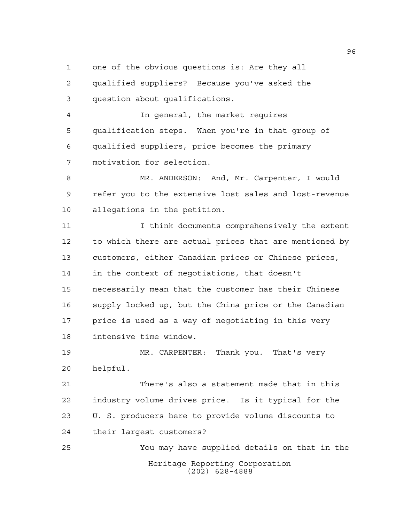one of the obvious questions is: Are they all

 qualified suppliers? Because you've asked the question about qualifications.

 In general, the market requires qualification steps. When you're in that group of qualified suppliers, price becomes the primary motivation for selection.

 MR. ANDERSON: And, Mr. Carpenter, I would refer you to the extensive lost sales and lost-revenue allegations in the petition.

 I think documents comprehensively the extent to which there are actual prices that are mentioned by customers, either Canadian prices or Chinese prices, in the context of negotiations, that doesn't necessarily mean that the customer has their Chinese supply locked up, but the China price or the Canadian price is used as a way of negotiating in this very intensive time window.

 MR. CARPENTER: Thank you. That's very helpful.

 There's also a statement made that in this industry volume drives price. Is it typical for the U. S. producers here to provide volume discounts to their largest customers?

Heritage Reporting Corporation (202) 628-4888 You may have supplied details on that in the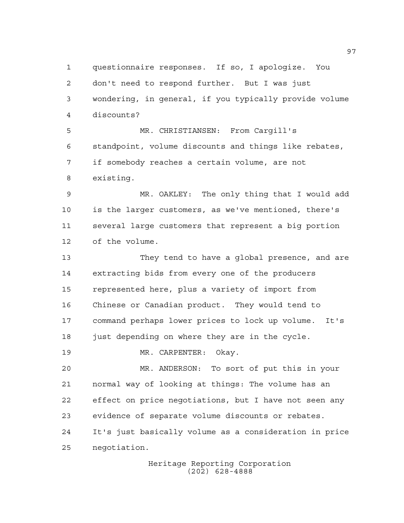questionnaire responses. If so, I apologize. You don't need to respond further. But I was just wondering, in general, if you typically provide volume discounts? MR. CHRISTIANSEN: From Cargill's standpoint, volume discounts and things like rebates, if somebody reaches a certain volume, are not existing. MR. OAKLEY: The only thing that I would add is the larger customers, as we've mentioned, there's several large customers that represent a big portion of the volume. They tend to have a global presence, and are extracting bids from every one of the producers represented here, plus a variety of import from Chinese or Canadian product. They would tend to command perhaps lower prices to lock up volume. It's 18 just depending on where they are in the cycle. MR. CARPENTER: Okay. MR. ANDERSON: To sort of put this in your normal way of looking at things: The volume has an effect on price negotiations, but I have not seen any evidence of separate volume discounts or rebates. It's just basically volume as a consideration in price negotiation.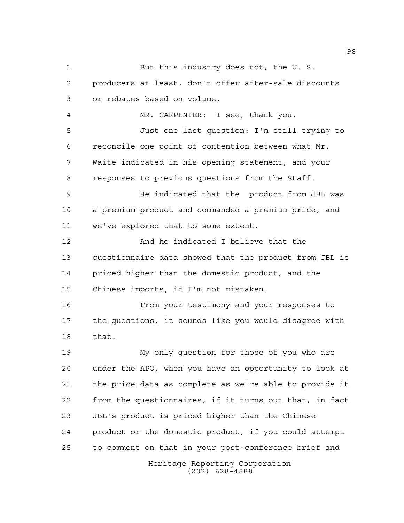Heritage Reporting Corporation But this industry does not, the U. S. producers at least, don't offer after-sale discounts or rebates based on volume. MR. CARPENTER: I see, thank you. Just one last question: I'm still trying to reconcile one point of contention between what Mr. Waite indicated in his opening statement, and your responses to previous questions from the Staff. He indicated that the product from JBL was a premium product and commanded a premium price, and we've explored that to some extent. And he indicated I believe that the questionnaire data showed that the product from JBL is priced higher than the domestic product, and the Chinese imports, if I'm not mistaken. From your testimony and your responses to the questions, it sounds like you would disagree with that. My only question for those of you who are under the APO, when you have an opportunity to look at the price data as complete as we're able to provide it from the questionnaires, if it turns out that, in fact JBL's product is priced higher than the Chinese product or the domestic product, if you could attempt to comment on that in your post-conference brief and

(202) 628-4888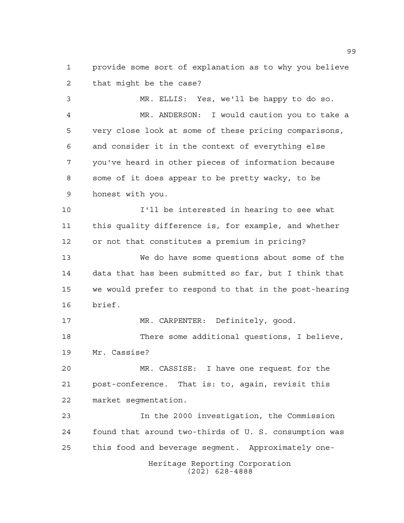provide some sort of explanation as to why you believe that might be the case?

 MR. ELLIS: Yes, we'll be happy to do so. MR. ANDERSON: I would caution you to take a very close look at some of these pricing comparisons, and consider it in the context of everything else you've heard in other pieces of information because some of it does appear to be pretty wacky, to be honest with you.

 I'll be interested in hearing to see what this quality difference is, for example, and whether or not that constitutes a premium in pricing?

 We do have some questions about some of the data that has been submitted so far, but I think that we would prefer to respond to that in the post-hearing brief.

 MR. CARPENTER: Definitely, good. There some additional questions, I believe, Mr. Cassise?

 MR. CASSISE: I have one request for the post-conference. That is: to, again, revisit this market segmentation.

 In the 2000 investigation, the Commission found that around two-thirds of U. S. consumption was this food and beverage segment. Approximately one-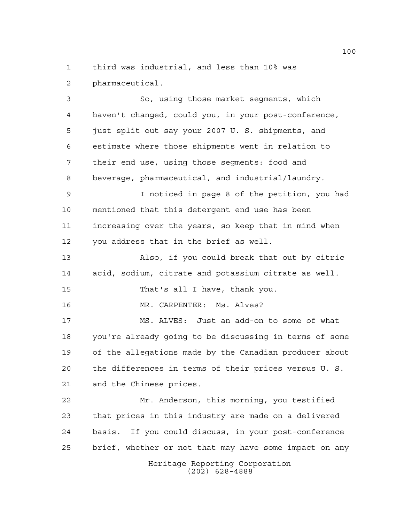third was industrial, and less than 10% was pharmaceutical.

 So, using those market segments, which haven't changed, could you, in your post-conference, just split out say your 2007 U. S. shipments, and estimate where those shipments went in relation to their end use, using those segments: food and beverage, pharmaceutical, and industrial/laundry. I noticed in page 8 of the petition, you had

 mentioned that this detergent end use has been increasing over the years, so keep that in mind when you address that in the brief as well.

 Also, if you could break that out by citric acid, sodium, citrate and potassium citrate as well.

That's all I have, thank you.

MR. CARPENTER: Ms. Alves?

 MS. ALVES: Just an add-on to some of what you're already going to be discussing in terms of some of the allegations made by the Canadian producer about the differences in terms of their prices versus U. S. and the Chinese prices.

 Mr. Anderson, this morning, you testified that prices in this industry are made on a delivered basis. If you could discuss, in your post-conference brief, whether or not that may have some impact on any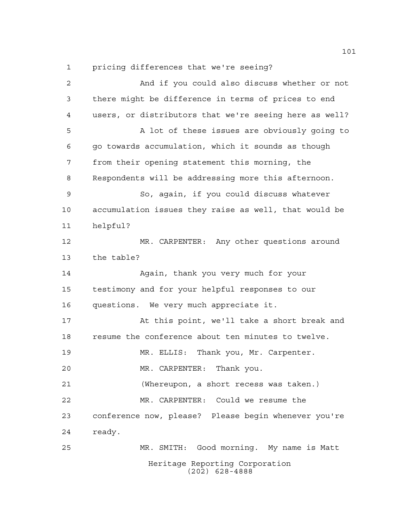pricing differences that we're seeing?

Heritage Reporting Corporation (202) 628-4888 And if you could also discuss whether or not there might be difference in terms of prices to end users, or distributors that we're seeing here as well? A lot of these issues are obviously going to go towards accumulation, which it sounds as though from their opening statement this morning, the Respondents will be addressing more this afternoon. So, again, if you could discuss whatever accumulation issues they raise as well, that would be helpful? MR. CARPENTER: Any other questions around the table? Again, thank you very much for your testimony and for your helpful responses to our questions. We very much appreciate it. At this point, we'll take a short break and resume the conference about ten minutes to twelve. MR. ELLIS: Thank you, Mr. Carpenter. MR. CARPENTER: Thank you. (Whereupon, a short recess was taken.) MR. CARPENTER: Could we resume the conference now, please? Please begin whenever you're ready. MR. SMITH: Good morning. My name is Matt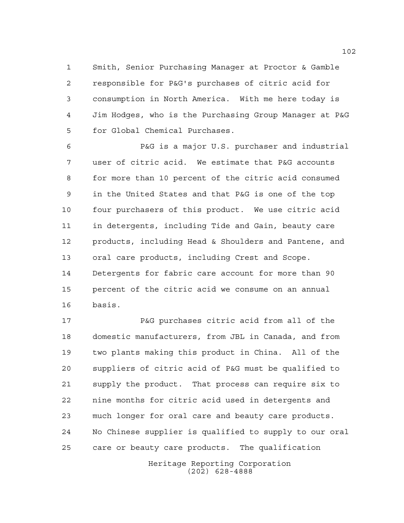Smith, Senior Purchasing Manager at Proctor & Gamble responsible for P&G's purchases of citric acid for consumption in North America. With me here today is Jim Hodges, who is the Purchasing Group Manager at P&G for Global Chemical Purchases.

 P&G is a major U.S. purchaser and industrial user of citric acid. We estimate that P&G accounts for more than 10 percent of the citric acid consumed in the United States and that P&G is one of the top four purchasers of this product. We use citric acid in detergents, including Tide and Gain, beauty care products, including Head & Shoulders and Pantene, and oral care products, including Crest and Scope. Detergents for fabric care account for more than 90 percent of the citric acid we consume on an annual basis.

 P&G purchases citric acid from all of the domestic manufacturers, from JBL in Canada, and from two plants making this product in China. All of the suppliers of citric acid of P&G must be qualified to supply the product. That process can require six to nine months for citric acid used in detergents and much longer for oral care and beauty care products. No Chinese supplier is qualified to supply to our oral care or beauty care products. The qualification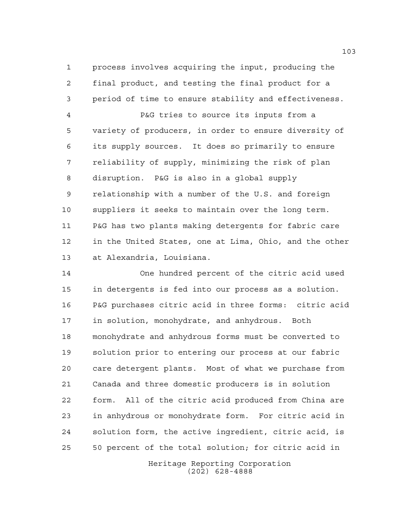process involves acquiring the input, producing the final product, and testing the final product for a period of time to ensure stability and effectiveness.

 P&G tries to source its inputs from a variety of producers, in order to ensure diversity of its supply sources. It does so primarily to ensure reliability of supply, minimizing the risk of plan disruption. P&G is also in a global supply relationship with a number of the U.S. and foreign suppliers it seeks to maintain over the long term. P&G has two plants making detergents for fabric care in the United States, one at Lima, Ohio, and the other at Alexandria, Louisiana.

 One hundred percent of the citric acid used in detergents is fed into our process as a solution. P&G purchases citric acid in three forms: citric acid in solution, monohydrate, and anhydrous. Both monohydrate and anhydrous forms must be converted to solution prior to entering our process at our fabric care detergent plants. Most of what we purchase from Canada and three domestic producers is in solution form. All of the citric acid produced from China are in anhydrous or monohydrate form. For citric acid in solution form, the active ingredient, citric acid, is 50 percent of the total solution; for citric acid in

> Heritage Reporting Corporation (202) 628-4888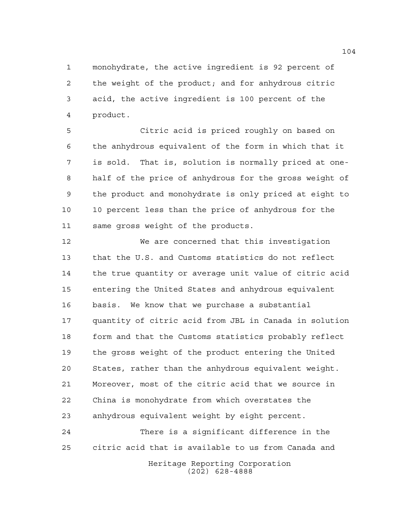monohydrate, the active ingredient is 92 percent of the weight of the product; and for anhydrous citric acid, the active ingredient is 100 percent of the product.

 Citric acid is priced roughly on based on the anhydrous equivalent of the form in which that it is sold. That is, solution is normally priced at one- half of the price of anhydrous for the gross weight of the product and monohydrate is only priced at eight to 10 percent less than the price of anhydrous for the same gross weight of the products.

 We are concerned that this investigation that the U.S. and Customs statistics do not reflect the true quantity or average unit value of citric acid entering the United States and anhydrous equivalent basis. We know that we purchase a substantial quantity of citric acid from JBL in Canada in solution form and that the Customs statistics probably reflect the gross weight of the product entering the United States, rather than the anhydrous equivalent weight. Moreover, most of the citric acid that we source in China is monohydrate from which overstates the anhydrous equivalent weight by eight percent.

 There is a significant difference in the citric acid that is available to us from Canada and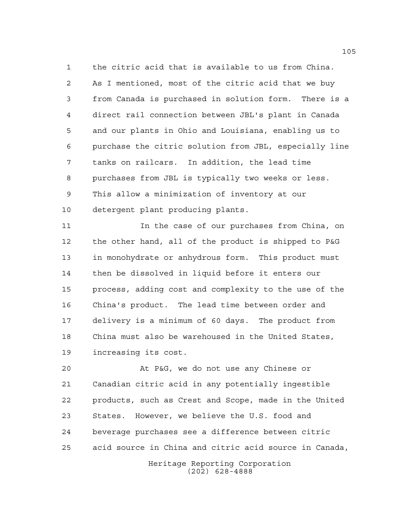the citric acid that is available to us from China. As I mentioned, most of the citric acid that we buy from Canada is purchased in solution form. There is a direct rail connection between JBL's plant in Canada and our plants in Ohio and Louisiana, enabling us to purchase the citric solution from JBL, especially line tanks on railcars. In addition, the lead time purchases from JBL is typically two weeks or less. This allow a minimization of inventory at our detergent plant producing plants.

 In the case of our purchases from China, on the other hand, all of the product is shipped to P&G in monohydrate or anhydrous form. This product must then be dissolved in liquid before it enters our process, adding cost and complexity to the use of the China's product. The lead time between order and delivery is a minimum of 60 days. The product from China must also be warehoused in the United States, increasing its cost.

 At P&G, we do not use any Chinese or Canadian citric acid in any potentially ingestible products, such as Crest and Scope, made in the United States. However, we believe the U.S. food and beverage purchases see a difference between citric acid source in China and citric acid source in Canada,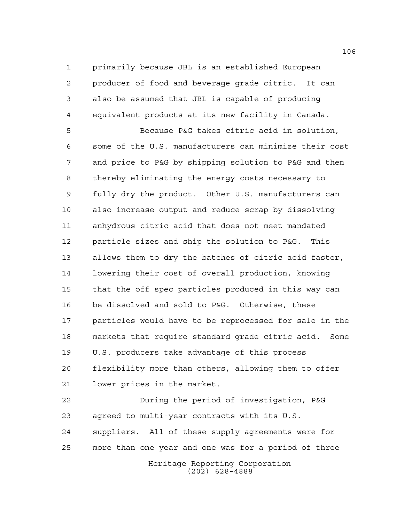primarily because JBL is an established European producer of food and beverage grade citric. It can also be assumed that JBL is capable of producing equivalent products at its new facility in Canada.

 Because P&G takes citric acid in solution, some of the U.S. manufacturers can minimize their cost and price to P&G by shipping solution to P&G and then thereby eliminating the energy costs necessary to fully dry the product. Other U.S. manufacturers can also increase output and reduce scrap by dissolving anhydrous citric acid that does not meet mandated particle sizes and ship the solution to P&G. This allows them to dry the batches of citric acid faster, lowering their cost of overall production, knowing that the off spec particles produced in this way can be dissolved and sold to P&G. Otherwise, these particles would have to be reprocessed for sale in the markets that require standard grade citric acid. Some U.S. producers take advantage of this process flexibility more than others, allowing them to offer lower prices in the market.

 During the period of investigation, P&G agreed to multi-year contracts with its U.S. suppliers. All of these supply agreements were for more than one year and one was for a period of three

Heritage Reporting Corporation (202) 628-4888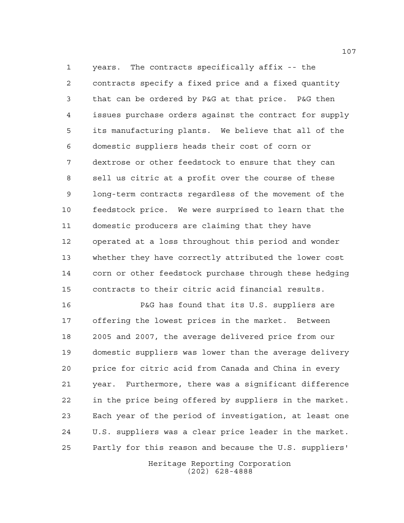years. The contracts specifically affix -- the contracts specify a fixed price and a fixed quantity that can be ordered by P&G at that price. P&G then issues purchase orders against the contract for supply its manufacturing plants. We believe that all of the domestic suppliers heads their cost of corn or dextrose or other feedstock to ensure that they can sell us citric at a profit over the course of these long-term contracts regardless of the movement of the feedstock price. We were surprised to learn that the domestic producers are claiming that they have operated at a loss throughout this period and wonder whether they have correctly attributed the lower cost corn or other feedstock purchase through these hedging contracts to their citric acid financial results.

 P&G has found that its U.S. suppliers are offering the lowest prices in the market. Between 2005 and 2007, the average delivered price from our domestic suppliers was lower than the average delivery price for citric acid from Canada and China in every year. Furthermore, there was a significant difference in the price being offered by suppliers in the market. Each year of the period of investigation, at least one U.S. suppliers was a clear price leader in the market. Partly for this reason and because the U.S. suppliers'

> Heritage Reporting Corporation (202) 628-4888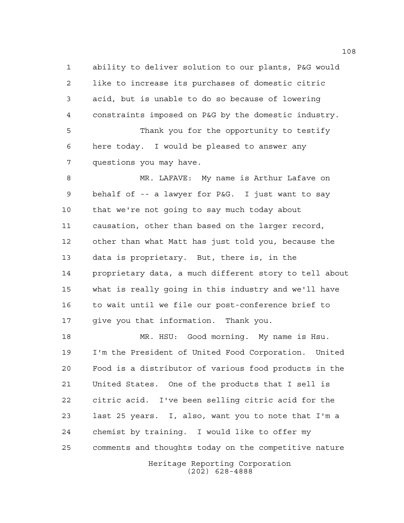ability to deliver solution to our plants, P&G would like to increase its purchases of domestic citric acid, but is unable to do so because of lowering constraints imposed on P&G by the domestic industry. Thank you for the opportunity to testify here today. I would be pleased to answer any

questions you may have.

 MR. LAFAVE: My name is Arthur Lafave on behalf of -- a lawyer for P&G. I just want to say that we're not going to say much today about causation, other than based on the larger record, other than what Matt has just told you, because the data is proprietary. But, there is, in the proprietary data, a much different story to tell about what is really going in this industry and we'll have to wait until we file our post-conference brief to give you that information. Thank you.

 MR. HSU: Good morning. My name is Hsu. I'm the President of United Food Corporation. United Food is a distributor of various food products in the United States. One of the products that I sell is citric acid. I've been selling citric acid for the last 25 years. I, also, want you to note that I'm a chemist by training. I would like to offer my comments and thoughts today on the competitive nature

Heritage Reporting Corporation (202) 628-4888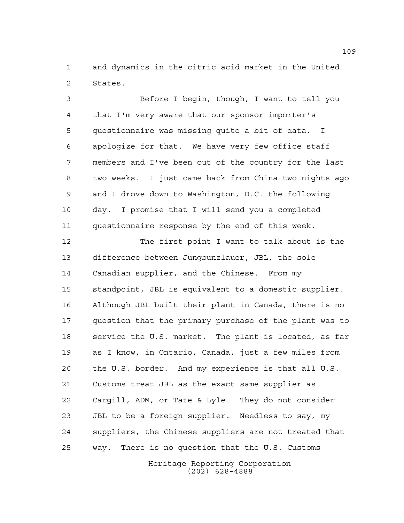and dynamics in the citric acid market in the United States.

 Before I begin, though, I want to tell you that I'm very aware that our sponsor importer's questionnaire was missing quite a bit of data. I apologize for that. We have very few office staff members and I've been out of the country for the last two weeks. I just came back from China two nights ago and I drove down to Washington, D.C. the following day. I promise that I will send you a completed questionnaire response by the end of this week.

 The first point I want to talk about is the difference between Jungbunzlauer, JBL, the sole Canadian supplier, and the Chinese. From my standpoint, JBL is equivalent to a domestic supplier. Although JBL built their plant in Canada, there is no question that the primary purchase of the plant was to service the U.S. market. The plant is located, as far as I know, in Ontario, Canada, just a few miles from the U.S. border. And my experience is that all U.S. Customs treat JBL as the exact same supplier as Cargill, ADM, or Tate & Lyle. They do not consider JBL to be a foreign supplier. Needless to say, my suppliers, the Chinese suppliers are not treated that way. There is no question that the U.S. Customs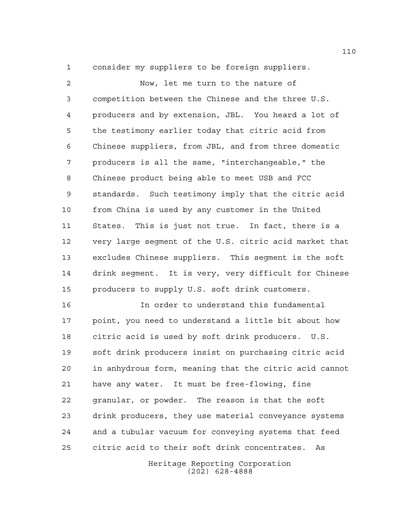consider my suppliers to be foreign suppliers.

 Now, let me turn to the nature of competition between the Chinese and the three U.S. producers and by extension, JBL. You heard a lot of the testimony earlier today that citric acid from Chinese suppliers, from JBL, and from three domestic producers is all the same, "interchangeable," the Chinese product being able to meet USB and FCC standards. Such testimony imply that the citric acid from China is used by any customer in the United States. This is just not true. In fact, there is a very large segment of the U.S. citric acid market that excludes Chinese suppliers. This segment is the soft drink segment. It is very, very difficult for Chinese producers to supply U.S. soft drink customers.

 In order to understand this fundamental point, you need to understand a little bit about how citric acid is used by soft drink producers. U.S. soft drink producers insist on purchasing citric acid in anhydrous form, meaning that the citric acid cannot have any water. It must be free-flowing, fine granular, or powder. The reason is that the soft drink producers, they use material conveyance systems and a tubular vacuum for conveying systems that feed citric acid to their soft drink concentrates. As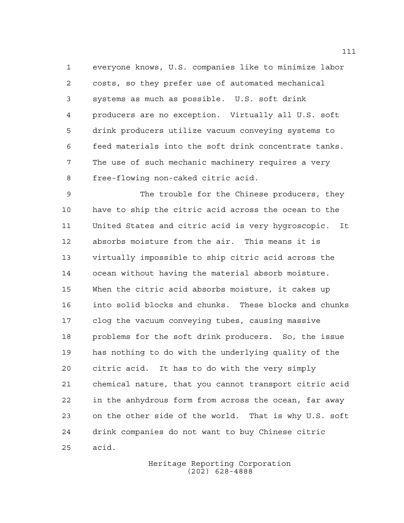everyone knows, U.S. companies like to minimize labor costs, so they prefer use of automated mechanical systems as much as possible. U.S. soft drink producers are no exception. Virtually all U.S. soft drink producers utilize vacuum conveying systems to feed materials into the soft drink concentrate tanks. The use of such mechanic machinery requires a very free-flowing non-caked citric acid.

 The trouble for the Chinese producers, they have to ship the citric acid across the ocean to the United States and citric acid is very hygroscopic. It absorbs moisture from the air. This means it is virtually impossible to ship citric acid across the ocean without having the material absorb moisture. When the citric acid absorbs moisture, it cakes up into solid blocks and chunks. These blocks and chunks clog the vacuum conveying tubes, causing massive problems for the soft drink producers. So, the issue has nothing to do with the underlying quality of the citric acid. It has to do with the very simply chemical nature, that you cannot transport citric acid in the anhydrous form from across the ocean, far away on the other side of the world. That is why U.S. soft drink companies do not want to buy Chinese citric acid.

> Heritage Reporting Corporation (202) 628-4888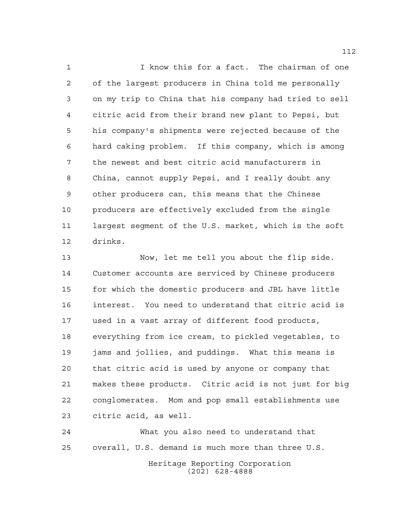I know this for a fact. The chairman of one of the largest producers in China told me personally on my trip to China that his company had tried to sell citric acid from their brand new plant to Pepsi, but his company's shipments were rejected because of the hard caking problem. If this company, which is among the newest and best citric acid manufacturers in China, cannot supply Pepsi, and I really doubt any other producers can, this means that the Chinese producers are effectively excluded from the single largest segment of the U.S. market, which is the soft drinks.

 Now, let me tell you about the flip side. Customer accounts are serviced by Chinese producers for which the domestic producers and JBL have little interest. You need to understand that citric acid is used in a vast array of different food products, everything from ice cream, to pickled vegetables, to jams and jollies, and puddings. What this means is that citric acid is used by anyone or company that makes these products. Citric acid is not just for big conglomerates. Mom and pop small establishments use citric acid, as well.

 What you also need to understand that overall, U.S. demand is much more than three U.S.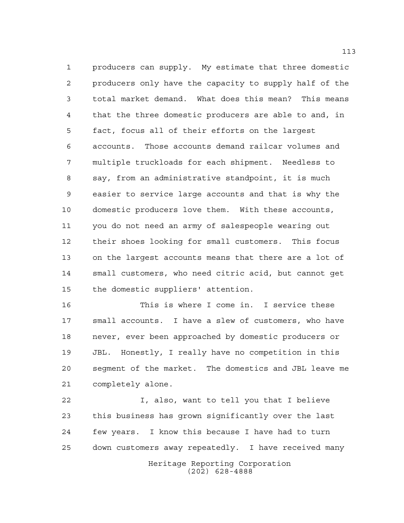producers can supply. My estimate that three domestic producers only have the capacity to supply half of the total market demand. What does this mean? This means that the three domestic producers are able to and, in fact, focus all of their efforts on the largest accounts. Those accounts demand railcar volumes and multiple truckloads for each shipment. Needless to say, from an administrative standpoint, it is much easier to service large accounts and that is why the domestic producers love them. With these accounts, you do not need an army of salespeople wearing out their shoes looking for small customers. This focus on the largest accounts means that there are a lot of small customers, who need citric acid, but cannot get the domestic suppliers' attention.

 This is where I come in. I service these small accounts. I have a slew of customers, who have never, ever been approached by domestic producers or JBL. Honestly, I really have no competition in this segment of the market. The domestics and JBL leave me completely alone.

Heritage Reporting Corporation (202) 628-4888 I, also, want to tell you that I believe this business has grown significantly over the last few years. I know this because I have had to turn down customers away repeatedly. I have received many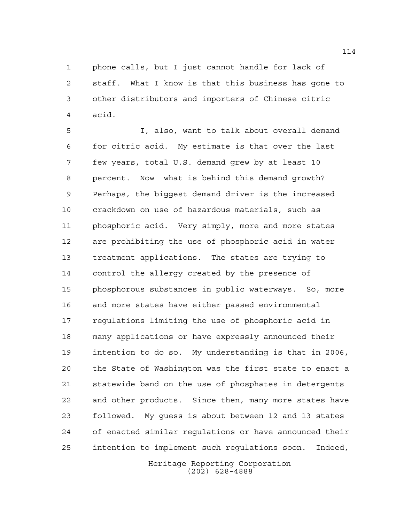phone calls, but I just cannot handle for lack of staff. What I know is that this business has gone to other distributors and importers of Chinese citric acid.

 I, also, want to talk about overall demand for citric acid. My estimate is that over the last few years, total U.S. demand grew by at least 10 percent. Now what is behind this demand growth? Perhaps, the biggest demand driver is the increased crackdown on use of hazardous materials, such as phosphoric acid. Very simply, more and more states are prohibiting the use of phosphoric acid in water treatment applications. The states are trying to control the allergy created by the presence of phosphorous substances in public waterways. So, more and more states have either passed environmental regulations limiting the use of phosphoric acid in many applications or have expressly announced their intention to do so. My understanding is that in 2006, the State of Washington was the first state to enact a statewide band on the use of phosphates in detergents and other products. Since then, many more states have followed. My guess is about between 12 and 13 states of enacted similar regulations or have announced their intention to implement such regulations soon. Indeed,

> Heritage Reporting Corporation (202) 628-4888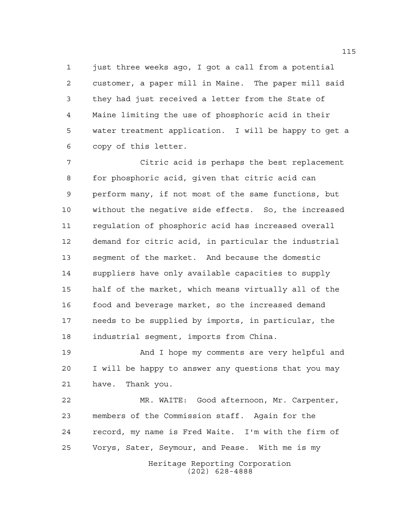1 just three weeks ago, I got a call from a potential customer, a paper mill in Maine. The paper mill said they had just received a letter from the State of Maine limiting the use of phosphoric acid in their water treatment application. I will be happy to get a copy of this letter.

 Citric acid is perhaps the best replacement for phosphoric acid, given that citric acid can perform many, if not most of the same functions, but without the negative side effects. So, the increased regulation of phosphoric acid has increased overall demand for citric acid, in particular the industrial segment of the market. And because the domestic suppliers have only available capacities to supply half of the market, which means virtually all of the food and beverage market, so the increased demand needs to be supplied by imports, in particular, the industrial segment, imports from China.

 And I hope my comments are very helpful and I will be happy to answer any questions that you may have. Thank you.

Heritage Reporting Corporation MR. WAITE: Good afternoon, Mr. Carpenter, members of the Commission staff. Again for the record, my name is Fred Waite. I'm with the firm of Vorys, Sater, Seymour, and Pease. With me is my

(202) 628-4888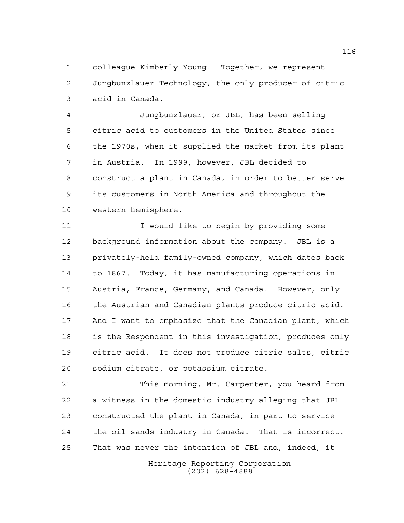colleague Kimberly Young. Together, we represent Jungbunzlauer Technology, the only producer of citric acid in Canada.

 Jungbunzlauer, or JBL, has been selling citric acid to customers in the United States since the 1970s, when it supplied the market from its plant in Austria. In 1999, however, JBL decided to construct a plant in Canada, in order to better serve its customers in North America and throughout the western hemisphere.

11 11 I would like to begin by providing some background information about the company. JBL is a privately-held family-owned company, which dates back to 1867. Today, it has manufacturing operations in Austria, France, Germany, and Canada. However, only the Austrian and Canadian plants produce citric acid. And I want to emphasize that the Canadian plant, which is the Respondent in this investigation, produces only citric acid. It does not produce citric salts, citric sodium citrate, or potassium citrate.

 This morning, Mr. Carpenter, you heard from a witness in the domestic industry alleging that JBL constructed the plant in Canada, in part to service the oil sands industry in Canada. That is incorrect. That was never the intention of JBL and, indeed, it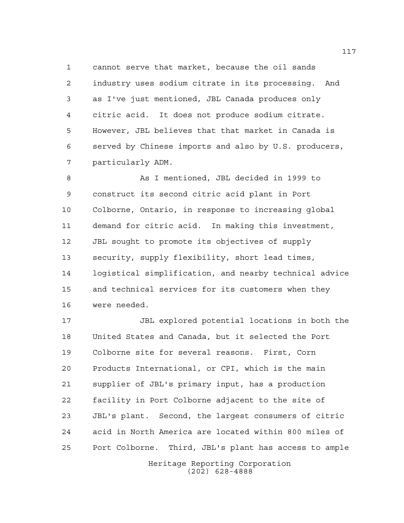cannot serve that market, because the oil sands industry uses sodium citrate in its processing. And as I've just mentioned, JBL Canada produces only citric acid. It does not produce sodium citrate. However, JBL believes that that market in Canada is served by Chinese imports and also by U.S. producers, particularly ADM.

 As I mentioned, JBL decided in 1999 to construct its second citric acid plant in Port Colborne, Ontario, in response to increasing global demand for citric acid. In making this investment, JBL sought to promote its objectives of supply security, supply flexibility, short lead times, logistical simplification, and nearby technical advice and technical services for its customers when they were needed.

 JBL explored potential locations in both the United States and Canada, but it selected the Port Colborne site for several reasons. First, Corn Products International, or CPI, which is the main supplier of JBL's primary input, has a production facility in Port Colborne adjacent to the site of JBL's plant. Second, the largest consumers of citric acid in North America are located within 800 miles of Port Colborne. Third, JBL's plant has access to ample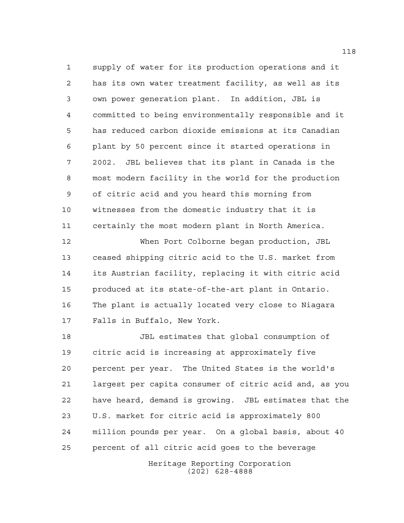supply of water for its production operations and it has its own water treatment facility, as well as its own power generation plant. In addition, JBL is committed to being environmentally responsible and it has reduced carbon dioxide emissions at its Canadian plant by 50 percent since it started operations in 2002. JBL believes that its plant in Canada is the most modern facility in the world for the production of citric acid and you heard this morning from witnesses from the domestic industry that it is certainly the most modern plant in North America.

 When Port Colborne began production, JBL ceased shipping citric acid to the U.S. market from its Austrian facility, replacing it with citric acid produced at its state-of-the-art plant in Ontario. The plant is actually located very close to Niagara Falls in Buffalo, New York.

 JBL estimates that global consumption of citric acid is increasing at approximately five percent per year. The United States is the world's largest per capita consumer of citric acid and, as you have heard, demand is growing. JBL estimates that the U.S. market for citric acid is approximately 800 million pounds per year. On a global basis, about 40 percent of all citric acid goes to the beverage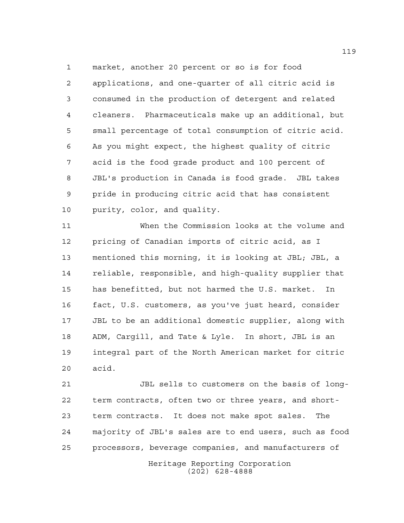market, another 20 percent or so is for food applications, and one-quarter of all citric acid is consumed in the production of detergent and related cleaners. Pharmaceuticals make up an additional, but small percentage of total consumption of citric acid. As you might expect, the highest quality of citric acid is the food grade product and 100 percent of JBL's production in Canada is food grade. JBL takes pride in producing citric acid that has consistent purity, color, and quality.

 When the Commission looks at the volume and pricing of Canadian imports of citric acid, as I mentioned this morning, it is looking at JBL; JBL, a reliable, responsible, and high-quality supplier that has benefitted, but not harmed the U.S. market. In fact, U.S. customers, as you've just heard, consider JBL to be an additional domestic supplier, along with ADM, Cargill, and Tate & Lyle. In short, JBL is an integral part of the North American market for citric acid.

 JBL sells to customers on the basis of long- term contracts, often two or three years, and short- term contracts. It does not make spot sales. The majority of JBL's sales are to end users, such as food processors, beverage companies, and manufacturers of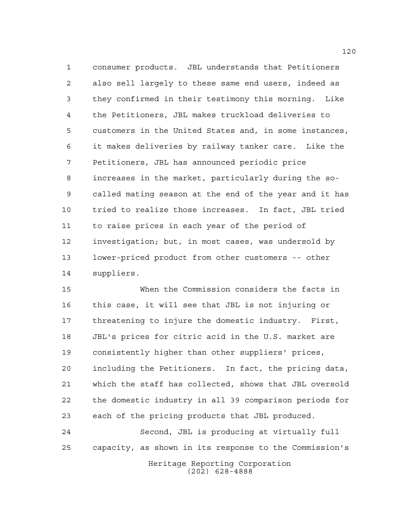consumer products. JBL understands that Petitioners also sell largely to these same end users, indeed as they confirmed in their testimony this morning. Like the Petitioners, JBL makes truckload deliveries to customers in the United States and, in some instances, it makes deliveries by railway tanker care. Like the Petitioners, JBL has announced periodic price increases in the market, particularly during the so- called mating season at the end of the year and it has tried to realize those increases. In fact, JBL tried to raise prices in each year of the period of investigation; but, in most cases, was undersold by lower-priced product from other customers -- other suppliers.

 When the Commission considers the facts in this case, it will see that JBL is not injuring or threatening to injure the domestic industry. First, JBL's prices for citric acid in the U.S. market are consistently higher than other suppliers' prices, including the Petitioners. In fact, the pricing data, which the staff has collected, shows that JBL oversold the domestic industry in all 39 comparison periods for each of the pricing products that JBL produced.

 Second, JBL is producing at virtually full capacity, as shown in its response to the Commission's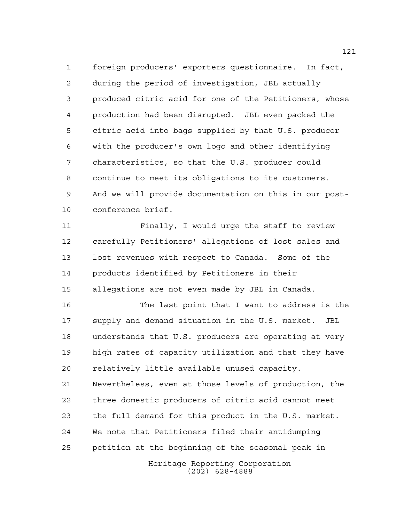foreign producers' exporters questionnaire. In fact, during the period of investigation, JBL actually produced citric acid for one of the Petitioners, whose production had been disrupted. JBL even packed the citric acid into bags supplied by that U.S. producer with the producer's own logo and other identifying characteristics, so that the U.S. producer could continue to meet its obligations to its customers. And we will provide documentation on this in our post-conference brief.

 Finally, I would urge the staff to review carefully Petitioners' allegations of lost sales and lost revenues with respect to Canada. Some of the products identified by Petitioners in their allegations are not even made by JBL in Canada.

 The last point that I want to address is the supply and demand situation in the U.S. market. JBL understands that U.S. producers are operating at very high rates of capacity utilization and that they have relatively little available unused capacity. Nevertheless, even at those levels of production, the three domestic producers of citric acid cannot meet the full demand for this product in the U.S. market. We note that Petitioners filed their antidumping petition at the beginning of the seasonal peak in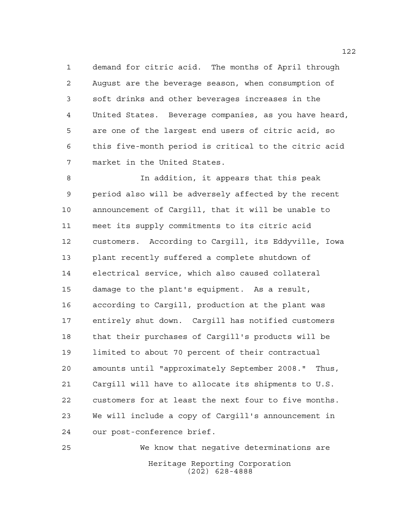demand for citric acid. The months of April through August are the beverage season, when consumption of soft drinks and other beverages increases in the United States. Beverage companies, as you have heard, are one of the largest end users of citric acid, so this five-month period is critical to the citric acid market in the United States.

 In addition, it appears that this peak period also will be adversely affected by the recent announcement of Cargill, that it will be unable to meet its supply commitments to its citric acid customers. According to Cargill, its Eddyville, Iowa plant recently suffered a complete shutdown of electrical service, which also caused collateral damage to the plant's equipment. As a result, according to Cargill, production at the plant was entirely shut down. Cargill has notified customers that their purchases of Cargill's products will be limited to about 70 percent of their contractual amounts until "approximately September 2008." Thus, Cargill will have to allocate its shipments to U.S. customers for at least the next four to five months. We will include a copy of Cargill's announcement in our post-conference brief.

Heritage Reporting Corporation (202) 628-4888 We know that negative determinations are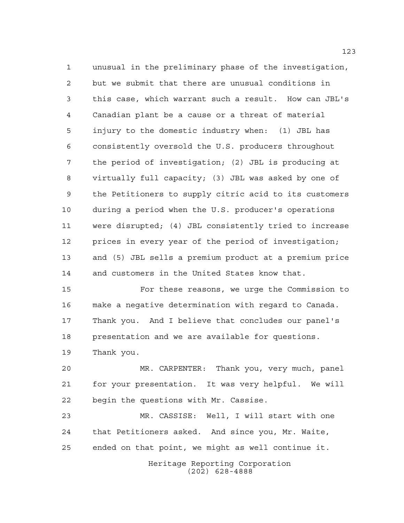unusual in the preliminary phase of the investigation, but we submit that there are unusual conditions in this case, which warrant such a result. How can JBL's Canadian plant be a cause or a threat of material injury to the domestic industry when: (1) JBL has consistently oversold the U.S. producers throughout the period of investigation; (2) JBL is producing at virtually full capacity; (3) JBL was asked by one of the Petitioners to supply citric acid to its customers during a period when the U.S. producer's operations were disrupted; (4) JBL consistently tried to increase prices in every year of the period of investigation; and (5) JBL sells a premium product at a premium price and customers in the United States know that.

 For these reasons, we urge the Commission to make a negative determination with regard to Canada. Thank you. And I believe that concludes our panel's presentation and we are available for questions.

Thank you.

 MR. CARPENTER: Thank you, very much, panel for your presentation. It was very helpful. We will begin the questions with Mr. Cassise.

 MR. CASSISE: Well, I will start with one that Petitioners asked. And since you, Mr. Waite, ended on that point, we might as well continue it.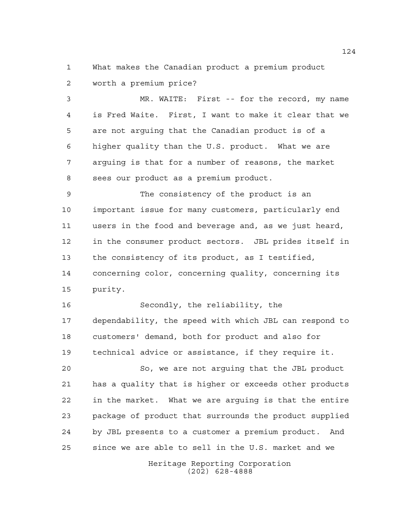What makes the Canadian product a premium product worth a premium price?

 MR. WAITE: First -- for the record, my name is Fred Waite. First, I want to make it clear that we are not arguing that the Canadian product is of a higher quality than the U.S. product. What we are arguing is that for a number of reasons, the market sees our product as a premium product.

 The consistency of the product is an important issue for many customers, particularly end users in the food and beverage and, as we just heard, in the consumer product sectors. JBL prides itself in the consistency of its product, as I testified, concerning color, concerning quality, concerning its purity.

 Secondly, the reliability, the dependability, the speed with which JBL can respond to customers' demand, both for product and also for technical advice or assistance, if they require it.

 So, we are not arguing that the JBL product has a quality that is higher or exceeds other products in the market. What we are arguing is that the entire package of product that surrounds the product supplied by JBL presents to a customer a premium product. And since we are able to sell in the U.S. market and we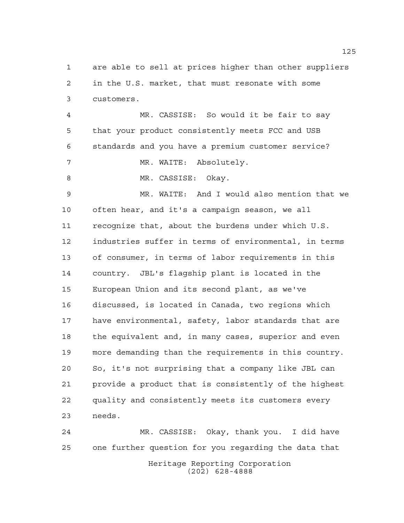are able to sell at prices higher than other suppliers in the U.S. market, that must resonate with some customers.

 MR. CASSISE: So would it be fair to say that your product consistently meets FCC and USB standards and you have a premium customer service? 7 MR. WAITE: Absolutely.

8 MR. CASSISE: Okay.

 MR. WAITE: And I would also mention that we often hear, and it's a campaign season, we all recognize that, about the burdens under which U.S. industries suffer in terms of environmental, in terms of consumer, in terms of labor requirements in this country. JBL's flagship plant is located in the European Union and its second plant, as we've discussed, is located in Canada, two regions which have environmental, safety, labor standards that are the equivalent and, in many cases, superior and even more demanding than the requirements in this country. So, it's not surprising that a company like JBL can provide a product that is consistently of the highest quality and consistently meets its customers every needs.

Heritage Reporting Corporation (202) 628-4888 MR. CASSISE: Okay, thank you. I did have one further question for you regarding the data that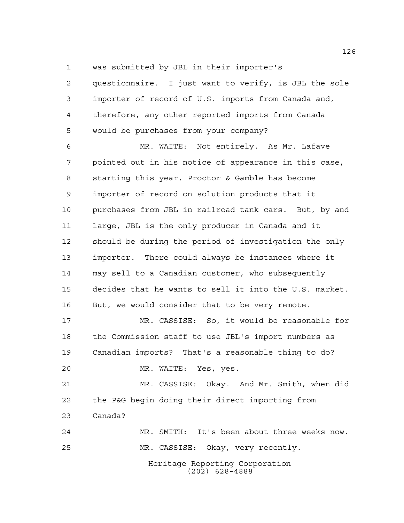was submitted by JBL in their importer's

 questionnaire. I just want to verify, is JBL the sole importer of record of U.S. imports from Canada and, therefore, any other reported imports from Canada would be purchases from your company?

 MR. WAITE: Not entirely. As Mr. Lafave pointed out in his notice of appearance in this case, starting this year, Proctor & Gamble has become importer of record on solution products that it purchases from JBL in railroad tank cars. But, by and large, JBL is the only producer in Canada and it should be during the period of investigation the only importer. There could always be instances where it may sell to a Canadian customer, who subsequently decides that he wants to sell it into the U.S. market. 16 But, we would consider that to be very remote.

 MR. CASSISE: So, it would be reasonable for the Commission staff to use JBL's import numbers as Canadian imports? That's a reasonable thing to do?

MR. WAITE: Yes, yes.

 MR. CASSISE: Okay. And Mr. Smith, when did the P&G begin doing their direct importing from Canada?

Heritage Reporting Corporation (202) 628-4888 MR. SMITH: It's been about three weeks now. MR. CASSISE: Okay, very recently.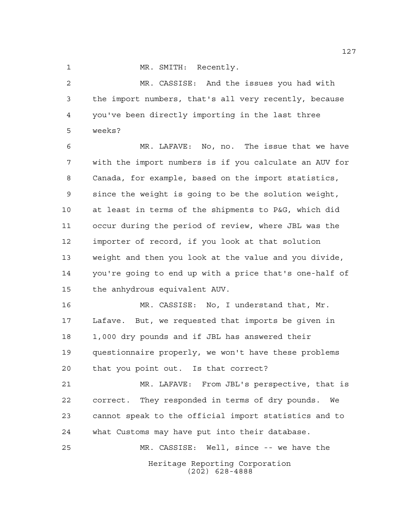1 MR. SMITH: Recently.

 MR. CASSISE: And the issues you had with the import numbers, that's all very recently, because you've been directly importing in the last three weeks?

 MR. LAFAVE: No, no. The issue that we have with the import numbers is if you calculate an AUV for Canada, for example, based on the import statistics, since the weight is going to be the solution weight, at least in terms of the shipments to P&G, which did occur during the period of review, where JBL was the importer of record, if you look at that solution weight and then you look at the value and you divide, you're going to end up with a price that's one-half of the anhydrous equivalent AUV.

 MR. CASSISE: No, I understand that, Mr. Lafave. But, we requested that imports be given in 1,000 dry pounds and if JBL has answered their questionnaire properly, we won't have these problems that you point out. Is that correct?

 MR. LAFAVE: From JBL's perspective, that is correct. They responded in terms of dry pounds. We cannot speak to the official import statistics and to what Customs may have put into their database.

Heritage Reporting Corporation (202) 628-4888 MR. CASSISE: Well, since -- we have the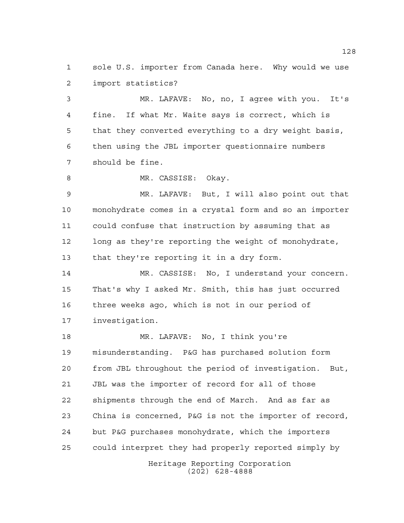sole U.S. importer from Canada here. Why would we use import statistics?

 MR. LAFAVE: No, no, I agree with you. It's fine. If what Mr. Waite says is correct, which is that they converted everything to a dry weight basis, then using the JBL importer questionnaire numbers should be fine.

8 MR. CASSISE: Okay.

 MR. LAFAVE: But, I will also point out that monohydrate comes in a crystal form and so an importer could confuse that instruction by assuming that as long as they're reporting the weight of monohydrate, that they're reporting it in a dry form.

 MR. CASSISE: No, I understand your concern. That's why I asked Mr. Smith, this has just occurred three weeks ago, which is not in our period of investigation.

Heritage Reporting Corporation MR. LAFAVE: No, I think you're misunderstanding. P&G has purchased solution form from JBL throughout the period of investigation. But, JBL was the importer of record for all of those shipments through the end of March. And as far as China is concerned, P&G is not the importer of record, but P&G purchases monohydrate, which the importers could interpret they had properly reported simply by

(202) 628-4888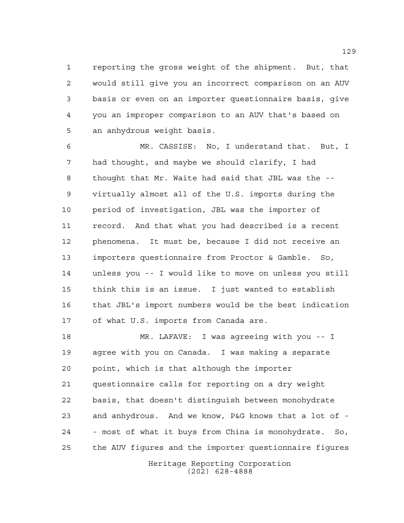reporting the gross weight of the shipment. But, that would still give you an incorrect comparison on an AUV basis or even on an importer questionnaire basis, give you an improper comparison to an AUV that's based on an anhydrous weight basis.

 MR. CASSISE: No, I understand that. But, I had thought, and maybe we should clarify, I had thought that Mr. Waite had said that JBL was the -- virtually almost all of the U.S. imports during the period of investigation, JBL was the importer of record. And that what you had described is a recent phenomena. It must be, because I did not receive an importers questionnaire from Proctor & Gamble. So, unless you -- I would like to move on unless you still think this is an issue. I just wanted to establish that JBL's import numbers would be the best indication of what U.S. imports from Canada are.

 MR. LAFAVE: I was agreeing with you -- I agree with you on Canada. I was making a separate point, which is that although the importer questionnaire calls for reporting on a dry weight basis, that doesn't distinguish between monohydrate and anhydrous. And we know, P&G knows that a lot of - - most of what it buys from China is monohydrate. So, the AUV figures and the importer questionnaire figures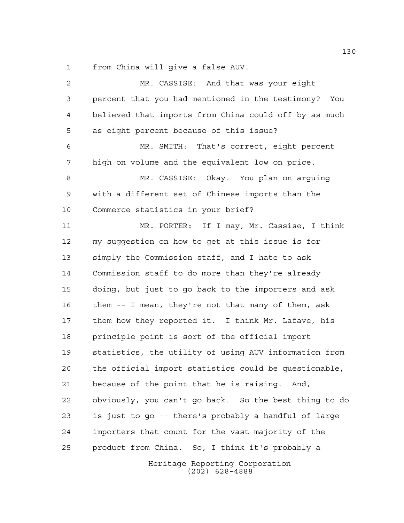from China will give a false AUV.

Heritage Reporting Corporation (202) 628-4888 MR. CASSISE: And that was your eight percent that you had mentioned in the testimony? You believed that imports from China could off by as much as eight percent because of this issue? MR. SMITH: That's correct, eight percent high on volume and the equivalent low on price. MR. CASSISE: Okay. You plan on arguing with a different set of Chinese imports than the Commerce statistics in your brief? MR. PORTER: If I may, Mr. Cassise, I think my suggestion on how to get at this issue is for simply the Commission staff, and I hate to ask Commission staff to do more than they're already doing, but just to go back to the importers and ask them -- I mean, they're not that many of them, ask them how they reported it. I think Mr. Lafave, his principle point is sort of the official import statistics, the utility of using AUV information from the official import statistics could be questionable, because of the point that he is raising. And, obviously, you can't go back. So the best thing to do is just to go -- there's probably a handful of large importers that count for the vast majority of the product from China. So, I think it's probably a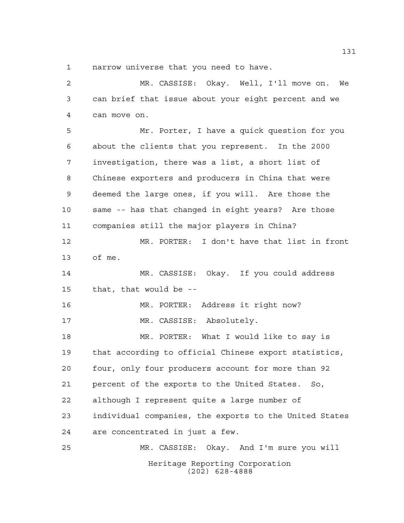narrow universe that you need to have.

Heritage Reporting Corporation (202) 628-4888 MR. CASSISE: Okay. Well, I'll move on. We can brief that issue about your eight percent and we can move on. Mr. Porter, I have a quick question for you about the clients that you represent. In the 2000 investigation, there was a list, a short list of Chinese exporters and producers in China that were deemed the large ones, if you will. Are those the same -- has that changed in eight years? Are those companies still the major players in China? MR. PORTER: I don't have that list in front of me. MR. CASSISE: Okay. If you could address that, that would be -- MR. PORTER: Address it right now? MR. CASSISE: Absolutely. MR. PORTER: What I would like to say is that according to official Chinese export statistics, four, only four producers account for more than 92 percent of the exports to the United States. So, although I represent quite a large number of individual companies, the exports to the United States are concentrated in just a few. MR. CASSISE: Okay. And I'm sure you will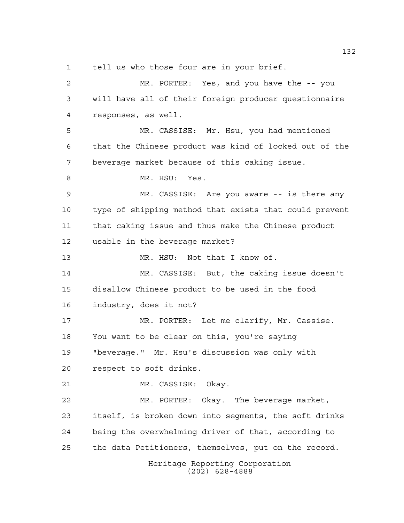tell us who those four are in your brief.

Heritage Reporting Corporation (202) 628-4888 MR. PORTER: Yes, and you have the -- you will have all of their foreign producer questionnaire responses, as well. MR. CASSISE: Mr. Hsu, you had mentioned that the Chinese product was kind of locked out of the beverage market because of this caking issue. 8 MR. HSU: Yes. MR. CASSISE: Are you aware -- is there any type of shipping method that exists that could prevent that caking issue and thus make the Chinese product usable in the beverage market? MR. HSU: Not that I know of. MR. CASSISE: But, the caking issue doesn't disallow Chinese product to be used in the food industry, does it not? MR. PORTER: Let me clarify, Mr. Cassise. You want to be clear on this, you're saying "beverage." Mr. Hsu's discussion was only with respect to soft drinks. MR. CASSISE: Okay. MR. PORTER: Okay. The beverage market, itself, is broken down into segments, the soft drinks being the overwhelming driver of that, according to the data Petitioners, themselves, put on the record.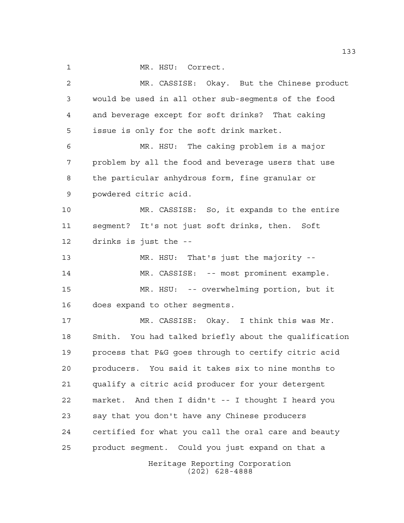1 MR. HSU: Correct.

Heritage Reporting Corporation (202) 628-4888 MR. CASSISE: Okay. But the Chinese product would be used in all other sub-segments of the food and beverage except for soft drinks? That caking issue is only for the soft drink market. MR. HSU: The caking problem is a major problem by all the food and beverage users that use the particular anhydrous form, fine granular or powdered citric acid. MR. CASSISE: So, it expands to the entire segment? It's not just soft drinks, then. Soft drinks is just the -- MR. HSU: That's just the majority -- MR. CASSISE: -- most prominent example. MR. HSU: -- overwhelming portion, but it does expand to other segments. MR. CASSISE: Okay. I think this was Mr. Smith. You had talked briefly about the qualification process that P&G goes through to certify citric acid producers. You said it takes six to nine months to qualify a citric acid producer for your detergent market. And then I didn't -- I thought I heard you say that you don't have any Chinese producers certified for what you call the oral care and beauty product segment. Could you just expand on that a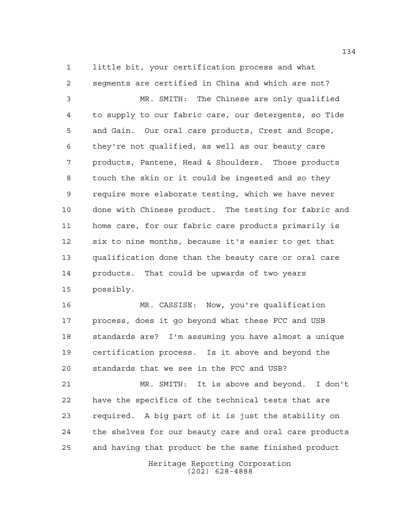little bit, your certification process and what segments are certified in China and which are not?

 MR. SMITH: The Chinese are only qualified to supply to our fabric care, our detergents, so Tide and Gain. Our oral care products, Crest and Scope, they're not qualified, as well as our beauty care products, Pantene, Head & Shoulders. Those products touch the skin or it could be ingested and so they require more elaborate testing, which we have never done with Chinese product. The testing for fabric and home care, for our fabric care products primarily is six to nine months, because it's easier to get that qualification done than the beauty care or oral care products. That could be upwards of two years possibly.

 MR. CASSISE: Now, you're qualification process, does it go beyond what these FCC and USB standards are? I'm assuming you have almost a unique certification process. Is it above and beyond the standards that we see in the FCC and USB?

 MR. SMITH: It is above and beyond. I don't have the specifics of the technical tests that are required. A big part of it is just the stability on the shelves for our beauty care and oral care products and having that product be the same finished product

> Heritage Reporting Corporation (202) 628-4888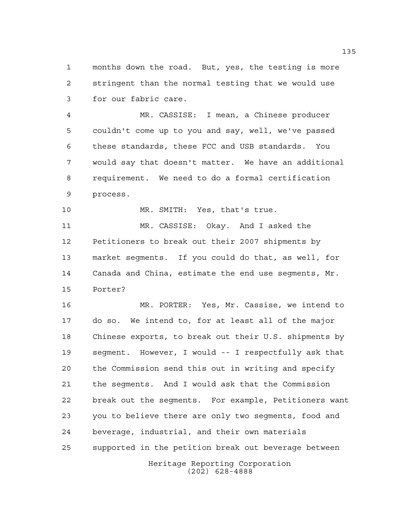months down the road. But, yes, the testing is more stringent than the normal testing that we would use for our fabric care.

 MR. CASSISE: I mean, a Chinese producer couldn't come up to you and say, well, we've passed these standards, these FCC and USB standards. You would say that doesn't matter. We have an additional requirement. We need to do a formal certification process.

MR. SMITH: Yes, that's true.

 MR. CASSISE: Okay. And I asked the Petitioners to break out their 2007 shipments by market segments. If you could do that, as well, for Canada and China, estimate the end use segments, Mr. Porter?

Heritage Reporting Corporation MR. PORTER: Yes, Mr. Cassise, we intend to do so. We intend to, for at least all of the major Chinese exports, to break out their U.S. shipments by segment. However, I would -- I respectfully ask that the Commission send this out in writing and specify the segments. And I would ask that the Commission break out the segments. For example, Petitioners want you to believe there are only two segments, food and beverage, industrial, and their own materials supported in the petition break out beverage between

(202) 628-4888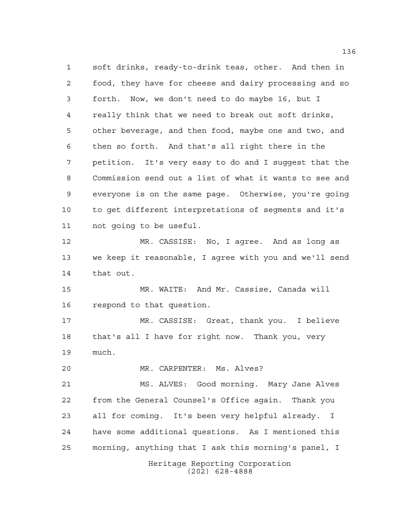soft drinks, ready-to-drink teas, other. And then in food, they have for cheese and dairy processing and so forth. Now, we don't need to do maybe 16, but I really think that we need to break out soft drinks, other beverage, and then food, maybe one and two, and then so forth. And that's all right there in the petition. It's very easy to do and I suggest that the Commission send out a list of what it wants to see and everyone is on the same page. Otherwise, you're going to get different interpretations of segments and it's not going to be useful. MR. CASSISE: No, I agree. And as long as we keep it reasonable, I agree with you and we'll send that out. MR. WAITE: And Mr. Cassise, Canada will respond to that question. MR. CASSISE: Great, thank you. I believe that's all I have for right now. Thank you, very much. MR. CARPENTER: Ms. Alves? MS. ALVES: Good morning. Mary Jane Alves from the General Counsel's Office again. Thank you all for coming. It's been very helpful already. I have some additional questions. As I mentioned this morning, anything that I ask this morning's panel, I

> Heritage Reporting Corporation (202) 628-4888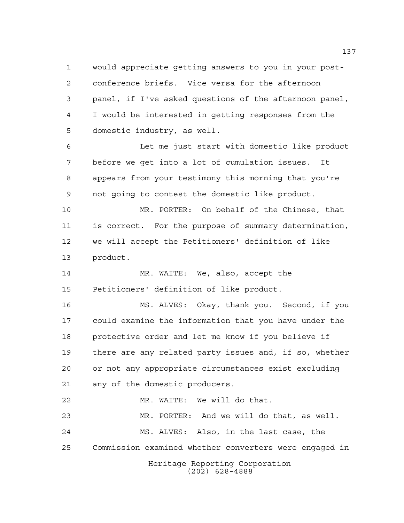would appreciate getting answers to you in your post- conference briefs. Vice versa for the afternoon panel, if I've asked questions of the afternoon panel, I would be interested in getting responses from the domestic industry, as well.

 Let me just start with domestic like product before we get into a lot of cumulation issues. It appears from your testimony this morning that you're not going to contest the domestic like product.

 MR. PORTER: On behalf of the Chinese, that is correct. For the purpose of summary determination, we will accept the Petitioners' definition of like product.

 MR. WAITE: We, also, accept the Petitioners' definition of like product.

 MS. ALVES: Okay, thank you. Second, if you could examine the information that you have under the protective order and let me know if you believe if there are any related party issues and, if so, whether or not any appropriate circumstances exist excluding any of the domestic producers.

Heritage Reporting Corporation MR. WAITE: We will do that. MR. PORTER: And we will do that, as well. MS. ALVES: Also, in the last case, the Commission examined whether converters were engaged in

(202) 628-4888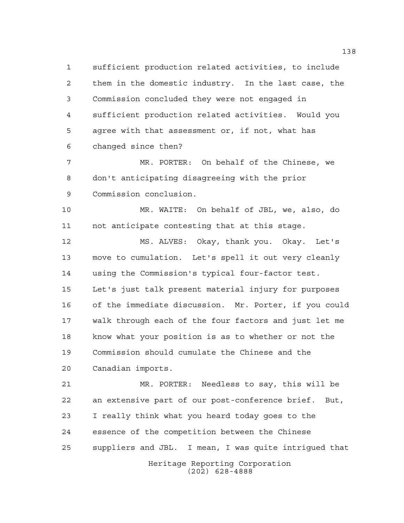sufficient production related activities, to include them in the domestic industry. In the last case, the Commission concluded they were not engaged in sufficient production related activities. Would you agree with that assessment or, if not, what has changed since then?

 MR. PORTER: On behalf of the Chinese, we don't anticipating disagreeing with the prior Commission conclusion.

 MR. WAITE: On behalf of JBL, we, also, do not anticipate contesting that at this stage.

 MS. ALVES: Okay, thank you. Okay. Let's move to cumulation. Let's spell it out very cleanly using the Commission's typical four-factor test. Let's just talk present material injury for purposes of the immediate discussion. Mr. Porter, if you could walk through each of the four factors and just let me know what your position is as to whether or not the Commission should cumulate the Chinese and the Canadian imports.

 MR. PORTER: Needless to say, this will be an extensive part of our post-conference brief. But, I really think what you heard today goes to the essence of the competition between the Chinese suppliers and JBL. I mean, I was quite intrigued that

Heritage Reporting Corporation (202) 628-4888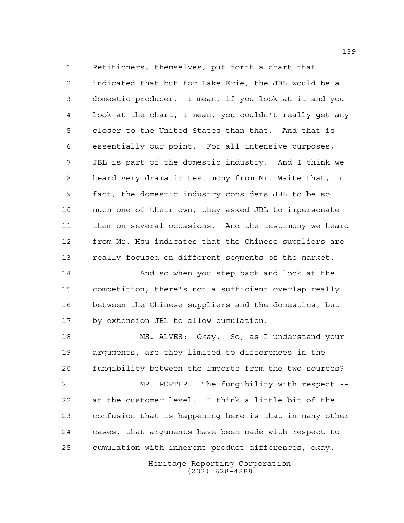Petitioners, themselves, put forth a chart that indicated that but for Lake Erie, the JBL would be a domestic producer. I mean, if you look at it and you look at the chart, I mean, you couldn't really get any closer to the United States than that. And that is essentially our point. For all intensive purposes, JBL is part of the domestic industry. And I think we heard very dramatic testimony from Mr. Waite that, in fact, the domestic industry considers JBL to be so much one of their own, they asked JBL to impersonate them on several occasions. And the testimony we heard from Mr. Hsu indicates that the Chinese suppliers are really focused on different segments of the market.

 And so when you step back and look at the competition, there's not a sufficient overlap really between the Chinese suppliers and the domestics, but by extension JBL to allow cumulation.

 MS. ALVES: Okay. So, as I understand your arguments, are they limited to differences in the fungibility between the imports from the two sources?

 MR. PORTER: The fungibility with respect -- at the customer level. I think a little bit of the confusion that is happening here is that in many other cases, that arguments have been made with respect to cumulation with inherent product differences, okay.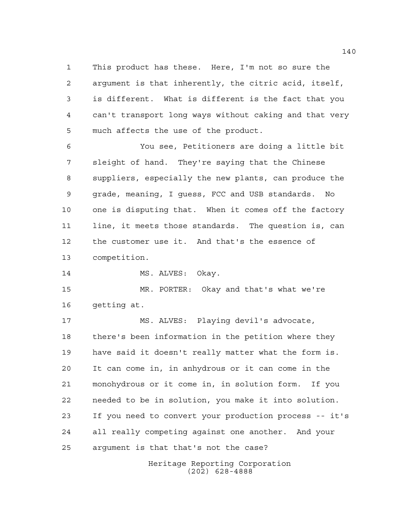This product has these. Here, I'm not so sure the argument is that inherently, the citric acid, itself, is different. What is different is the fact that you can't transport long ways without caking and that very much affects the use of the product.

 You see, Petitioners are doing a little bit sleight of hand. They're saying that the Chinese suppliers, especially the new plants, can produce the grade, meaning, I guess, FCC and USB standards. No one is disputing that. When it comes off the factory line, it meets those standards. The question is, can the customer use it. And that's the essence of competition.

14 MS. ALVES: Okay.

 MR. PORTER: Okay and that's what we're getting at.

 MS. ALVES: Playing devil's advocate, there's been information in the petition where they have said it doesn't really matter what the form is. It can come in, in anhydrous or it can come in the monohydrous or it come in, in solution form. If you needed to be in solution, you make it into solution. If you need to convert your production process -- it's all really competing against one another. And your argument is that that's not the case?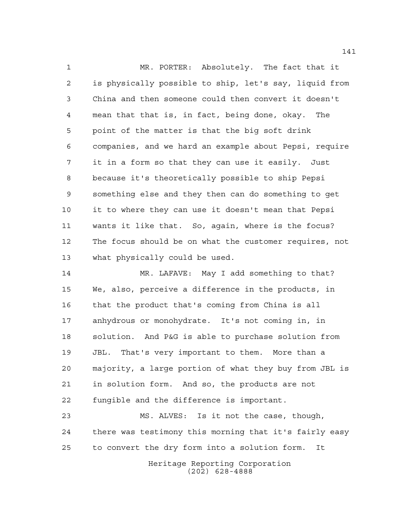MR. PORTER: Absolutely. The fact that it is physically possible to ship, let's say, liquid from China and then someone could then convert it doesn't mean that that is, in fact, being done, okay. The point of the matter is that the big soft drink companies, and we hard an example about Pepsi, require it in a form so that they can use it easily. Just because it's theoretically possible to ship Pepsi something else and they then can do something to get it to where they can use it doesn't mean that Pepsi wants it like that. So, again, where is the focus? The focus should be on what the customer requires, not what physically could be used.

 MR. LAFAVE: May I add something to that? We, also, perceive a difference in the products, in that the product that's coming from China is all anhydrous or monohydrate. It's not coming in, in solution. And P&G is able to purchase solution from JBL. That's very important to them. More than a majority, a large portion of what they buy from JBL is in solution form. And so, the products are not fungible and the difference is important.

 MS. ALVES: Is it not the case, though, there was testimony this morning that it's fairly easy to convert the dry form into a solution form. It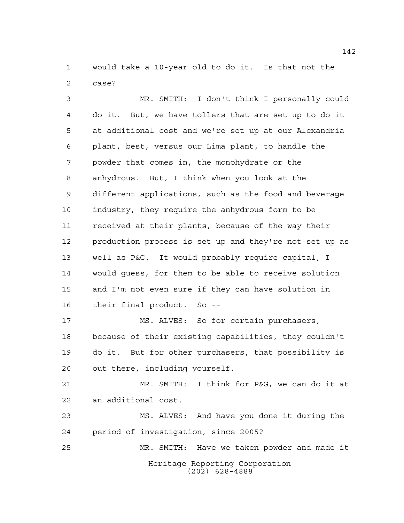would take a 10-year old to do it. Is that not the case?

 MR. SMITH: I don't think I personally could do it. But, we have tollers that are set up to do it at additional cost and we're set up at our Alexandria plant, best, versus our Lima plant, to handle the powder that comes in, the monohydrate or the anhydrous. But, I think when you look at the different applications, such as the food and beverage industry, they require the anhydrous form to be received at their plants, because of the way their production process is set up and they're not set up as well as P&G. It would probably require capital, I would guess, for them to be able to receive solution and I'm not even sure if they can have solution in their final product. So -- MS. ALVES: So for certain purchasers, because of their existing capabilities, they couldn't do it. But for other purchasers, that possibility is out there, including yourself. MR. SMITH: I think for P&G, we can do it at

an additional cost.

 MS. ALVES: And have you done it during the period of investigation, since 2005?

Heritage Reporting Corporation (202) 628-4888 MR. SMITH: Have we taken powder and made it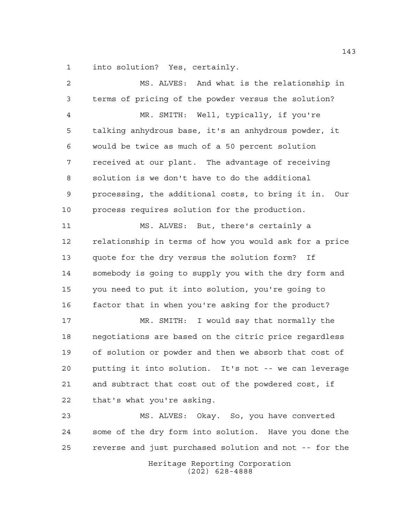into solution? Yes, certainly.

Heritage Reporting Corporation MS. ALVES: And what is the relationship in terms of pricing of the powder versus the solution? MR. SMITH: Well, typically, if you're talking anhydrous base, it's an anhydrous powder, it would be twice as much of a 50 percent solution received at our plant. The advantage of receiving solution is we don't have to do the additional processing, the additional costs, to bring it in. Our process requires solution for the production. MS. ALVES: But, there's certainly a relationship in terms of how you would ask for a price quote for the dry versus the solution form? If somebody is going to supply you with the dry form and you need to put it into solution, you're going to factor that in when you're asking for the product? MR. SMITH: I would say that normally the negotiations are based on the citric price regardless of solution or powder and then we absorb that cost of putting it into solution. It's not -- we can leverage and subtract that cost out of the powdered cost, if that's what you're asking. MS. ALVES: Okay. So, you have converted some of the dry form into solution. Have you done the reverse and just purchased solution and not -- for the

(202) 628-4888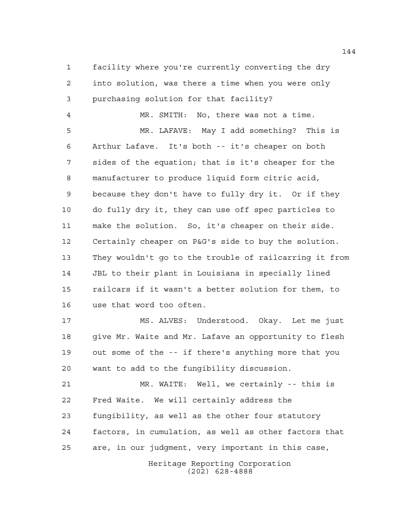facility where you're currently converting the dry into solution, was there a time when you were only purchasing solution for that facility?

 MR. SMITH: No, there was not a time. MR. LAFAVE: May I add something? This is Arthur Lafave. It's both -- it's cheaper on both sides of the equation; that is it's cheaper for the manufacturer to produce liquid form citric acid, because they don't have to fully dry it. Or if they do fully dry it, they can use off spec particles to make the solution. So, it's cheaper on their side. Certainly cheaper on P&G's side to buy the solution. They wouldn't go to the trouble of railcarring it from JBL to their plant in Louisiana in specially lined railcars if it wasn't a better solution for them, to use that word too often.

 MS. ALVES: Understood. Okay. Let me just give Mr. Waite and Mr. Lafave an opportunity to flesh out some of the -- if there's anything more that you want to add to the fungibility discussion.

 MR. WAITE: Well, we certainly -- this is Fred Waite. We will certainly address the fungibility, as well as the other four statutory factors, in cumulation, as well as other factors that are, in our judgment, very important in this case,

Heritage Reporting Corporation (202) 628-4888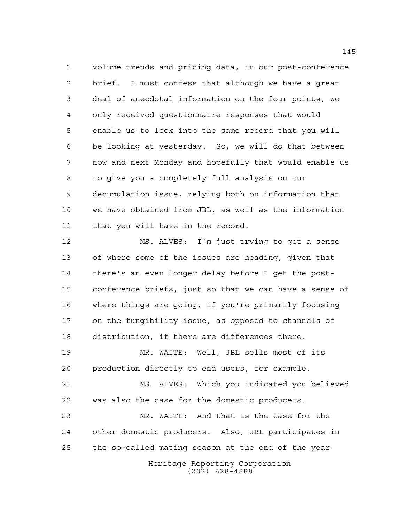volume trends and pricing data, in our post-conference brief. I must confess that although we have a great deal of anecdotal information on the four points, we only received questionnaire responses that would enable us to look into the same record that you will be looking at yesterday. So, we will do that between now and next Monday and hopefully that would enable us to give you a completely full analysis on our decumulation issue, relying both on information that we have obtained from JBL, as well as the information that you will have in the record.

 MS. ALVES: I'm just trying to get a sense of where some of the issues are heading, given that there's an even longer delay before I get the post- conference briefs, just so that we can have a sense of where things are going, if you're primarily focusing on the fungibility issue, as opposed to channels of distribution, if there are differences there.

 MR. WAITE: Well, JBL sells most of its production directly to end users, for example.

 MS. ALVES: Which you indicated you believed was also the case for the domestic producers.

 MR. WAITE: And that is the case for the other domestic producers. Also, JBL participates in the so-called mating season at the end of the year

> Heritage Reporting Corporation (202) 628-4888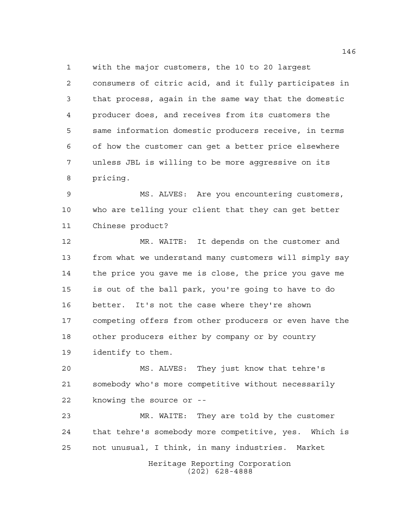with the major customers, the 10 to 20 largest consumers of citric acid, and it fully participates in that process, again in the same way that the domestic producer does, and receives from its customers the same information domestic producers receive, in terms of how the customer can get a better price elsewhere unless JBL is willing to be more aggressive on its pricing.

 MS. ALVES: Are you encountering customers, who are telling your client that they can get better Chinese product?

 MR. WAITE: It depends on the customer and from what we understand many customers will simply say the price you gave me is close, the price you gave me is out of the ball park, you're going to have to do better. It's not the case where they're shown competing offers from other producers or even have the other producers either by company or by country identify to them.

 MS. ALVES: They just know that tehre's somebody who's more competitive without necessarily knowing the source or --

 MR. WAITE: They are told by the customer that tehre's somebody more competitive, yes. Which is not unusual, I think, in many industries. Market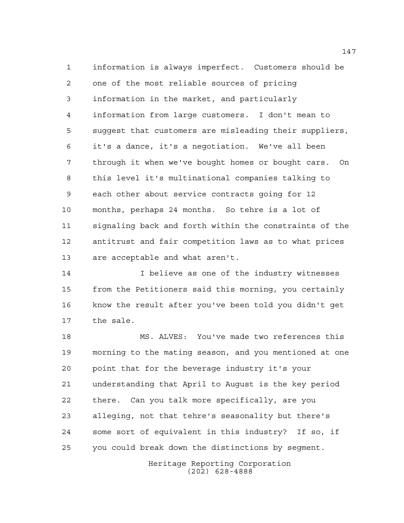information is always imperfect. Customers should be one of the most reliable sources of pricing information in the market, and particularly information from large customers. I don't mean to suggest that customers are misleading their suppliers, it's a dance, it's a negotiation. We've all been through it when we've bought homes or bought cars. On this level it's multinational companies talking to each other about service contracts going for 12 months, perhaps 24 months. So tehre is a lot of signaling back and forth within the constraints of the antitrust and fair competition laws as to what prices are acceptable and what aren't.

14 I believe as one of the industry witnesses from the Petitioners said this morning, you certainly know the result after you've been told you didn't get the sale.

 MS. ALVES: You've made two references this morning to the mating season, and you mentioned at one point that for the beverage industry it's your understanding that April to August is the key period there. Can you talk more specifically, are you alleging, not that tehre's seasonality but there's some sort of equivalent in this industry? If so, if you could break down the distinctions by segment.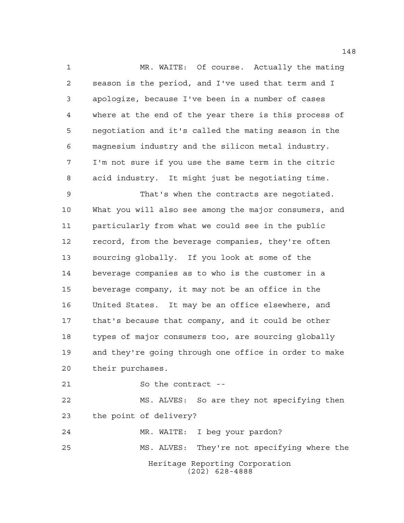MR. WAITE: Of course. Actually the mating season is the period, and I've used that term and I apologize, because I've been in a number of cases where at the end of the year there is this process of negotiation and it's called the mating season in the magnesium industry and the silicon metal industry. I'm not sure if you use the same term in the citric acid industry. It might just be negotiating time.

 That's when the contracts are negotiated. What you will also see among the major consumers, and particularly from what we could see in the public record, from the beverage companies, they're often sourcing globally. If you look at some of the beverage companies as to who is the customer in a beverage company, it may not be an office in the United States. It may be an office elsewhere, and that's because that company, and it could be other types of major consumers too, are sourcing globally and they're going through one office in order to make their purchases.

So the contract --

 MS. ALVES: So are they not specifying then the point of delivery?

Heritage Reporting Corporation (202) 628-4888 MR. WAITE: I beg your pardon? MS. ALVES: They're not specifying where the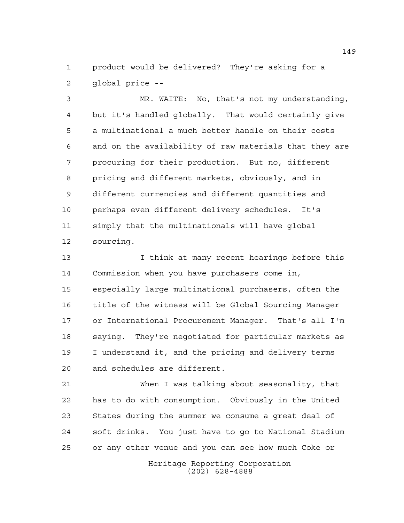product would be delivered? They're asking for a global price --

 MR. WAITE: No, that's not my understanding, but it's handled globally. That would certainly give a multinational a much better handle on their costs and on the availability of raw materials that they are procuring for their production. But no, different pricing and different markets, obviously, and in different currencies and different quantities and perhaps even different delivery schedules. It's simply that the multinationals will have global sourcing.

 I think at many recent hearings before this Commission when you have purchasers come in, especially large multinational purchasers, often the title of the witness will be Global Sourcing Manager or International Procurement Manager. That's all I'm saying. They're negotiated for particular markets as I understand it, and the pricing and delivery terms and schedules are different.

 When I was talking about seasonality, that has to do with consumption. Obviously in the United States during the summer we consume a great deal of soft drinks. You just have to go to National Stadium or any other venue and you can see how much Coke or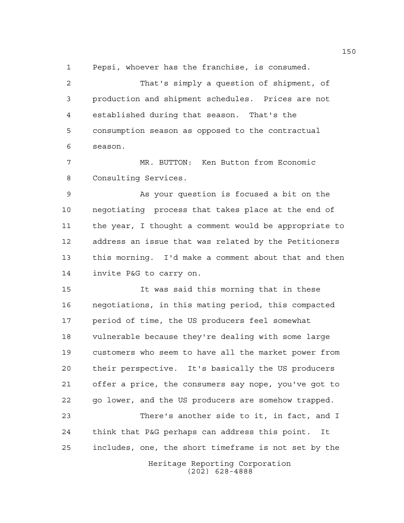Pepsi, whoever has the franchise, is consumed.

 That's simply a question of shipment, of production and shipment schedules. Prices are not established during that season. That's the consumption season as opposed to the contractual season.

 MR. BUTTON: Ken Button from Economic Consulting Services.

 As your question is focused a bit on the negotiating process that takes place at the end of the year, I thought a comment would be appropriate to address an issue that was related by the Petitioners this morning. I'd make a comment about that and then invite P&G to carry on.

 It was said this morning that in these negotiations, in this mating period, this compacted period of time, the US producers feel somewhat vulnerable because they're dealing with some large customers who seem to have all the market power from their perspective. It's basically the US producers offer a price, the consumers say nope, you've got to go lower, and the US producers are somehow trapped.

 There's another side to it, in fact, and I think that P&G perhaps can address this point. It includes, one, the short timeframe is not set by the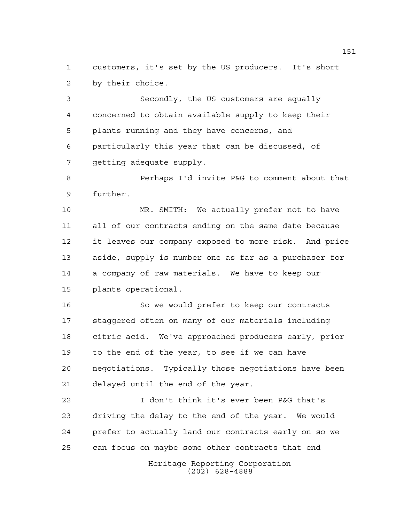customers, it's set by the US producers. It's short by their choice.

 Secondly, the US customers are equally concerned to obtain available supply to keep their plants running and they have concerns, and particularly this year that can be discussed, of getting adequate supply.

 Perhaps I'd invite P&G to comment about that further.

 MR. SMITH: We actually prefer not to have all of our contracts ending on the same date because it leaves our company exposed to more risk. And price aside, supply is number one as far as a purchaser for a company of raw materials. We have to keep our plants operational.

 So we would prefer to keep our contracts staggered often on many of our materials including citric acid. We've approached producers early, prior to the end of the year, to see if we can have negotiations. Typically those negotiations have been delayed until the end of the year.

 I don't think it's ever been P&G that's driving the delay to the end of the year. We would prefer to actually land our contracts early on so we can focus on maybe some other contracts that end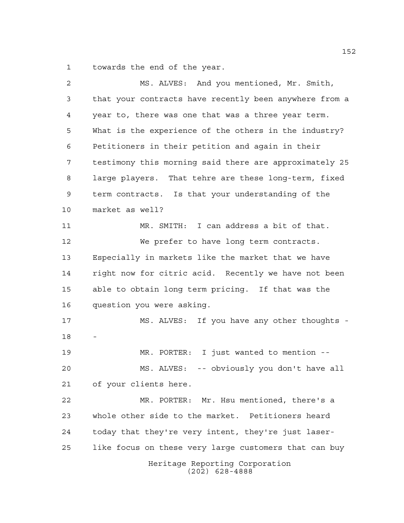towards the end of the year.

| $\overline{a}$ | MS. ALVES: And you mentioned, Mr. Smith,               |
|----------------|--------------------------------------------------------|
| 3              | that your contracts have recently been anywhere from a |
| 4              | year to, there was one that was a three year term.     |
| 5              | What is the experience of the others in the industry?  |
| 6              | Petitioners in their petition and again in their       |
| 7              | testimony this morning said there are approximately 25 |
| 8              | large players. That tehre are these long-term, fixed   |
| 9              | term contracts. Is that your understanding of the      |
| 10             | market as well?                                        |
| 11             | MR. SMITH: I can address a bit of that.                |
| 12             | We prefer to have long term contracts.                 |
| 13             | Especially in markets like the market that we have     |
| 14             | right now for citric acid. Recently we have not been   |
| 15             | able to obtain long term pricing. If that was the      |
| 16             | question you were asking.                              |
| 17             | MS. ALVES: If you have any other thoughts -            |
| 18             |                                                        |
| 19             | MR. PORTER: I just wanted to mention --                |
| 20             | MS. ALVES: -- obviously you don't have all             |
| 21             | of your clients here.                                  |
| 22             | MR. PORTER: Mr. Hsu mentioned, there's a               |
| 23             | whole other side to the market. Petitioners heard      |
| 24             | today that they're very intent, they're just laser-    |
| 25             | like focus on these very large customers that can buy  |
|                | Heritage Reporting Corporation<br>$(202)$ 628-4888     |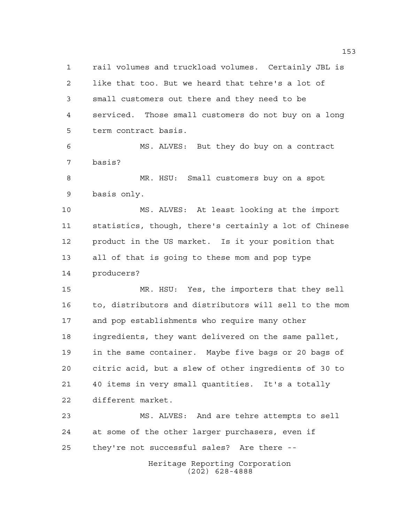rail volumes and truckload volumes. Certainly JBL is like that too. But we heard that tehre's a lot of small customers out there and they need to be serviced. Those small customers do not buy on a long term contract basis. MS. ALVES: But they do buy on a contract basis? MR. HSU: Small customers buy on a spot basis only. MS. ALVES: At least looking at the import statistics, though, there's certainly a lot of Chinese product in the US market. Is it your position that all of that is going to these mom and pop type producers? MR. HSU: Yes, the importers that they sell to, distributors and distributors will sell to the mom and pop establishments who require many other ingredients, they want delivered on the same pallet, in the same container. Maybe five bags or 20 bags of citric acid, but a slew of other ingredients of 30 to 40 items in very small quantities. It's a totally different market. MS. ALVES: And are tehre attempts to sell at some of the other larger purchasers, even if they're not successful sales? Are there --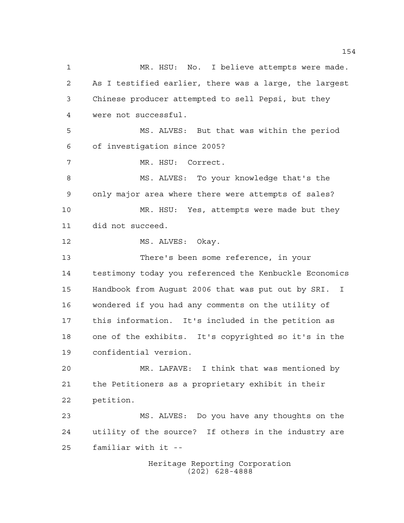Heritage Reporting Corporation (202) 628-4888 MR. HSU: No. I believe attempts were made. As I testified earlier, there was a large, the largest Chinese producer attempted to sell Pepsi, but they were not successful. MS. ALVES: But that was within the period of investigation since 2005? MR. HSU: Correct. MS. ALVES: To your knowledge that's the only major area where there were attempts of sales? MR. HSU: Yes, attempts were made but they did not succeed. 12 MS. ALVES: Okay. There's been some reference, in your testimony today you referenced the Kenbuckle Economics Handbook from August 2006 that was put out by SRI. I wondered if you had any comments on the utility of this information. It's included in the petition as one of the exhibits. It's copyrighted so it's in the confidential version. MR. LAFAVE: I think that was mentioned by the Petitioners as a proprietary exhibit in their petition. MS. ALVES: Do you have any thoughts on the utility of the source? If others in the industry are familiar with it --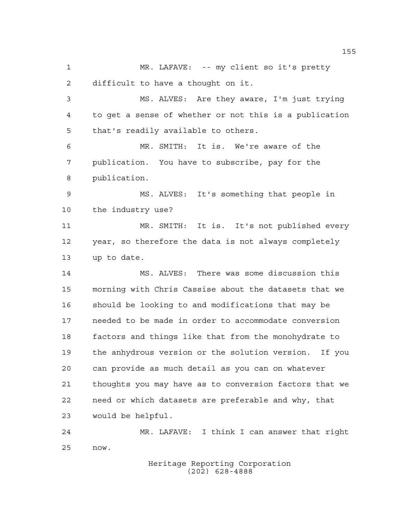MR. LAFAVE: -- my client so it's pretty difficult to have a thought on it.

 MS. ALVES: Are they aware, I'm just trying to get a sense of whether or not this is a publication that's readily available to others.

 MR. SMITH: It is. We're aware of the publication. You have to subscribe, pay for the publication.

 MS. ALVES: It's something that people in the industry use?

 MR. SMITH: It is. It's not published every year, so therefore the data is not always completely up to date.

 MS. ALVES: There was some discussion this morning with Chris Cassise about the datasets that we should be looking to and modifications that may be needed to be made in order to accommodate conversion factors and things like that from the monohydrate to the anhydrous version or the solution version. If you can provide as much detail as you can on whatever thoughts you may have as to conversion factors that we need or which datasets are preferable and why, that would be helpful.

 MR. LAFAVE: I think I can answer that right now.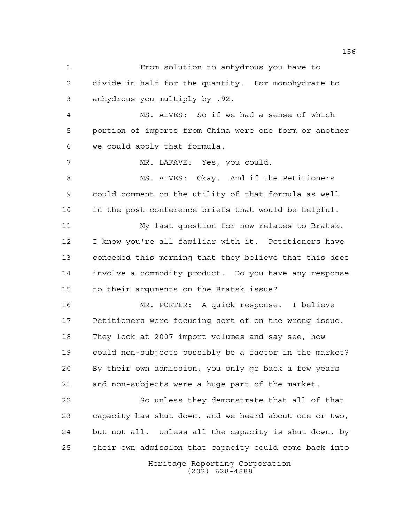From solution to anhydrous you have to divide in half for the quantity. For monohydrate to anhydrous you multiply by .92. MS. ALVES: So if we had a sense of which portion of imports from China were one form or another we could apply that formula. MR. LAFAVE: Yes, you could. MS. ALVES: Okay. And if the Petitioners could comment on the utility of that formula as well in the post-conference briefs that would be helpful. My last question for now relates to Bratsk. I know you're all familiar with it. Petitioners have conceded this morning that they believe that this does involve a commodity product. Do you have any response to their arguments on the Bratsk issue? MR. PORTER: A quick response. I believe Petitioners were focusing sort of on the wrong issue. They look at 2007 import volumes and say see, how could non-subjects possibly be a factor in the market? By their own admission, you only go back a few years and non-subjects were a huge part of the market. So unless they demonstrate that all of that capacity has shut down, and we heard about one or two, but not all. Unless all the capacity is shut down, by their own admission that capacity could come back into

> Heritage Reporting Corporation (202) 628-4888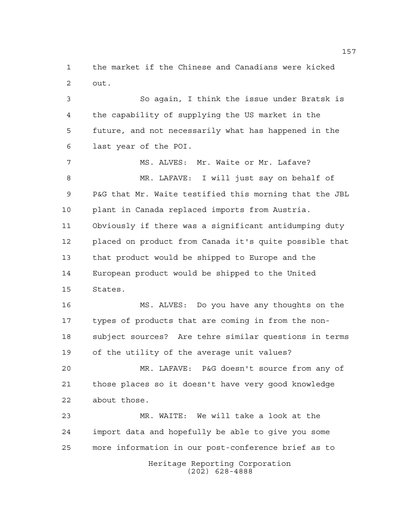the market if the Chinese and Canadians were kicked out.

 So again, I think the issue under Bratsk is the capability of supplying the US market in the future, and not necessarily what has happened in the last year of the POI.

7 MS. ALVES: Mr. Waite or Mr. Lafave? MR. LAFAVE: I will just say on behalf of P&G that Mr. Waite testified this morning that the JBL plant in Canada replaced imports from Austria. Obviously if there was a significant antidumping duty placed on product from Canada it's quite possible that that product would be shipped to Europe and the European product would be shipped to the United States.

 MS. ALVES: Do you have any thoughts on the types of products that are coming in from the non- subject sources? Are tehre similar questions in terms of the utility of the average unit values?

 MR. LAFAVE: P&G doesn't source from any of those places so it doesn't have very good knowledge about those.

 MR. WAITE: We will take a look at the import data and hopefully be able to give you some more information in our post-conference brief as to

Heritage Reporting Corporation (202) 628-4888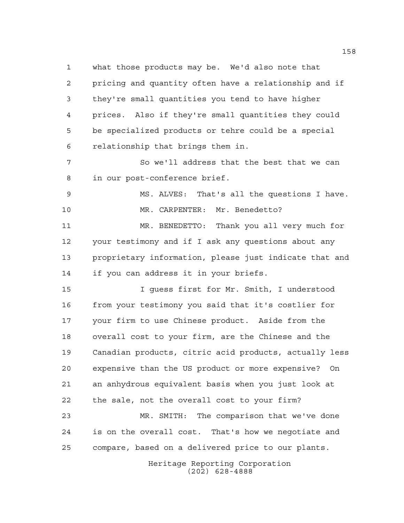what those products may be. We'd also note that pricing and quantity often have a relationship and if they're small quantities you tend to have higher prices. Also if they're small quantities they could be specialized products or tehre could be a special relationship that brings them in. So we'll address that the best that we can in our post-conference brief.

 MS. ALVES: That's all the questions I have. MR. CARPENTER: Mr. Benedetto?

 MR. BENEDETTO: Thank you all very much for your testimony and if I ask any questions about any proprietary information, please just indicate that and if you can address it in your briefs.

 I guess first for Mr. Smith, I understood from your testimony you said that it's costlier for your firm to use Chinese product. Aside from the overall cost to your firm, are the Chinese and the Canadian products, citric acid products, actually less expensive than the US product or more expensive? On an anhydrous equivalent basis when you just look at the sale, not the overall cost to your firm?

 MR. SMITH: The comparison that we've done is on the overall cost. That's how we negotiate and compare, based on a delivered price to our plants.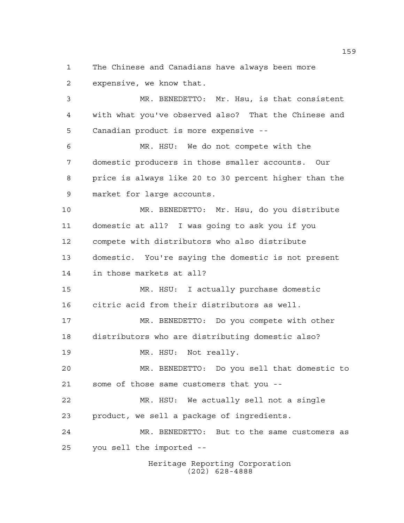The Chinese and Canadians have always been more expensive, we know that.

 MR. BENEDETTO: Mr. Hsu, is that consistent with what you've observed also? That the Chinese and Canadian product is more expensive --

 MR. HSU: We do not compete with the domestic producers in those smaller accounts. Our price is always like 20 to 30 percent higher than the market for large accounts.

 MR. BENEDETTO: Mr. Hsu, do you distribute domestic at all? I was going to ask you if you compete with distributors who also distribute domestic. You're saying the domestic is not present in those markets at all?

 MR. HSU: I actually purchase domestic citric acid from their distributors as well.

 MR. BENEDETTO: Do you compete with other distributors who are distributing domestic also?

19 MR. HSU: Not really.

 MR. BENEDETTO: Do you sell that domestic to some of those same customers that you --

 MR. HSU: We actually sell not a single product, we sell a package of ingredients.

 MR. BENEDETTO: But to the same customers as you sell the imported --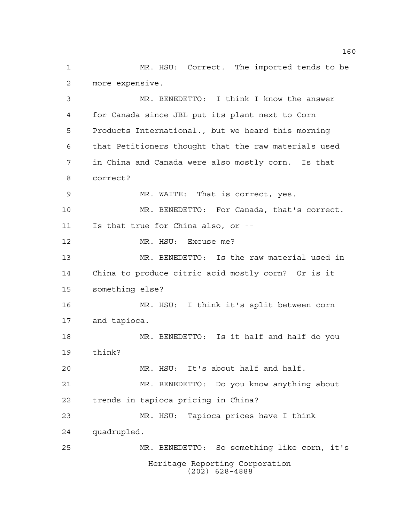MR. HSU: Correct. The imported tends to be more expensive.

Heritage Reporting Corporation MR. BENEDETTO: I think I know the answer for Canada since JBL put its plant next to Corn Products International., but we heard this morning that Petitioners thought that the raw materials used in China and Canada were also mostly corn. Is that correct? MR. WAITE: That is correct, yes. MR. BENEDETTO: For Canada, that's correct. Is that true for China also, or -- 12 MR. HSU: Excuse me? MR. BENEDETTO: Is the raw material used in China to produce citric acid mostly corn? Or is it something else? MR. HSU: I think it's split between corn and tapioca. MR. BENEDETTO: Is it half and half do you think? MR. HSU: It's about half and half. MR. BENEDETTO: Do you know anything about trends in tapioca pricing in China? MR. HSU: Tapioca prices have I think quadrupled. MR. BENEDETTO: So something like corn, it's

(202) 628-4888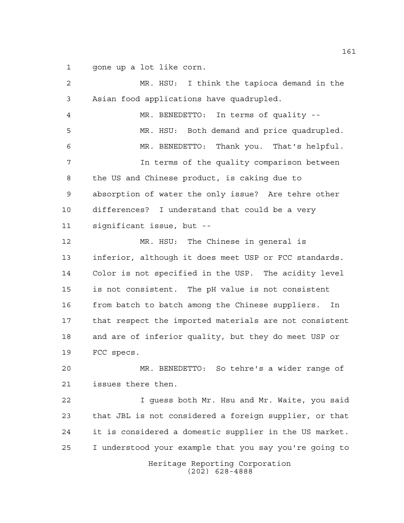gone up a lot like corn.

| 2  | MR. HSU: I think the tapioca demand in the             |
|----|--------------------------------------------------------|
| 3  | Asian food applications have quadrupled.               |
| 4  | MR. BENEDETTO: In terms of quality --                  |
| 5  | MR. HSU: Both demand and price quadrupled.             |
| 6  | Thank you. That's helpful.<br>MR. BENEDETTO:           |
| 7  | In terms of the quality comparison between             |
| 8  | the US and Chinese product, is caking due to           |
| 9  | absorption of water the only issue? Are tehre other    |
| 10 | differences? I understand that could be a very         |
| 11 | significant issue, but --                              |
| 12 | MR. HSU: The Chinese in general is                     |
| 13 | inferior, although it does meet USP or FCC standards.  |
| 14 | Color is not specified in the USP. The acidity level   |
| 15 | is not consistent. The pH value is not consistent      |
| 16 | from batch to batch among the Chinese suppliers.<br>In |
| 17 | that respect the imported materials are not consistent |
| 18 | and are of inferior quality, but they do meet USP or   |
| 19 | FCC specs.                                             |
| 20 | MR. BENEDETTO: So tehre's a wider range of             |
| 21 | issues there then.                                     |
| 22 | I guess both Mr. Hsu and Mr. Waite, you said           |
| 23 | that JBL is not considered a foreign supplier, or that |
| 24 | it is considered a domestic supplier in the US market. |
| 25 | I understood your example that you say you're going to |
|    | Heritage Reporting Corporation<br>$(202)$ 628-4888     |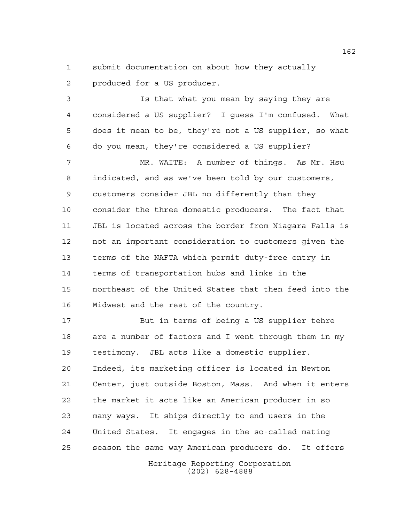submit documentation on about how they actually produced for a US producer.

 Is that what you mean by saying they are considered a US supplier? I guess I'm confused. What does it mean to be, they're not a US supplier, so what do you mean, they're considered a US supplier?

 MR. WAITE: A number of things. As Mr. Hsu indicated, and as we've been told by our customers, customers consider JBL no differently than they consider the three domestic producers. The fact that JBL is located across the border from Niagara Falls is not an important consideration to customers given the terms of the NAFTA which permit duty-free entry in terms of transportation hubs and links in the northeast of the United States that then feed into the Midwest and the rest of the country.

 But in terms of being a US supplier tehre are a number of factors and I went through them in my testimony. JBL acts like a domestic supplier. Indeed, its marketing officer is located in Newton Center, just outside Boston, Mass. And when it enters the market it acts like an American producer in so many ways. It ships directly to end users in the United States. It engages in the so-called mating season the same way American producers do. It offers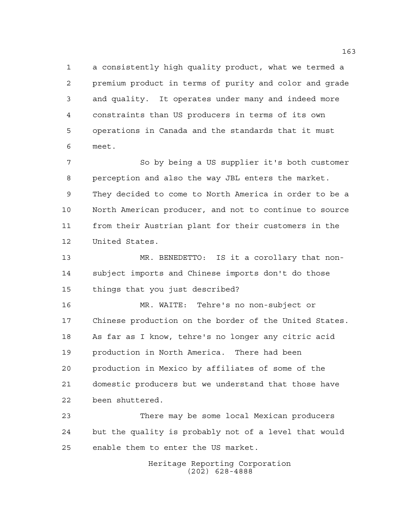a consistently high quality product, what we termed a premium product in terms of purity and color and grade and quality. It operates under many and indeed more constraints than US producers in terms of its own operations in Canada and the standards that it must meet.

7 So by being a US supplier it's both customer perception and also the way JBL enters the market. They decided to come to North America in order to be a North American producer, and not to continue to source from their Austrian plant for their customers in the United States.

 MR. BENEDETTO: IS it a corollary that non- subject imports and Chinese imports don't do those things that you just described?

 MR. WAITE: Tehre's no non-subject or Chinese production on the border of the United States. As far as I know, tehre's no longer any citric acid production in North America. There had been production in Mexico by affiliates of some of the domestic producers but we understand that those have been shuttered.

 There may be some local Mexican producers but the quality is probably not of a level that would enable them to enter the US market.

> Heritage Reporting Corporation (202) 628-4888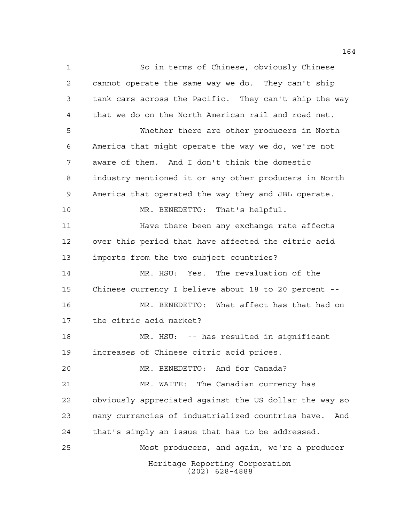Heritage Reporting Corporation (202) 628-4888 So in terms of Chinese, obviously Chinese cannot operate the same way we do. They can't ship tank cars across the Pacific. They can't ship the way that we do on the North American rail and road net. Whether there are other producers in North America that might operate the way we do, we're not aware of them. And I don't think the domestic industry mentioned it or any other producers in North America that operated the way they and JBL operate. MR. BENEDETTO: That's helpful. **Have there been any exchange rate affects**  over this period that have affected the citric acid imports from the two subject countries? MR. HSU: Yes. The revaluation of the Chinese currency I believe about 18 to 20 percent -- MR. BENEDETTO: What affect has that had on the citric acid market? MR. HSU: -- has resulted in significant increases of Chinese citric acid prices. MR. BENEDETTO: And for Canada? MR. WAITE: The Canadian currency has obviously appreciated against the US dollar the way so many currencies of industrialized countries have. And that's simply an issue that has to be addressed. Most producers, and again, we're a producer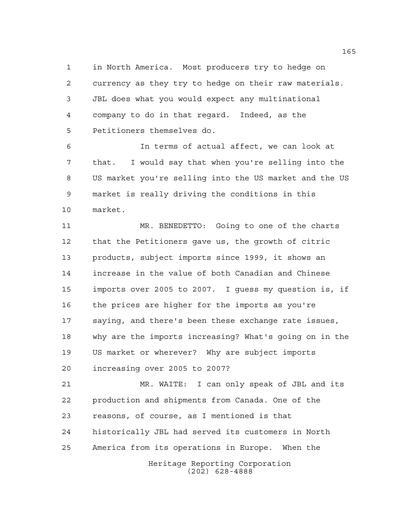in North America. Most producers try to hedge on currency as they try to hedge on their raw materials. JBL does what you would expect any multinational company to do in that regard. Indeed, as the Petitioners themselves do.

 In terms of actual affect, we can look at that. I would say that when you're selling into the US market you're selling into the US market and the US market is really driving the conditions in this market.

 MR. BENEDETTO: Going to one of the charts that the Petitioners gave us, the growth of citric products, subject imports since 1999, it shows an increase in the value of both Canadian and Chinese imports over 2005 to 2007. I guess my question is, if the prices are higher for the imports as you're saying, and there's been these exchange rate issues, why are the imports increasing? What's going on in the US market or wherever? Why are subject imports increasing over 2005 to 2007?

Heritage Reporting Corporation (202) 628-4888 MR. WAITE: I can only speak of JBL and its production and shipments from Canada. One of the reasons, of course, as I mentioned is that historically JBL had served its customers in North America from its operations in Europe. When the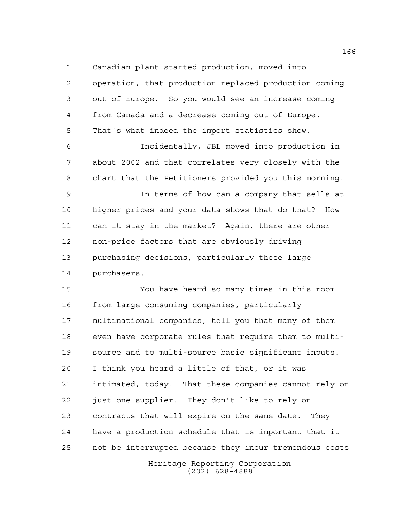Canadian plant started production, moved into

 operation, that production replaced production coming out of Europe. So you would see an increase coming from Canada and a decrease coming out of Europe. That's what indeed the import statistics show. Incidentally, JBL moved into production in about 2002 and that correlates very closely with the chart that the Petitioners provided you this morning. In terms of how can a company that sells at higher prices and your data shows that do that? How can it stay in the market? Again, there are other non-price factors that are obviously driving purchasing decisions, particularly these large purchasers. You have heard so many times in this room from large consuming companies, particularly multinational companies, tell you that many of them even have corporate rules that require them to multi-source and to multi-source basic significant inputs.

Heritage Reporting Corporation I think you heard a little of that, or it was intimated, today. That these companies cannot rely on just one supplier. They don't like to rely on contracts that will expire on the same date. They have a production schedule that is important that it not be interrupted because they incur tremendous costs

(202) 628-4888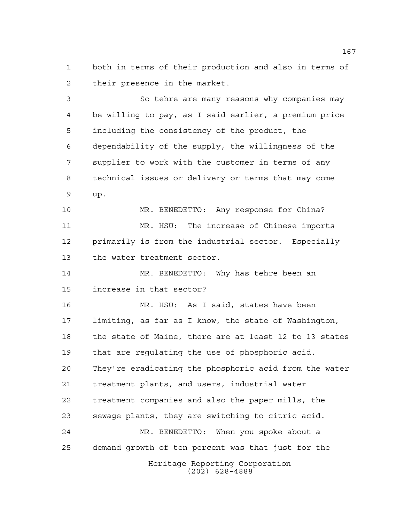both in terms of their production and also in terms of their presence in the market.

 So tehre are many reasons why companies may be willing to pay, as I said earlier, a premium price including the consistency of the product, the dependability of the supply, the willingness of the supplier to work with the customer in terms of any technical issues or delivery or terms that may come up.

 MR. BENEDETTO: Any response for China? MR. HSU: The increase of Chinese imports primarily is from the industrial sector. Especially the water treatment sector.

 MR. BENEDETTO: Why has tehre been an increase in that sector?

Heritage Reporting Corporation MR. HSU: As I said, states have been limiting, as far as I know, the state of Washington, the state of Maine, there are at least 12 to 13 states that are regulating the use of phosphoric acid. They're eradicating the phosphoric acid from the water treatment plants, and users, industrial water treatment companies and also the paper mills, the sewage plants, they are switching to citric acid. MR. BENEDETTO: When you spoke about a demand growth of ten percent was that just for the

(202) 628-4888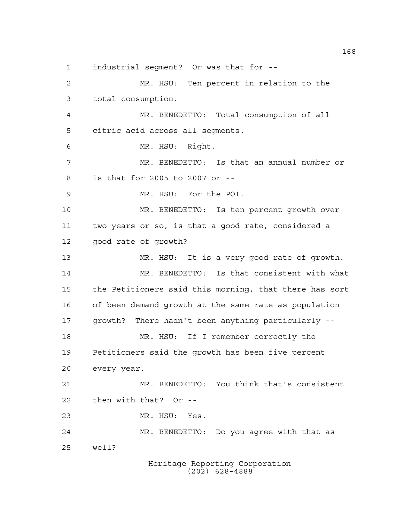industrial segment? Or was that for -- MR. HSU: Ten percent in relation to the total consumption. MR. BENEDETTO: Total consumption of all citric acid across all segments. MR. HSU: Right. MR. BENEDETTO: Is that an annual number or is that for 2005 to 2007 or -- MR. HSU: For the POI. MR. BENEDETTO: Is ten percent growth over two years or so, is that a good rate, considered a good rate of growth? MR. HSU: It is a very good rate of growth. MR. BENEDETTO: Is that consistent with what the Petitioners said this morning, that there has sort of been demand growth at the same rate as population growth? There hadn't been anything particularly -- MR. HSU: If I remember correctly the Petitioners said the growth has been five percent every year. MR. BENEDETTO: You think that's consistent then with that? Or -- MR. HSU: Yes. MR. BENEDETTO: Do you agree with that as well?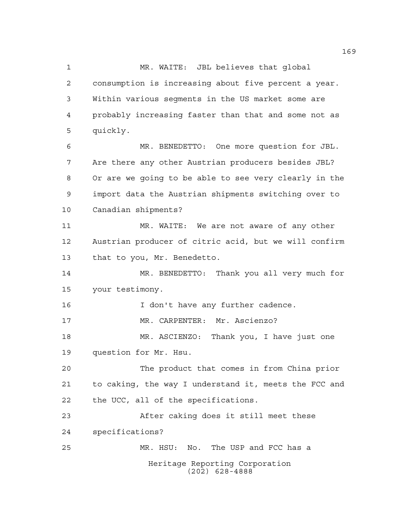Heritage Reporting Corporation (202) 628-4888 1 MR. WAITE: JBL believes that qlobal consumption is increasing about five percent a year. Within various segments in the US market some are probably increasing faster than that and some not as quickly. MR. BENEDETTO: One more question for JBL. Are there any other Austrian producers besides JBL? Or are we going to be able to see very clearly in the import data the Austrian shipments switching over to Canadian shipments? 11 MR. WAITE: We are not aware of any other Austrian producer of citric acid, but we will confirm that to you, Mr. Benedetto. MR. BENEDETTO: Thank you all very much for your testimony. 16 I don't have any further cadence. MR. CARPENTER: Mr. Ascienzo? MR. ASCIENZO: Thank you, I have just one question for Mr. Hsu. The product that comes in from China prior to caking, the way I understand it, meets the FCC and the UCC, all of the specifications. After caking does it still meet these specifications? MR. HSU: No. The USP and FCC has a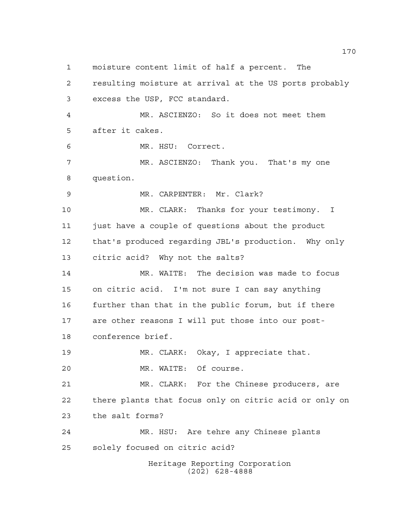Heritage Reporting Corporation (202) 628-4888 resulting moisture at arrival at the US ports probably excess the USP, FCC standard. MR. ASCIENZO: So it does not meet them after it cakes. MR. HSU: Correct. MR. ASCIENZO: Thank you. That's my one question. MR. CARPENTER: Mr. Clark? MR. CLARK: Thanks for your testimony. I just have a couple of questions about the product that's produced regarding JBL's production. Why only citric acid? Why not the salts? MR. WAITE: The decision was made to focus on citric acid. I'm not sure I can say anything further than that in the public forum, but if there are other reasons I will put those into our post- conference brief. MR. CLARK: Okay, I appreciate that. MR. WAITE: Of course. MR. CLARK: For the Chinese producers, are there plants that focus only on citric acid or only on the salt forms? MR. HSU: Are tehre any Chinese plants solely focused on citric acid?

moisture content limit of half a percent. The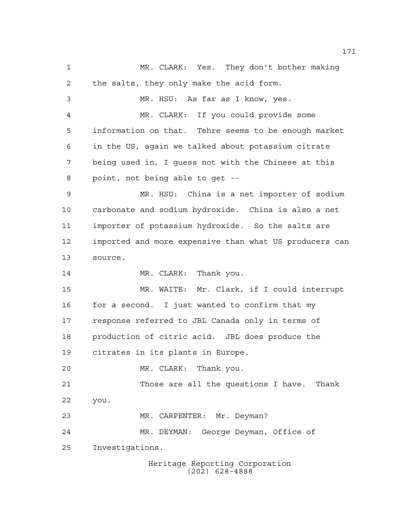MR. CLARK: Yes. They don't bother making the salts, they only make the acid form. MR. HSU: As far as I know, yes. MR. CLARK: If you could provide some information on that. Tehre seems to be enough market in the US, again we talked about potassium citrate being used in, I guess not with the Chinese at this point, not being able to get -- MR. HSU: China is a net importer of sodium carbonate and sodium hydroxide. China is also a net importer of potassium hydroxide. So the salts are imported and more expensive than what US producers can source. 14 MR. CLARK: Thank you. MR. WAITE: Mr. Clark, if I could interrupt for a second. I just wanted to confirm that my response referred to JBL Canada only in terms of production of citric acid. JBL does produce the citrates in its plants in Europe. MR. CLARK: Thank you. Those are all the questions I have. Thank you. MR. CARPENTER: Mr. Deyman? MR. DEYMAN: George Deyman, Office of Investigations.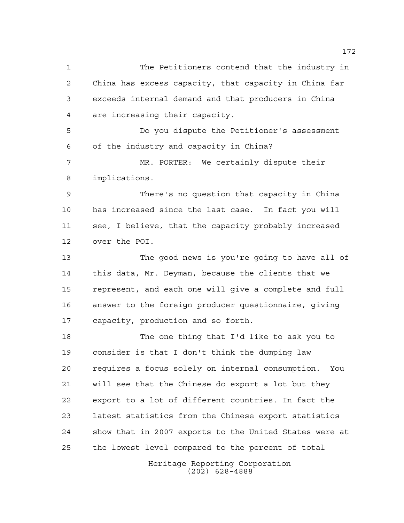The Petitioners contend that the industry in China has excess capacity, that capacity in China far exceeds internal demand and that producers in China are increasing their capacity. Do you dispute the Petitioner's assessment of the industry and capacity in China? MR. PORTER: We certainly dispute their implications. There's no question that capacity in China has increased since the last case. In fact you will see, I believe, that the capacity probably increased over the POI. The good news is you're going to have all of this data, Mr. Deyman, because the clients that we represent, and each one will give a complete and full answer to the foreign producer questionnaire, giving capacity, production and so forth. The one thing that I'd like to ask you to consider is that I don't think the dumping law requires a focus solely on internal consumption. You will see that the Chinese do export a lot but they export to a lot of different countries. In fact the latest statistics from the Chinese export statistics show that in 2007 exports to the United States were at the lowest level compared to the percent of total

Heritage Reporting Corporation (202) 628-4888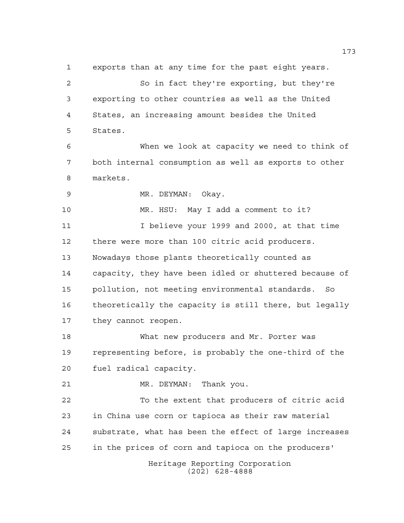exports than at any time for the past eight years.

 So in fact they're exporting, but they're exporting to other countries as well as the United States, an increasing amount besides the United States.

 When we look at capacity we need to think of both internal consumption as well as exports to other markets.

MR. DEYMAN: Okay.

 MR. HSU: May I add a comment to it? I believe your 1999 and 2000, at that time there were more than 100 citric acid producers. Nowadays those plants theoretically counted as capacity, they have been idled or shuttered because of pollution, not meeting environmental standards. So theoretically the capacity is still there, but legally they cannot reopen.

 What new producers and Mr. Porter was representing before, is probably the one-third of the fuel radical capacity.

MR. DEYMAN: Thank you.

 To the extent that producers of citric acid in China use corn or tapioca as their raw material substrate, what has been the effect of large increases in the prices of corn and tapioca on the producers'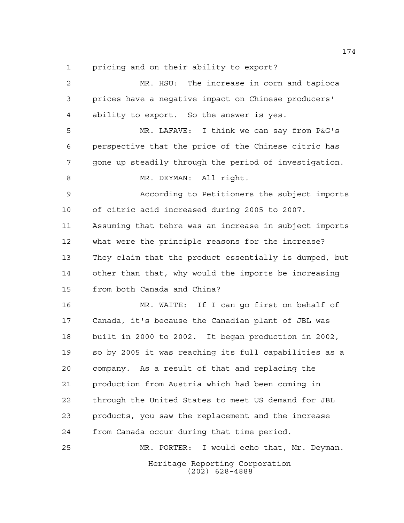pricing and on their ability to export?

| 2  | MR. HSU: The increase in corn and tapioca              |
|----|--------------------------------------------------------|
| 3  | prices have a negative impact on Chinese producers'    |
| 4  | ability to export. So the answer is yes.               |
| 5  | MR. LAFAVE: I think we can say from P&G's              |
| 6  | perspective that the price of the Chinese citric has   |
| 7  | gone up steadily through the period of investigation.  |
| 8  | MR. DEYMAN: All right.                                 |
| 9  | According to Petitioners the subject imports           |
| 10 | of citric acid increased during 2005 to 2007.          |
| 11 | Assuming that tehre was an increase in subject imports |
| 12 | what were the principle reasons for the increase?      |
| 13 | They claim that the product essentially is dumped, but |
| 14 | other than that, why would the imports be increasing   |
| 15 | from both Canada and China?                            |
| 16 | MR. WAITE: If I can go first on behalf of              |
| 17 | Canada, it's because the Canadian plant of JBL was     |
| 18 | built in 2000 to 2002. It began production in 2002,    |
| 19 | so by 2005 it was reaching its full capabilities as a  |
| 20 | company. As a result of that and replacing the         |
| 21 | production from Austria which had been coming in       |
| 22 | through the United States to meet US demand for JBL    |
| 23 | products, you saw the replacement and the increase     |
| 24 | from Canada occur during that time period.             |
| 25 | MR. PORTER: I would echo that, Mr. Deyman.             |
|    | Heritage Reporting Corporation<br>$(202)$ 628-4888     |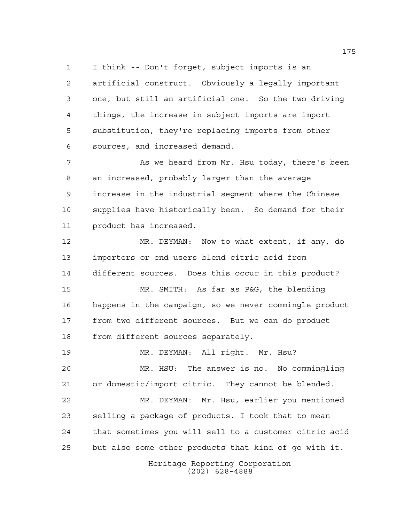I think -- Don't forget, subject imports is an artificial construct. Obviously a legally important one, but still an artificial one. So the two driving things, the increase in subject imports are import substitution, they're replacing imports from other sources, and increased demand.

 As we heard from Mr. Hsu today, there's been an increased, probably larger than the average increase in the industrial segment where the Chinese supplies have historically been. So demand for their product has increased.

 MR. DEYMAN: Now to what extent, if any, do importers or end users blend citric acid from different sources. Does this occur in this product? MR. SMITH: As far as P&G, the blending happens in the campaign, so we never commingle product from two different sources. But we can do product from different sources separately.

 MR. DEYMAN: All right. Mr. Hsu? MR. HSU: The answer is no. No commingling or domestic/import citric. They cannot be blended. MR. DEYMAN: Mr. Hsu, earlier you mentioned selling a package of products. I took that to mean that sometimes you will sell to a customer citric acid but also some other products that kind of go with it.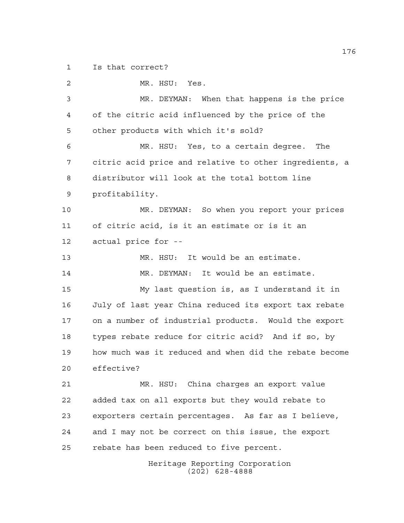Is that correct?

 MR. HSU: Yes. MR. DEYMAN: When that happens is the price of the citric acid influenced by the price of the other products with which it's sold? MR. HSU: Yes, to a certain degree. The citric acid price and relative to other ingredients, a distributor will look at the total bottom line profitability. MR. DEYMAN: So when you report your prices of citric acid, is it an estimate or is it an actual price for -- MR. HSU: It would be an estimate. MR. DEYMAN: It would be an estimate. My last question is, as I understand it in July of last year China reduced its export tax rebate on a number of industrial products. Would the export types rebate reduce for citric acid? And if so, by how much was it reduced and when did the rebate become effective? MR. HSU: China charges an export value added tax on all exports but they would rebate to exporters certain percentages. As far as I believe, and I may not be correct on this issue, the export rebate has been reduced to five percent.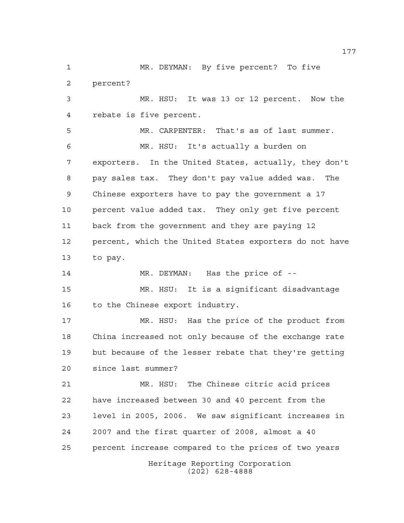Heritage Reporting Corporation (202) 628-4888 MR. DEYMAN: By five percent? To five percent? MR. HSU: It was 13 or 12 percent. Now the rebate is five percent. MR. CARPENTER: That's as of last summer. MR. HSU: It's actually a burden on exporters. In the United States, actually, they don't pay sales tax. They don't pay value added was. The Chinese exporters have to pay the government a 17 percent value added tax. They only get five percent back from the government and they are paying 12 percent, which the United States exporters do not have to pay. MR. DEYMAN: Has the price of -- MR. HSU: It is a significant disadvantage 16 to the Chinese export industry. MR. HSU: Has the price of the product from China increased not only because of the exchange rate but because of the lesser rebate that they're getting since last summer? MR. HSU: The Chinese citric acid prices have increased between 30 and 40 percent from the level in 2005, 2006. We saw significant increases in 2007 and the first quarter of 2008, almost a 40 percent increase compared to the prices of two years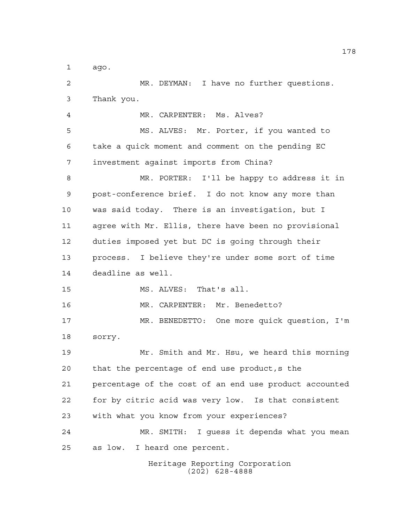ago.

 MR. DEYMAN: I have no further questions. Thank you. MR. CARPENTER: Ms. Alves? MS. ALVES: Mr. Porter, if you wanted to take a quick moment and comment on the pending EC investment against imports from China? MR. PORTER: I'll be happy to address it in post-conference brief. I do not know any more than was said today. There is an investigation, but I agree with Mr. Ellis, there have been no provisional duties imposed yet but DC is going through their process. I believe they're under some sort of time deadline as well. MS. ALVES: That's all. MR. CARPENTER: Mr. Benedetto? MR. BENEDETTO: One more quick question, I'm sorry. Mr. Smith and Mr. Hsu, we heard this morning that the percentage of end use product,s the percentage of the cost of an end use product accounted for by citric acid was very low. Is that consistent with what you know from your experiences? MR. SMITH: I guess it depends what you mean as low. I heard one percent.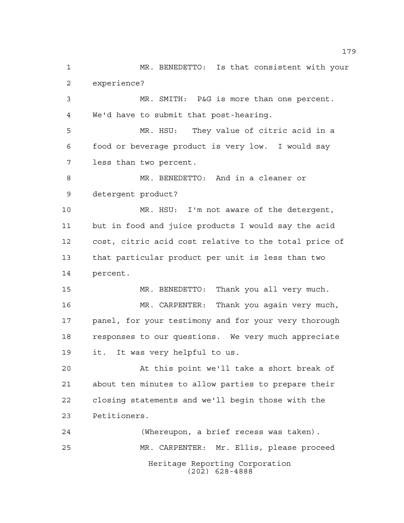Heritage Reporting Corporation (202) 628-4888 MR. BENEDETTO: Is that consistent with your experience? MR. SMITH: P&G is more than one percent. We'd have to submit that post-hearing. MR. HSU: They value of citric acid in a food or beverage product is very low. I would say less than two percent. MR. BENEDETTO: And in a cleaner or detergent product? MR. HSU: I'm not aware of the detergent, but in food and juice products I would say the acid cost, citric acid cost relative to the total price of that particular product per unit is less than two percent. MR. BENEDETTO: Thank you all very much. MR. CARPENTER: Thank you again very much, panel, for your testimony and for your very thorough responses to our questions. We very much appreciate it. It was very helpful to us. At this point we'll take a short break of about ten minutes to allow parties to prepare their closing statements and we'll begin those with the Petitioners. (Whereupon, a brief recess was taken). MR. CARPENTER: Mr. Ellis, please proceed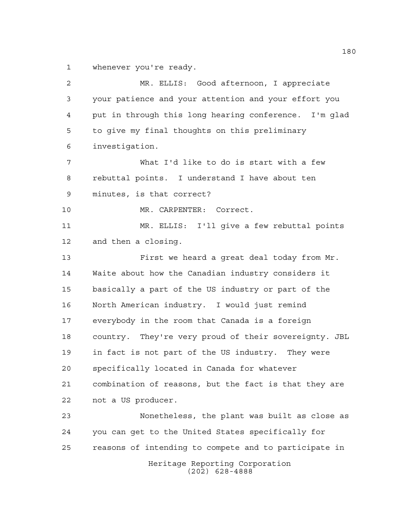whenever you're ready.

Heritage Reporting Corporation (202) 628-4888 MR. ELLIS: Good afternoon, I appreciate your patience and your attention and your effort you put in through this long hearing conference. I'm glad to give my final thoughts on this preliminary investigation. What I'd like to do is start with a few rebuttal points. I understand I have about ten minutes, is that correct? 10 MR. CARPENTER: Correct. MR. ELLIS: I'll give a few rebuttal points and then a closing. First we heard a great deal today from Mr. Waite about how the Canadian industry considers it basically a part of the US industry or part of the North American industry. I would just remind everybody in the room that Canada is a foreign country. They're very proud of their sovereignty. JBL in fact is not part of the US industry. They were specifically located in Canada for whatever combination of reasons, but the fact is that they are not a US producer. Nonetheless, the plant was built as close as you can get to the United States specifically for reasons of intending to compete and to participate in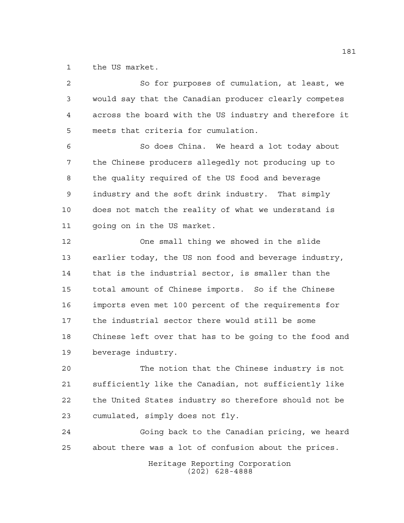the US market.

 So for purposes of cumulation, at least, we would say that the Canadian producer clearly competes across the board with the US industry and therefore it meets that criteria for cumulation. So does China. We heard a lot today about the Chinese producers allegedly not producing up to the quality required of the US food and beverage industry and the soft drink industry. That simply does not match the reality of what we understand is going on in the US market. One small thing we showed in the slide earlier today, the US non food and beverage industry, that is the industrial sector, is smaller than the total amount of Chinese imports. So if the Chinese imports even met 100 percent of the requirements for the industrial sector there would still be some Chinese left over that has to be going to the food and beverage industry. The notion that the Chinese industry is not sufficiently like the Canadian, not sufficiently like the United States industry so therefore should not be cumulated, simply does not fly. Going back to the Canadian pricing, we heard about there was a lot of confusion about the prices.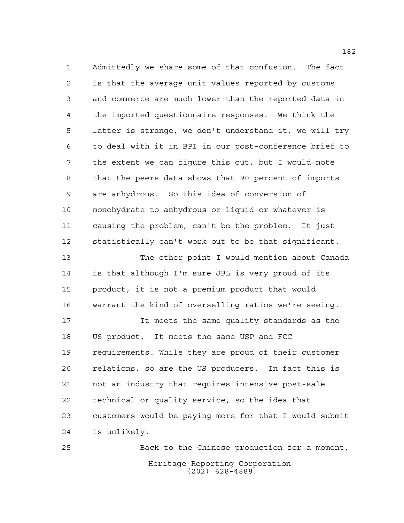Admittedly we share some of that confusion. The fact is that the average unit values reported by customs and commerce are much lower than the reported data in the imported questionnaire responses. We think the latter is strange, we don't understand it, we will try to deal with it in BPI in our post-conference brief to the extent we can figure this out, but I would note that the peers data shows that 90 percent of imports are anhydrous. So this idea of conversion of monohydrate to anhydrous or liquid or whatever is causing the problem, can't be the problem. It just statistically can't work out to be that significant.

 The other point I would mention about Canada is that although I'm sure JBL is very proud of its product, it is not a premium product that would warrant the kind of overselling ratios we're seeing.

 It meets the same quality standards as the US product. It meets the same USP and FCC requirements. While they are proud of their customer relations, so are the US producers. In fact this is not an industry that requires intensive post-sale technical or quality service, so the idea that customers would be paying more for that I would submit is unlikely.

Heritage Reporting Corporation (202) 628-4888 Back to the Chinese production for a moment,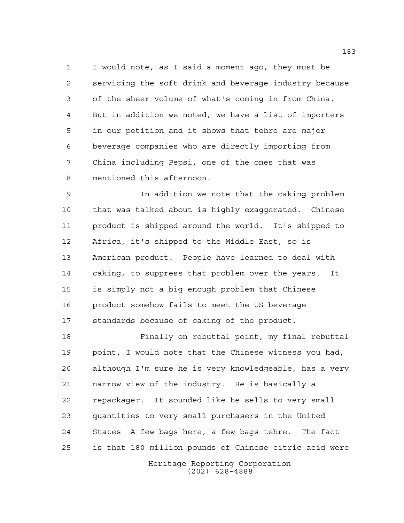I would note, as I said a moment ago, they must be servicing the soft drink and beverage industry because of the sheer volume of what's coming in from China. But in addition we noted, we have a list of importers in our petition and it shows that tehre are major beverage companies who are directly importing from China including Pepsi, one of the ones that was mentioned this afternoon.

 In addition we note that the caking problem that was talked about is highly exaggerated. Chinese product is shipped around the world. It's shipped to Africa, it's shipped to the Middle East, so is American product. People have learned to deal with caking, to suppress that problem over the years. It is simply not a big enough problem that Chinese product somehow fails to meet the US beverage standards because of caking of the product.

 Finally on rebuttal point, my final rebuttal point, I would note that the Chinese witness you had, although I'm sure he is very knowledgeable, has a very narrow view of the industry. He is basically a repackager. It sounded like he sells to very small quantities to very small purchasers in the United States A few bags here, a few bags tehre. The fact is that 180 million pounds of Chinese citric acid were

Heritage Reporting Corporation (202) 628-4888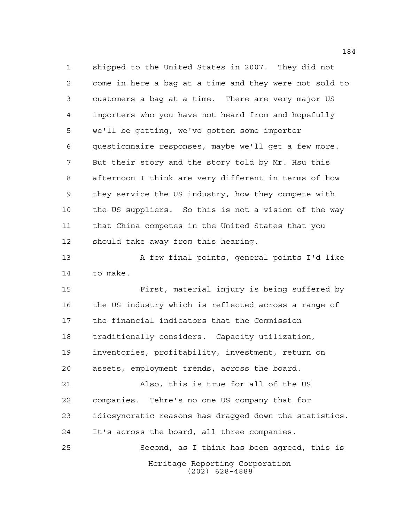shipped to the United States in 2007. They did not come in here a bag at a time and they were not sold to customers a bag at a time. There are very major US importers who you have not heard from and hopefully we'll be getting, we've gotten some importer questionnaire responses, maybe we'll get a few more. But their story and the story told by Mr. Hsu this afternoon I think are very different in terms of how they service the US industry, how they compete with the US suppliers. So this is not a vision of the way that China competes in the United States that you should take away from this hearing.

13 A few final points, general points I'd like to make.

 First, material injury is being suffered by the US industry which is reflected across a range of the financial indicators that the Commission traditionally considers. Capacity utilization, inventories, profitability, investment, return on assets, employment trends, across the board.

 Also, this is true for all of the US companies. Tehre's no one US company that for idiosyncratic reasons has dragged down the statistics. It's across the board, all three companies. Second, as I think has been agreed, this is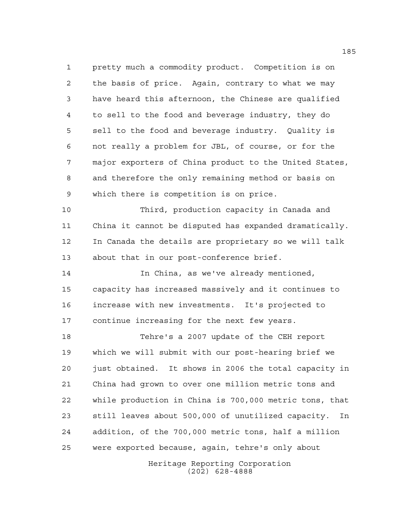pretty much a commodity product. Competition is on the basis of price. Again, contrary to what we may have heard this afternoon, the Chinese are qualified to sell to the food and beverage industry, they do sell to the food and beverage industry. Quality is not really a problem for JBL, of course, or for the major exporters of China product to the United States, and therefore the only remaining method or basis on which there is competition is on price.

 Third, production capacity in Canada and China it cannot be disputed has expanded dramatically. In Canada the details are proprietary so we will talk about that in our post-conference brief.

 In China, as we've already mentioned, capacity has increased massively and it continues to increase with new investments. It's projected to continue increasing for the next few years.

 Tehre's a 2007 update of the CEH report which we will submit with our post-hearing brief we just obtained. It shows in 2006 the total capacity in China had grown to over one million metric tons and while production in China is 700,000 metric tons, that still leaves about 500,000 of unutilized capacity. In addition, of the 700,000 metric tons, half a million were exported because, again, tehre's only about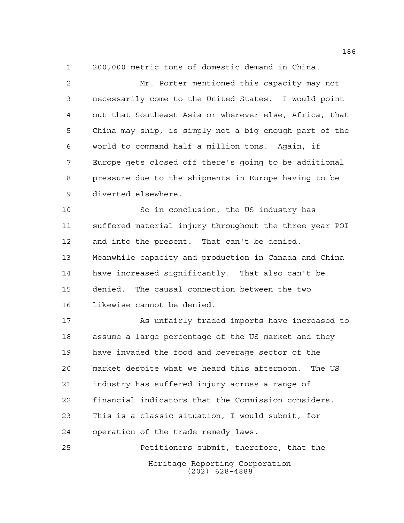200,000 metric tons of domestic demand in China.

 Mr. Porter mentioned this capacity may not necessarily come to the United States. I would point out that Southeast Asia or wherever else, Africa, that China may ship, is simply not a big enough part of the world to command half a million tons. Again, if Europe gets closed off there's going to be additional pressure due to the shipments in Europe having to be diverted elsewhere.

 So in conclusion, the US industry has suffered material injury throughout the three year POI and into the present. That can't be denied. Meanwhile capacity and production in Canada and China have increased significantly. That also can't be denied. The causal connection between the two likewise cannot be denied.

 As unfairly traded imports have increased to assume a large percentage of the US market and they have invaded the food and beverage sector of the market despite what we heard this afternoon. The US industry has suffered injury across a range of financial indicators that the Commission considers. This is a classic situation, I would submit, for operation of the trade remedy laws.

Heritage Reporting Corporation (202) 628-4888 Petitioners submit, therefore, that the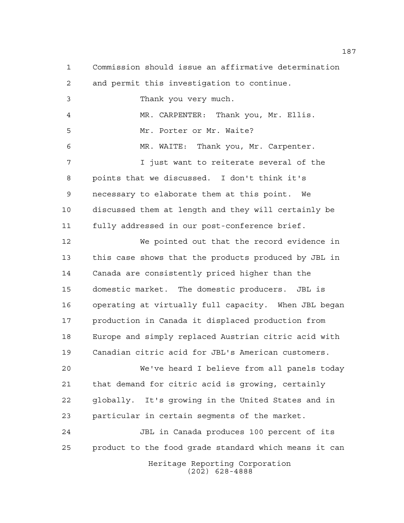Commission should issue an affirmative determination and permit this investigation to continue. Thank you very much. MR. CARPENTER: Thank you, Mr. Ellis. Mr. Porter or Mr. Waite? MR. WAITE: Thank you, Mr. Carpenter. I just want to reiterate several of the points that we discussed. I don't think it's necessary to elaborate them at this point. We discussed them at length and they will certainly be fully addressed in our post-conference brief. We pointed out that the record evidence in this case shows that the products produced by JBL in Canada are consistently priced higher than the domestic market. The domestic producers. JBL is operating at virtually full capacity. When JBL began production in Canada it displaced production from

 Europe and simply replaced Austrian citric acid with Canadian citric acid for JBL's American customers.

 We've heard I believe from all panels today that demand for citric acid is growing, certainly globally. It's growing in the United States and in particular in certain segments of the market.

Heritage Reporting Corporation (202) 628-4888 JBL in Canada produces 100 percent of its product to the food grade standard which means it can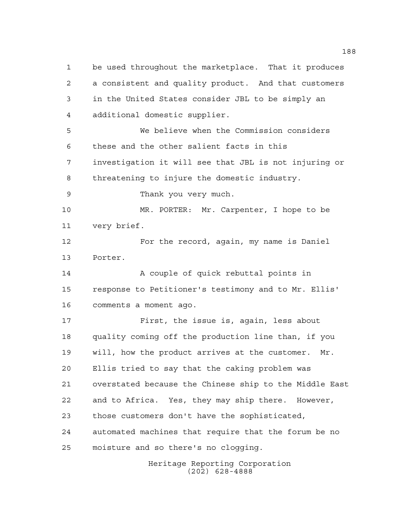be used throughout the marketplace. That it produces a consistent and quality product. And that customers in the United States consider JBL to be simply an additional domestic supplier. We believe when the Commission considers these and the other salient facts in this investigation it will see that JBL is not injuring or threatening to injure the domestic industry. Thank you very much. MR. PORTER: Mr. Carpenter, I hope to be very brief. For the record, again, my name is Daniel Porter. 14 A couple of quick rebuttal points in response to Petitioner's testimony and to Mr. Ellis' comments a moment ago. First, the issue is, again, less about quality coming off the production line than, if you will, how the product arrives at the customer. Mr. Ellis tried to say that the caking problem was overstated because the Chinese ship to the Middle East and to Africa. Yes, they may ship there. However, those customers don't have the sophisticated, automated machines that require that the forum be no moisture and so there's no clogging.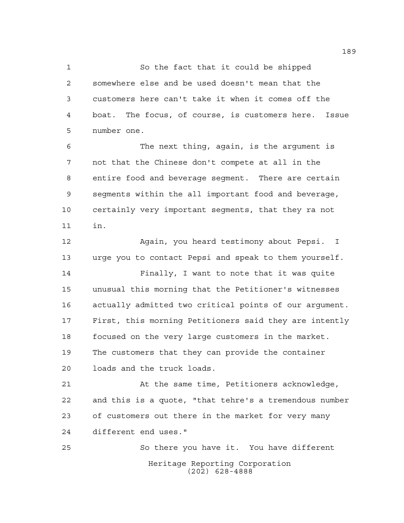So the fact that it could be shipped somewhere else and be used doesn't mean that the customers here can't take it when it comes off the boat. The focus, of course, is customers here. Issue number one.

 The next thing, again, is the argument is not that the Chinese don't compete at all in the entire food and beverage segment. There are certain segments within the all important food and beverage, certainly very important segments, that they ra not in.

 Again, you heard testimony about Pepsi. I urge you to contact Pepsi and speak to them yourself. Finally, I want to note that it was quite

 unusual this morning that the Petitioner's witnesses actually admitted two critical points of our argument. First, this morning Petitioners said they are intently focused on the very large customers in the market. The customers that they can provide the container loads and the truck loads.

 At the same time, Petitioners acknowledge, and this is a quote, "that tehre's a tremendous number of customers out there in the market for very many different end uses."

Heritage Reporting Corporation (202) 628-4888 So there you have it. You have different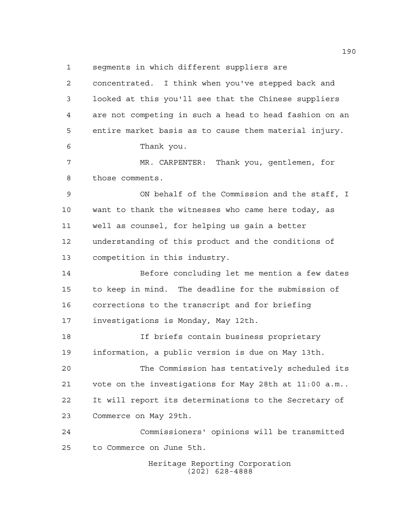segments in which different suppliers are

Heritage Reporting Corporation (202) 628-4888 concentrated. I think when you've stepped back and looked at this you'll see that the Chinese suppliers are not competing in such a head to head fashion on an entire market basis as to cause them material injury. Thank you. MR. CARPENTER: Thank you, gentlemen, for those comments. ON behalf of the Commission and the staff, I want to thank the witnesses who came here today, as well as counsel, for helping us gain a better understanding of this product and the conditions of competition in this industry. Before concluding let me mention a few dates to keep in mind. The deadline for the submission of corrections to the transcript and for briefing investigations is Monday, May 12th. If briefs contain business proprietary information, a public version is due on May 13th. The Commission has tentatively scheduled its vote on the investigations for May 28th at 11:00 a.m.. It will report its determinations to the Secretary of Commerce on May 29th. Commissioners' opinions will be transmitted to Commerce on June 5th.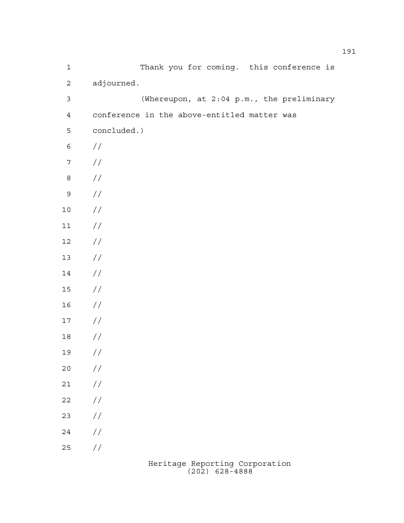| $\mathbf 1$      | Thank you for coming. this conference is    |
|------------------|---------------------------------------------|
| $\overline{c}$   | adjourned.                                  |
| $\mathsf 3$      | (Whereupon, at 2:04 p.m., the preliminary   |
| $\overline{4}$   | conference in the above-entitled matter was |
| 5                | concluded.)                                 |
| $\epsilon$       | $\frac{1}{2}$                               |
| $\boldsymbol{7}$ | $\sqrt{}$                                   |
| $\,8\,$          | $\sqrt{}$                                   |
| $\mathsf 9$      | $\sqrt{}$                                   |
| $1\,0$           | $\sqrt{}$                                   |
| $1\,1$           | $\sqrt{}$                                   |
| $12\,$           | $\sqrt{}$                                   |
| $13$             | $\sqrt{}$                                   |
| $14\,$           | $\frac{1}{2}$                               |
| $15$             | $\frac{1}{2}$                               |
| 16               | //                                          |
| $17\,$           | //                                          |
| $18\,$           | //                                          |
| 19               | //                                          |
| $20$             | $\frac{\displaystyle}{\displaystyle\int}$   |
| $2\,1$           | $\sqrt{}$                                   |
| 22               | $\sqrt{}$                                   |
| 23               | $\sqrt{}$                                   |
| 24               | $\sqrt{}$                                   |
| 25               | $\frac{1}{2}$                               |